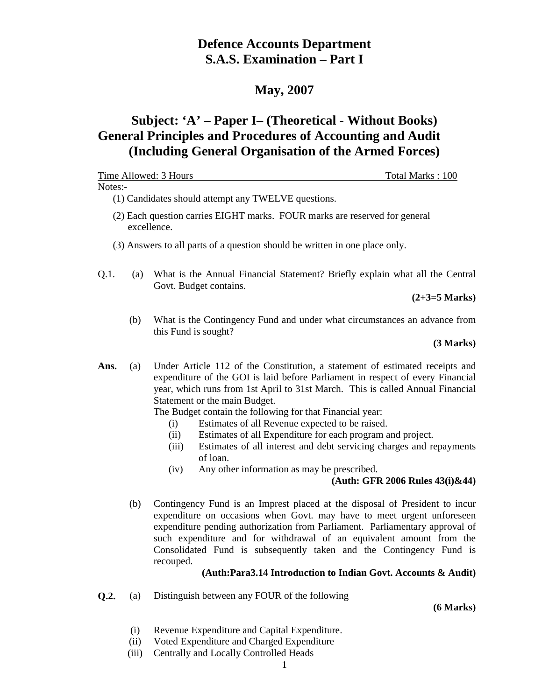# **Defence Accounts Department S.A.S. Examination – Part I**

# **May, 2007**

# **Subject: 'A' – Paper I– (Theoretical - Without Books) General Principles and Procedures of Accounting and Audit (Including General Organisation of the Armed Forces)**

|         |     | Time Allowed: 3 Hours<br>Total Marks: 100                                                                                                                                                                                                                                                                     |
|---------|-----|---------------------------------------------------------------------------------------------------------------------------------------------------------------------------------------------------------------------------------------------------------------------------------------------------------------|
| Notes:- |     |                                                                                                                                                                                                                                                                                                               |
|         |     | (1) Candidates should attempt any TWELVE questions.                                                                                                                                                                                                                                                           |
|         |     | (2) Each question carries EIGHT marks. FOUR marks are reserved for general<br>excellence.                                                                                                                                                                                                                     |
|         |     | (3) Answers to all parts of a question should be written in one place only.                                                                                                                                                                                                                                   |
| Q.1.    | (a) | What is the Annual Financial Statement? Briefly explain what all the Central<br>Govt. Budget contains.                                                                                                                                                                                                        |
|         |     | $(2+3=5$ Marks)                                                                                                                                                                                                                                                                                               |
|         | (b) | What is the Contingency Fund and under what circumstances an advance from<br>this Fund is sought?                                                                                                                                                                                                             |
|         |     | (3 Marks)                                                                                                                                                                                                                                                                                                     |
| Ans.    | (a) | Under Article 112 of the Constitution, a statement of estimated receipts and<br>expenditure of the GOI is laid before Parliament in respect of every Financial<br>year, which runs from 1st April to 31st March. This is called Annual Financial<br>Statement or the main Budget.                             |
|         |     | The Budget contain the following for that Financial year:                                                                                                                                                                                                                                                     |
|         |     | Estimates of all Revenue expected to be raised.<br>(i)                                                                                                                                                                                                                                                        |
|         |     | Estimates of all Expenditure for each program and project.<br>(ii)<br>Estimates of all interest and debt servicing charges and repayments<br>(iii)                                                                                                                                                            |
|         |     | of loan.                                                                                                                                                                                                                                                                                                      |
|         |     | Any other information as may be prescribed.<br>(iv)                                                                                                                                                                                                                                                           |
|         |     | (Auth: GFR 2006 Rules $43(i)$ &44)                                                                                                                                                                                                                                                                            |
|         | (b) | Contingency Fund is an Imprest placed at the disposal of President to incur<br>expenditure on occasions when Govt. may have to meet urgent unforeseen<br>expenditure pending authorization from Parliament. Parliamentary approval of<br>such expenditure and for withdrawal of an equivalent amount from the |

# **(Auth:Para3.14 Introduction to Indian Govt. Accounts & Audit)**

Consolidated Fund is subsequently taken and the Contingency Fund is

**Q.2.** (a) Distinguish between any FOUR of the following

recouped.

 **(6 Marks)**

- (i) Revenue Expenditure and Capital Expenditure.
- (ii) Voted Expenditure and Charged Expenditure
- (iii) Centrally and Locally Controlled Heads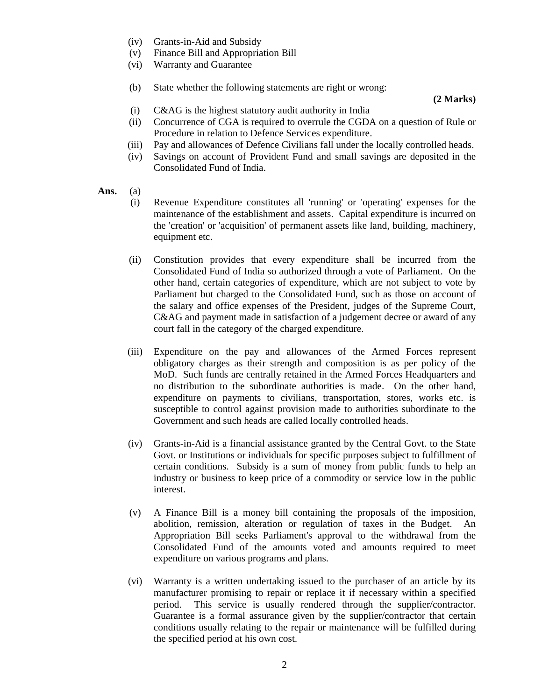- (iv) Grants-in-Aid and Subsidy
- (v) Finance Bill and Appropriation Bill
- (vi) Warranty and Guarantee
- (b) State whether the following statements are right or wrong:

#### **(2 Marks)**

- (i) C&AG is the highest statutory audit authority in India
- (ii) Concurrence of CGA is required to overrule the CGDA on a question of Rule or Procedure in relation to Defence Services expenditure.
- (iii) Pay and allowances of Defence Civilians fall under the locally controlled heads.
- (iv) Savings on account of Provident Fund and small savings are deposited in the Consolidated Fund of India.
- **Ans.** (a)
	- (i) Revenue Expenditure constitutes all 'running' or 'operating' expenses for the maintenance of the establishment and assets. Capital expenditure is incurred on the 'creation' or 'acquisition' of permanent assets like land, building, machinery, equipment etc.
	- (ii) Constitution provides that every expenditure shall be incurred from the Consolidated Fund of India so authorized through a vote of Parliament. On the other hand, certain categories of expenditure, which are not subject to vote by Parliament but charged to the Consolidated Fund, such as those on account of the salary and office expenses of the President, judges of the Supreme Court, C&AG and payment made in satisfaction of a judgement decree or award of any court fall in the category of the charged expenditure.
	- (iii) Expenditure on the pay and allowances of the Armed Forces represent obligatory charges as their strength and composition is as per policy of the MoD. Such funds are centrally retained in the Armed Forces Headquarters and no distribution to the subordinate authorities is made. On the other hand, expenditure on payments to civilians, transportation, stores, works etc. is susceptible to control against provision made to authorities subordinate to the Government and such heads are called locally controlled heads.
	- (iv) Grants-in-Aid is a financial assistance granted by the Central Govt. to the State Govt. or Institutions or individuals for specific purposes subject to fulfillment of certain conditions. Subsidy is a sum of money from public funds to help an industry or business to keep price of a commodity or service low in the public interest.
	- (v) A Finance Bill is a money bill containing the proposals of the imposition, abolition, remission, alteration or regulation of taxes in the Budget. An Appropriation Bill seeks Parliament's approval to the withdrawal from the Consolidated Fund of the amounts voted and amounts required to meet expenditure on various programs and plans.
	- (vi) Warranty is a written undertaking issued to the purchaser of an article by its manufacturer promising to repair or replace it if necessary within a specified period. This service is usually rendered through the supplier/contractor. Guarantee is a formal assurance given by the supplier/contractor that certain conditions usually relating to the repair or maintenance will be fulfilled during the specified period at his own cost.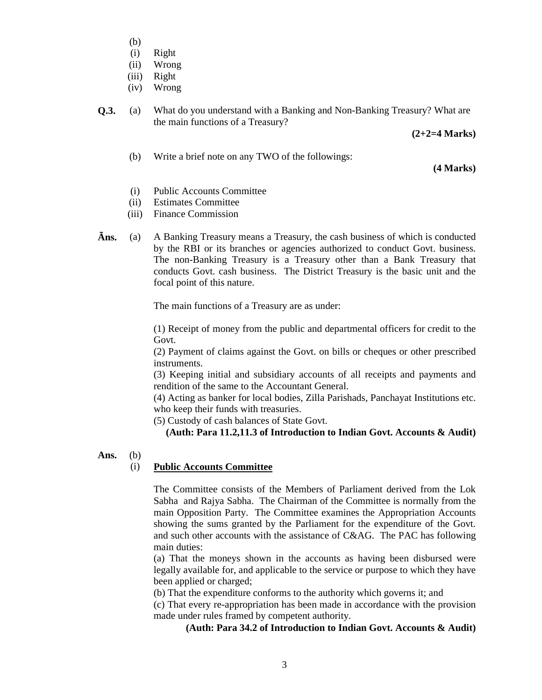- (b)
- (i) Right
- (ii) Wrong
- (iii) Right
- (iv) Wrong

**Q.3.** (a) What do you understand with a Banking and Non-Banking Treasury? What are the main functions of a Treasury?

 **(2+2=4 Marks)**

(b) Write a brief note on any TWO of the followings:

 **(4 Marks)**

- (i) Public Accounts Committee
- (ii) Estimates Committee
- (iii) Finance Commission
- **Ãns.** (a) A Banking Treasury means a Treasury, the cash business of which is conducted by the RBI or its branches or agencies authorized to conduct Govt. business. The non-Banking Treasury is a Treasury other than a Bank Treasury that conducts Govt. cash business. The District Treasury is the basic unit and the focal point of this nature.

The main functions of a Treasury are as under:

(1) Receipt of money from the public and departmental officers for credit to the Govt.

(2) Payment of claims against the Govt. on bills or cheques or other prescribed instruments.

(3) Keeping initial and subsidiary accounts of all receipts and payments and rendition of the same to the Accountant General.

(4) Acting as banker for local bodies, Zilla Parishads, Panchayat Institutions etc. who keep their funds with treasuries.

(5) Custody of cash balances of State Govt.

**(Auth: Para 11.2,11.3 of Introduction to Indian Govt. Accounts & Audit)**

**Ans.** (b)

# (i) **Public Accounts Committee**

The Committee consists of the Members of Parliament derived from the Lok Sabha and Rajya Sabha. The Chairman of the Committee is normally from the main Opposition Party. The Committee examines the Appropriation Accounts showing the sums granted by the Parliament for the expenditure of the Govt. and such other accounts with the assistance of C&AG. The PAC has following main duties:

(a) That the moneys shown in the accounts as having been disbursed were legally available for, and applicable to the service or purpose to which they have been applied or charged;

(b) That the expenditure conforms to the authority which governs it; and

(c) That every re-appropriation has been made in accordance with the provision made under rules framed by competent authority.

# **(Auth: Para 34.2 of Introduction to Indian Govt. Accounts & Audit)**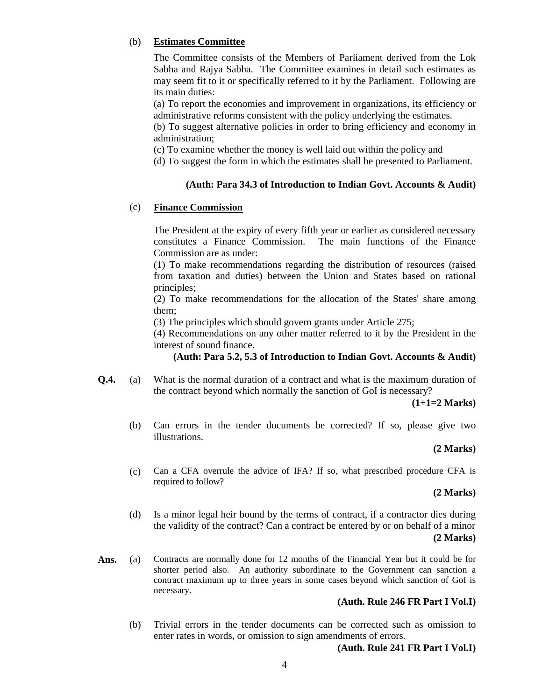# (b) **Estimates Committee**

The Committee consists of the Members of Parliament derived from the Lok Sabha and Rajya Sabha. The Committee examines in detail such estimates as may seem fit to it or specifically referred to it by the Parliament. Following are its main duties:

(a) To report the economies and improvement in organizations, its efficiency or administrative reforms consistent with the policy underlying the estimates.

(b) To suggest alternative policies in order to bring efficiency and economy in administration;

(c) To examine whether the money is well laid out within the policy and

(d) To suggest the form in which the estimates shall be presented to Parliament.

# **(Auth: Para 34.3 of Introduction to Indian Govt. Accounts & Audit)**

# (c) **Finance Commission**

The President at the expiry of every fifth year or earlier as considered necessary constitutes a Finance Commission. The main functions of the Finance Commission are as under:

(1) To make recommendations regarding the distribution of resources (raised from taxation and duties) between the Union and States based on rational principles;

(2) To make recommendations for the allocation of the States' share among them;

(3) The principles which should govern grants under Article 275;

(4) Recommendations on any other matter referred to it by the President in the interest of sound finance.

# **(Auth: Para 5.2, 5.3 of Introduction to Indian Govt. Accounts & Audit)**

**Q.4.** (a) What is the normal duration of a contract and what is the maximum duration of the contract beyond which normally the sanction of GoI is necessary?

 **(1+1=2 Marks)**

 (b) Can errors in the tender documents be corrected? If so, please give two illustrations.

# **(2 Marks)**

(c) Can a CFA overrule the advice of IFA? If so, what prescribed procedure CFA is required to follow?

## **(2 Marks)**

- (d) Is a minor legal heir bound by the terms of contract, if a contractor dies during the validity of the contract? Can a contract be entered by or on behalf of a minor **(2 Marks)**
- Ans. (a) Contracts are normally done for 12 months of the Financial Year but it could be for shorter period also. An authority subordinate to the Government can sanction a contract maximum up to three years in some cases beyond which sanction of GoI is necessary.

# **(Auth. Rule 246 FR Part I Vol.I)**

 (b) Trivial errors in the tender documents can be corrected such as omission to enter rates in words, or omission to sign amendments of errors.

#### **(Auth. Rule 241 FR Part I Vol.I)**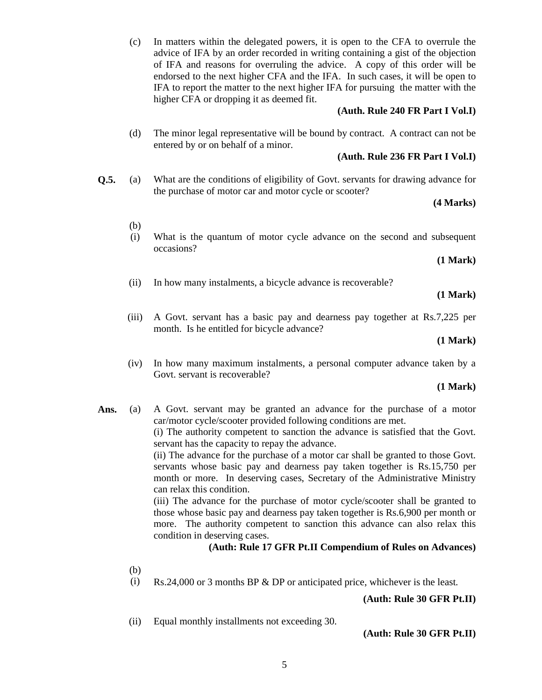(c) In matters within the delegated powers, it is open to the CFA to overrule the advice of IFA by an order recorded in writing containing a gist of the objection of IFA and reasons for overruling the advice. A copy of this order will be endorsed to the next higher CFA and the IFA. In such cases, it will be open to IFA to report the matter to the next higher IFA for pursuing the matter with the higher CFA or dropping it as deemed fit.

#### **(Auth. Rule 240 FR Part I Vol.I)**

(d) The minor legal representative will be bound by contract. A contract can not be entered by or on behalf of a minor.

#### **(Auth. Rule 236 FR Part I Vol.I)**

**Q.5.** (a) What are the conditions of eligibility of Govt. servants for drawing advance for the purchase of motor car and motor cycle or scooter?

## **(4 Marks)**

(i) What is the quantum of motor cycle advance on the second and subsequent occasions?

#### **(1 Mark)**

(ii) In how many instalments, a bicycle advance is recoverable?

#### **(1 Mark)**

(iii) A Govt. servant has a basic pay and dearness pay together at Rs.7,225 per month. Is he entitled for bicycle advance?

#### **(1 Mark)**

(iv) In how many maximum instalments, a personal computer advance taken by a Govt. servant is recoverable?

#### **(1 Mark)**

**Ans.** (a) A Govt. servant may be granted an advance for the purchase of a motor car/motor cycle/scooter provided following conditions are met.

> (i) The authority competent to sanction the advance is satisfied that the Govt. servant has the capacity to repay the advance.

> (ii) The advance for the purchase of a motor car shall be granted to those Govt. servants whose basic pay and dearness pay taken together is Rs.15,750 per month or more. In deserving cases, Secretary of the Administrative Ministry can relax this condition.

> (iii) The advance for the purchase of motor cycle/scooter shall be granted to those whose basic pay and dearness pay taken together is Rs.6,900 per month or more. The authority competent to sanction this advance can also relax this condition in deserving cases.

#### **(Auth: Rule 17 GFR Pt.II Compendium of Rules on Advances)**

(b)

(b)

(i) Rs.24,000 or 3 months BP & DP or anticipated price, whichever is the least.

**(Auth: Rule 30 GFR Pt.II)**

(ii) Equal monthly installments not exceeding 30.

**(Auth: Rule 30 GFR Pt.II)**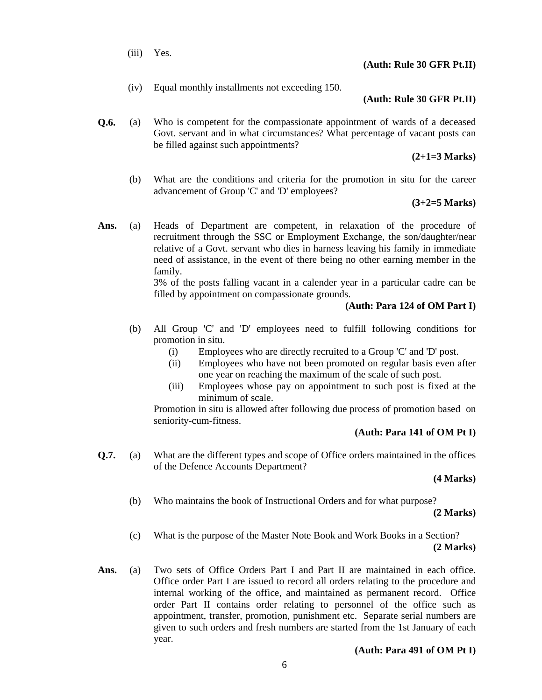(iii) Yes.

# **(Auth: Rule 30 GFR Pt.II)**

(iv) Equal monthly installments not exceeding 150.

# **(Auth: Rule 30 GFR Pt.II)**

**Q.6.** (a) Who is competent for the compassionate appointment of wards of a deceased Govt. servant and in what circumstances? What percentage of vacant posts can be filled against such appointments?

 **(2+1=3 Marks)**

 (b) What are the conditions and criteria for the promotion in situ for the career advancement of Group 'C' and 'D' employees?

### **(3+2=5 Marks)**

**Ans.** (a) Heads of Department are competent, in relaxation of the procedure of recruitment through the SSC or Employment Exchange, the son/daughter/near relative of a Govt. servant who dies in harness leaving his family in immediate need of assistance, in the event of there being no other earning member in the family.

> 3% of the posts falling vacant in a calender year in a particular cadre can be filled by appointment on compassionate grounds.

# **(Auth: Para 124 of OM Part I)**

- (b) All Group 'C' and 'D' employees need to fulfill following conditions for promotion in situ.
	- (i) Employees who are directly recruited to a Group 'C' and 'D' post.
	- (ii) Employees who have not been promoted on regular basis even after one year on reaching the maximum of the scale of such post.
	- (iii) Employees whose pay on appointment to such post is fixed at the minimum of scale.

Promotion in situ is allowed after following due process of promotion based on seniority-cum-fitness.

# **(Auth: Para 141 of OM Pt I)**

**Q.7.** (a) What are the different types and scope of Office orders maintained in the offices of the Defence Accounts Department?

# **(4 Marks)**

(b) Who maintains the book of Instructional Orders and for what purpose?

 **(2 Marks)**

- (c) What is the purpose of the Master Note Book and Work Books in a Section? **(2 Marks)**
- **Ans.** (a) Two sets of Office Orders Part I and Part II are maintained in each office. Office order Part I are issued to record all orders relating to the procedure and internal working of the office, and maintained as permanent record. Office order Part II contains order relating to personnel of the office such as appointment, transfer, promotion, punishment etc. Separate serial numbers are given to such orders and fresh numbers are started from the 1st January of each year.

# **(Auth: Para 491 of OM Pt I)**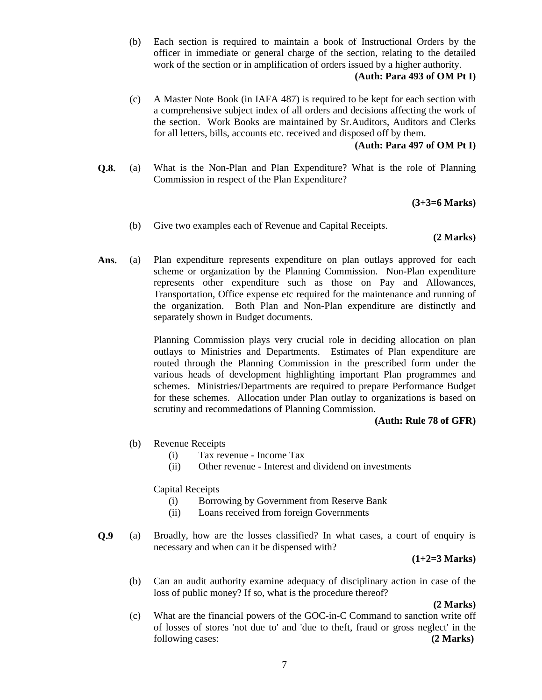(b) Each section is required to maintain a book of Instructional Orders by the officer in immediate or general charge of the section, relating to the detailed work of the section or in amplification of orders issued by a higher authority.

# **(Auth: Para 493 of OM Pt I)**

(c) A Master Note Book (in IAFA 487) is required to be kept for each section with a comprehensive subject index of all orders and decisions affecting the work of the section. Work Books are maintained by Sr.Auditors, Auditors and Clerks for all letters, bills, accounts etc. received and disposed off by them.

# **(Auth: Para 497 of OM Pt I)**

**Q.8.** (a) What is the Non-Plan and Plan Expenditure? What is the role of Planning Commission in respect of the Plan Expenditure?

# **(3+3=6 Marks)**

(b) Give two examples each of Revenue and Capital Receipts.

# **(2 Marks)**

**Ans.** (a) Plan expenditure represents expenditure on plan outlays approved for each scheme or organization by the Planning Commission. Non-Plan expenditure represents other expenditure such as those on Pay and Allowances, Transportation, Office expense etc required for the maintenance and running of the organization. Both Plan and Non-Plan expenditure are distinctly and separately shown in Budget documents.

> Planning Commission plays very crucial role in deciding allocation on plan outlays to Ministries and Departments. Estimates of Plan expenditure are routed through the Planning Commission in the prescribed form under the various heads of development highlighting important Plan programmes and schemes. Ministries/Departments are required to prepare Performance Budget for these schemes. Allocation under Plan outlay to organizations is based on scrutiny and recommedations of Planning Commission.

# **(Auth: Rule 78 of GFR)**

- (b) Revenue Receipts
	- (i) Tax revenue Income Tax
	- (ii) Other revenue Interest and dividend on investments

# Capital Receipts

- (i) Borrowing by Government from Reserve Bank
- (ii) Loans received from foreign Governments
- **Q.9** (a) Broadly, how are the losses classified? In what cases, a court of enquiry is necessary and when can it be dispensed with?

# **(1+2=3 Marks)**

 (b) Can an audit authority examine adequacy of disciplinary action in case of the loss of public money? If so, what is the procedure thereof?

**(2 Marks)**

(c) What are the financial powers of the GOC-in-C Command to sanction write off of losses of stores 'not due to' and 'due to theft, fraud or gross neglect' in the following cases: **(2 Marks)**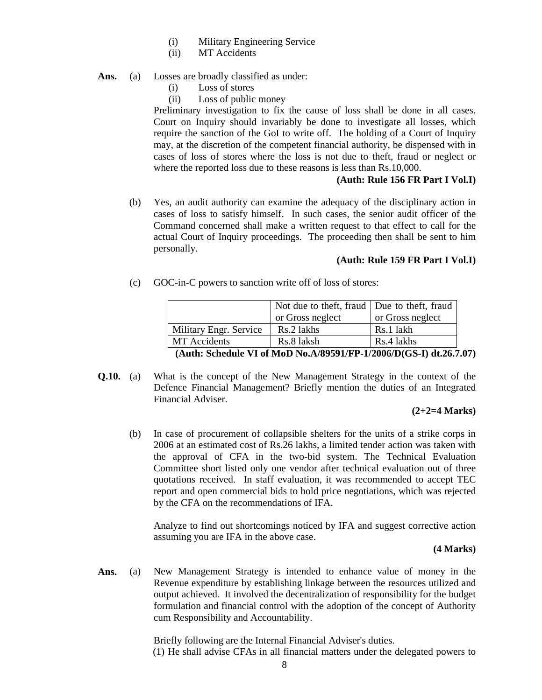- (i) Military Engineering Service
- (ii) MT Accidents
- Ans. (a) Losses are broadly classified as under:
	- (i) Loss of stores
	- (ii) Loss of public money

Preliminary investigation to fix the cause of loss shall be done in all cases. Court on Inquiry should invariably be done to investigate all losses, which require the sanction of the GoI to write off. The holding of a Court of Inquiry may, at the discretion of the competent financial authority, be dispensed with in cases of loss of stores where the loss is not due to theft, fraud or neglect or where the reported loss due to these reasons is less than Rs.10,000.

# **(Auth: Rule 156 FR Part I Vol.I)**

 (b) Yes, an audit authority can examine the adequacy of the disciplinary action in cases of loss to satisfy himself. In such cases, the senior audit officer of the Command concerned shall make a written request to that effect to call for the actual Court of Inquiry proceedings. The proceeding then shall be sent to him personally.

#### **(Auth: Rule 159 FR Part I Vol.I)**

(c) GOC-in-C powers to sanction write off of loss of stores:

|                                                                    | Not due to theft, fraud   Due to theft, fraud |                  |  |  |  |  |  |  |
|--------------------------------------------------------------------|-----------------------------------------------|------------------|--|--|--|--|--|--|
|                                                                    | or Gross neglect                              | or Gross neglect |  |  |  |  |  |  |
| Military Engr. Service                                             | Rs.2 lakhs                                    | Rs.1 lakh        |  |  |  |  |  |  |
| MT Accidents                                                       | Rs.8 laksh                                    | Rs.4 lakhs       |  |  |  |  |  |  |
| (Auth: Schedule VI of MoD No.A/89591/FP-1/2006/D(GS-I) dt.26.7.07) |                                               |                  |  |  |  |  |  |  |

**Q.10.** (a) What is the concept of the New Management Strategy in the context of the Defence Financial Management? Briefly mention the duties of an Integrated Financial Adviser.

#### **(2+2=4 Marks)**

 (b) In case of procurement of collapsible shelters for the units of a strike corps in 2006 at an estimated cost of Rs.26 lakhs, a limited tender action was taken with the approval of CFA in the two-bid system. The Technical Evaluation Committee short listed only one vendor after technical evaluation out of three quotations received. In staff evaluation, it was recommended to accept TEC report and open commercial bids to hold price negotiations, which was rejected by the CFA on the recommendations of IFA.

Analyze to find out shortcomings noticed by IFA and suggest corrective action assuming you are IFA in the above case.

#### **(4 Marks)**

**Ans.** (a) New Management Strategy is intended to enhance value of money in the Revenue expenditure by establishing linkage between the resources utilized and output achieved. It involved the decentralization of responsibility for the budget formulation and financial control with the adoption of the concept of Authority cum Responsibility and Accountability.

> Briefly following are the Internal Financial Adviser's duties. (1) He shall advise CFAs in all financial matters under the delegated powers to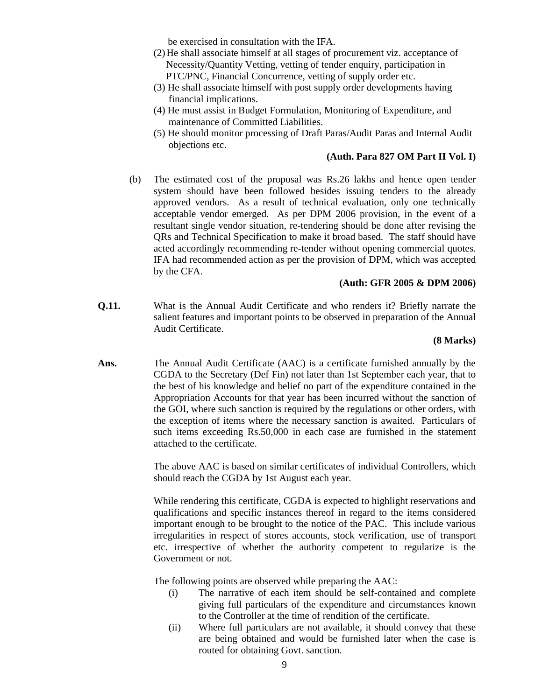be exercised in consultation with the IFA.

- (2)He shall associate himself at all stages of procurement viz. acceptance of Necessity/Quantity Vetting, vetting of tender enquiry, participation in PTC/PNC, Financial Concurrence, vetting of supply order etc.
- (3) He shall associate himself with post supply order developments having financial implications.
- (4) He must assist in Budget Formulation, Monitoring of Expenditure, and maintenance of Committed Liabilities.
- (5) He should monitor processing of Draft Paras/Audit Paras and Internal Audit objections etc.

### **(Auth. Para 827 OM Part II Vol. I)**

 (b) The estimated cost of the proposal was Rs.26 lakhs and hence open tender system should have been followed besides issuing tenders to the already approved vendors. As a result of technical evaluation, only one technically acceptable vendor emerged. As per DPM 2006 provision, in the event of a resultant single vendor situation, re-tendering should be done after revising the QRs and Technical Specification to make it broad based. The staff should have acted accordingly recommending re-tender without opening commercial quotes. IFA had recommended action as per the provision of DPM, which was accepted by the CFA.

# **(Auth: GFR 2005 & DPM 2006)**

**Q.11.** What is the Annual Audit Certificate and who renders it? Briefly narrate the salient features and important points to be observed in preparation of the Annual Audit Certificate.

#### **(8 Marks)**

**Ans.** The Annual Audit Certificate (AAC) is a certificate furnished annually by the CGDA to the Secretary (Def Fin) not later than 1st September each year, that to the best of his knowledge and belief no part of the expenditure contained in the Appropriation Accounts for that year has been incurred without the sanction of the GOI, where such sanction is required by the regulations or other orders, with the exception of items where the necessary sanction is awaited. Particulars of such items exceeding Rs.50,000 in each case are furnished in the statement attached to the certificate.

> The above AAC is based on similar certificates of individual Controllers, which should reach the CGDA by 1st August each year.

> While rendering this certificate, CGDA is expected to highlight reservations and qualifications and specific instances thereof in regard to the items considered important enough to be brought to the notice of the PAC. This include various irregularities in respect of stores accounts, stock verification, use of transport etc. irrespective of whether the authority competent to regularize is the Government or not.

The following points are observed while preparing the AAC:

- (i) The narrative of each item should be self-contained and complete giving full particulars of the expenditure and circumstances known to the Controller at the time of rendition of the certificate.
- (ii) Where full particulars are not available, it should convey that these are being obtained and would be furnished later when the case is routed for obtaining Govt. sanction.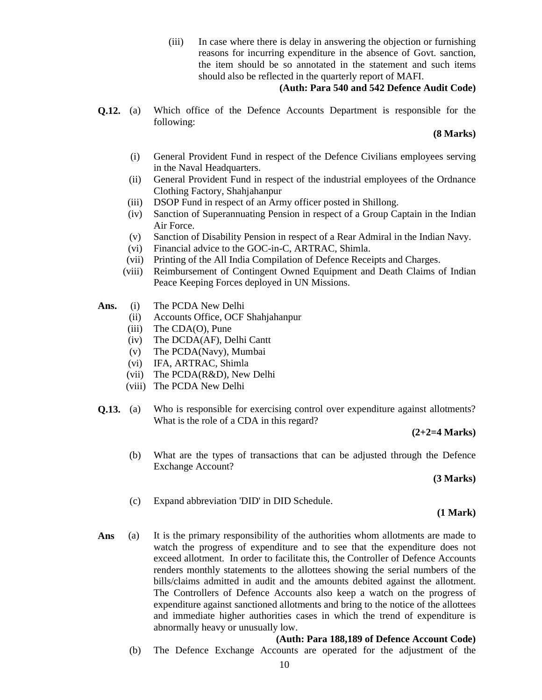(iii) In case where there is delay in answering the objection or furnishing reasons for incurring expenditure in the absence of Govt. sanction, the item should be so annotated in the statement and such items should also be reflected in the quarterly report of MAFI.

# **(Auth: Para 540 and 542 Defence Audit Code)**

**Q.12.** (a) Which office of the Defence Accounts Department is responsible for the following:

### **(8 Marks)**

- (i) General Provident Fund in respect of the Defence Civilians employees serving in the Naval Headquarters.
- (ii) General Provident Fund in respect of the industrial employees of the Ordnance Clothing Factory, Shahjahanpur
- (iii) DSOP Fund in respect of an Army officer posted in Shillong.
- (iv) Sanction of Superannuating Pension in respect of a Group Captain in the Indian Air Force.
- (v) Sanction of Disability Pension in respect of a Rear Admiral in the Indian Navy.
- (vi) Financial advice to the GOC-in-C, ARTRAC, Shimla.
- (vii) Printing of the All India Compilation of Defence Receipts and Charges.
- (viii) Reimbursement of Contingent Owned Equipment and Death Claims of Indian Peace Keeping Forces deployed in UN Missions.
- **Ans.** (i) The PCDA New Delhi
	- (ii) Accounts Office, OCF Shahjahanpur
	- (iii) The CDA(O), Pune
	- (iv) The DCDA(AF), Delhi Cantt
	- (v) The PCDA(Navy), Mumbai
	- (vi) IFA, ARTRAC, Shimla
	- (vii) The PCDA(R&D), New Delhi
	- (viii) The PCDA New Delhi
- **Q.13.** (a) Who is responsible for exercising control over expenditure against allotments? What is the role of a CDA in this regard?

#### **(2+2=4 Marks)**

 (b) What are the types of transactions that can be adjusted through the Defence Exchange Account?

#### **(3 Marks)**

(c) Expand abbreviation 'DID' in DID Schedule.

#### **(1 Mark)**

Ans (a) It is the primary responsibility of the authorities whom allotments are made to watch the progress of expenditure and to see that the expenditure does not exceed allotment. In order to facilitate this, the Controller of Defence Accounts renders monthly statements to the allottees showing the serial numbers of the bills/claims admitted in audit and the amounts debited against the allotment. The Controllers of Defence Accounts also keep a watch on the progress of expenditure against sanctioned allotments and bring to the notice of the allottees and immediate higher authorities cases in which the trend of expenditure is abnormally heavy or unusually low.

#### **(Auth: Para 188,189 of Defence Account Code)**

(b) The Defence Exchange Accounts are operated for the adjustment of the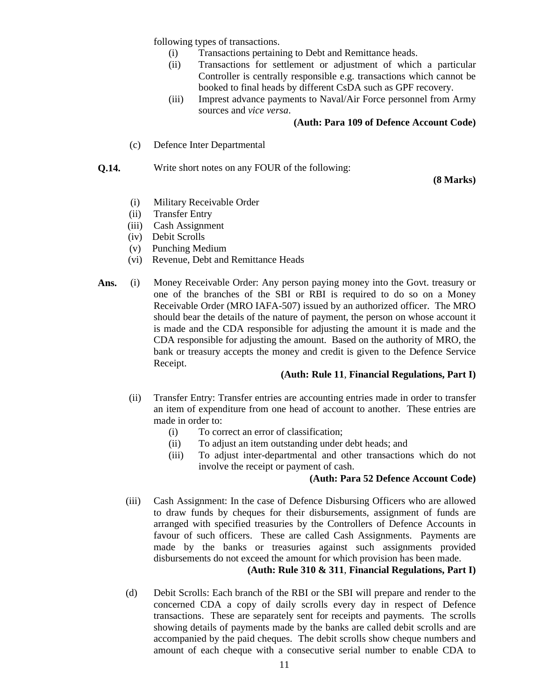following types of transactions.

- (i) Transactions pertaining to Debt and Remittance heads.
- (ii) Transactions for settlement or adjustment of which a particular Controller is centrally responsible e.g. transactions which cannot be booked to final heads by different CsDA such as GPF recovery.
- (iii) Imprest advance payments to Naval/Air Force personnel from Army sources and *vice versa*.

## **(Auth: Para 109 of Defence Account Code)**

(c) Defence Inter Departmental

## **Q.14.** Write short notes on any FOUR of the following:

**(8 Marks)**

- (i) Military Receivable Order
- (ii) Transfer Entry
- (iii) Cash Assignment
- (iv) Debit Scrolls
- (v) Punching Medium
- (vi) Revenue, Debt and Remittance Heads
- **Ans.** (i) Money Receivable Order: Any person paying money into the Govt. treasury or one of the branches of the SBI or RBI is required to do so on a Money Receivable Order (MRO IAFA-507) issued by an authorized officer. The MRO should bear the details of the nature of payment, the person on whose account it is made and the CDA responsible for adjusting the amount it is made and the CDA responsible for adjusting the amount. Based on the authority of MRO, the bank or treasury accepts the money and credit is given to the Defence Service Receipt.

#### **(Auth: Rule 11**, **Financial Regulations, Part I)**

- (ii) Transfer Entry: Transfer entries are accounting entries made in order to transfer an item of expenditure from one head of account to another. These entries are made in order to:
	- (i) To correct an error of classification;
	- (ii) To adjust an item outstanding under debt heads; and
	- (iii) To adjust inter-departmental and other transactions which do not involve the receipt or payment of cash.

## **(Auth: Para 52 Defence Account Code)**

 (iii) Cash Assignment: In the case of Defence Disbursing Officers who are allowed to draw funds by cheques for their disbursements, assignment of funds are arranged with specified treasuries by the Controllers of Defence Accounts in favour of such officers. These are called Cash Assignments. Payments are made by the banks or treasuries against such assignments provided disbursements do not exceed the amount for which provision has been made.

#### **(Auth: Rule 310 & 311**, **Financial Regulations, Part I)**

 (d) Debit Scrolls: Each branch of the RBI or the SBI will prepare and render to the concerned CDA a copy of daily scrolls every day in respect of Defence transactions. These are separately sent for receipts and payments. The scrolls showing details of payments made by the banks are called debit scrolls and are accompanied by the paid cheques. The debit scrolls show cheque numbers and amount of each cheque with a consecutive serial number to enable CDA to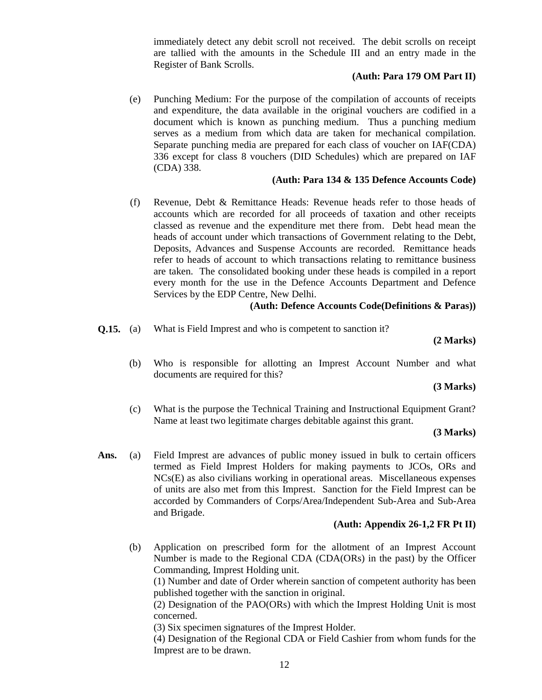immediately detect any debit scroll not received. The debit scrolls on receipt are tallied with the amounts in the Schedule III and an entry made in the Register of Bank Scrolls.

## **(Auth: Para 179 OM Part II)**

(e) Punching Medium: For the purpose of the compilation of accounts of receipts and expenditure, the data available in the original vouchers are codified in a document which is known as punching medium. Thus a punching medium serves as a medium from which data are taken for mechanical compilation. Separate punching media are prepared for each class of voucher on IAF(CDA) 336 except for class 8 vouchers (DID Schedules) which are prepared on IAF (CDA) 338.

# **(Auth: Para 134 & 135 Defence Accounts Code)**

(f) Revenue, Debt & Remittance Heads: Revenue heads refer to those heads of accounts which are recorded for all proceeds of taxation and other receipts classed as revenue and the expenditure met there from. Debt head mean the heads of account under which transactions of Government relating to the Debt, Deposits, Advances and Suspense Accounts are recorded. Remittance heads refer to heads of account to which transactions relating to remittance business are taken. The consolidated booking under these heads is compiled in a report every month for the use in the Defence Accounts Department and Defence Services by the EDP Centre, New Delhi.

# **(Auth: Defence Accounts Code(Definitions & Paras))**

**Q.15.** (a) What is Field Imprest and who is competent to sanction it?

## **(2 Marks)**

 (b) Who is responsible for allotting an Imprest Account Number and what documents are required for this?

# **(3 Marks)**

(c) What is the purpose the Technical Training and Instructional Equipment Grant? Name at least two legitimate charges debitable against this grant.

#### **(3 Marks)**

Ans. (a) Field Imprest are advances of public money issued in bulk to certain officers termed as Field Imprest Holders for making payments to JCOs, ORs and NCs(E) as also civilians working in operational areas. Miscellaneous expenses of units are also met from this Imprest. Sanction for the Field Imprest can be accorded by Commanders of Corps/Area/Independent Sub-Area and Sub-Area and Brigade.

# **(Auth: Appendix 26-1,2 FR Pt II)**

 (b) Application on prescribed form for the allotment of an Imprest Account Number is made to the Regional CDA (CDA(ORs) in the past) by the Officer Commanding, Imprest Holding unit.

(1) Number and date of Order wherein sanction of competent authority has been published together with the sanction in original.

(2) Designation of the PAO(ORs) with which the Imprest Holding Unit is most concerned.

(3) Six specimen signatures of the Imprest Holder.

(4) Designation of the Regional CDA or Field Cashier from whom funds for the Imprest are to be drawn.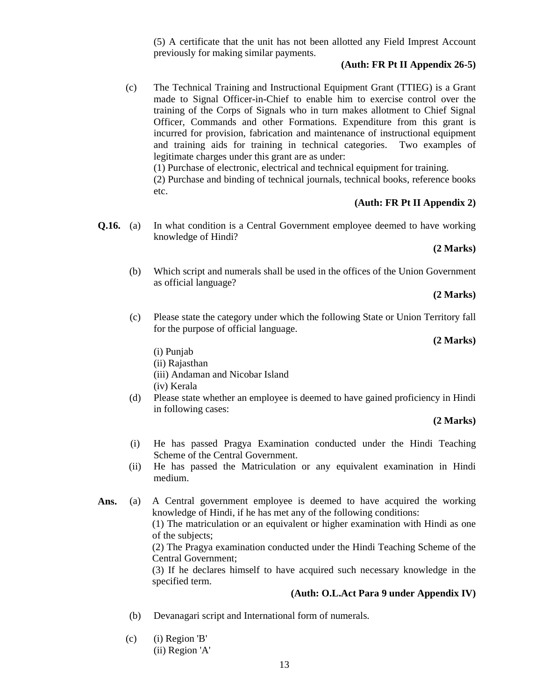(5) A certificate that the unit has not been allotted any Field Imprest Account previously for making similar payments.

# **(Auth: FR Pt II Appendix 26-5)**

 (c) The Technical Training and Instructional Equipment Grant (TTIEG) is a Grant made to Signal Officer-in-Chief to enable him to exercise control over the training of the Corps of Signals who in turn makes allotment to Chief Signal Officer, Commands and other Formations. Expenditure from this grant is incurred for provision, fabrication and maintenance of instructional equipment and training aids for training in technical categories. Two examples of legitimate charges under this grant are as under: (1) Purchase of electronic, electrical and technical equipment for training.

(2) Purchase and binding of technical journals, technical books, reference books etc.

# **(Auth: FR Pt II Appendix 2)**

**Q.16.** (a) In what condition is a Central Government employee deemed to have working knowledge of Hindi?

# **(2 Marks)**

 (b) Which script and numerals shall be used in the offices of the Union Government as official language?

#### **(2 Marks)**

 (c) Please state the category under which the following State or Union Territory fall for the purpose of official language.

#### **(2 Marks)**

- (i) Punjab
- (ii) Rajasthan
- (iii) Andaman and Nicobar Island
- (iv) Kerala
- (d) Please state whether an employee is deemed to have gained proficiency in Hindi in following cases:

#### **(2 Marks)**

- (i) He has passed Pragya Examination conducted under the Hindi Teaching Scheme of the Central Government.
- (ii) He has passed the Matriculation or any equivalent examination in Hindi medium.
- **Ans.** (a) A Central government employee is deemed to have acquired the working knowledge of Hindi, if he has met any of the following conditions:

(1) The matriculation or an equivalent or higher examination with Hindi as one of the subjects;

(2) The Pragya examination conducted under the Hindi Teaching Scheme of the Central Government;

(3) If he declares himself to have acquired such necessary knowledge in the specified term.

# **(Auth: O.L.Act Para 9 under Appendix IV)**

- (b) Devanagari script and International form of numerals.
- (c) (i) Region 'B' (ii) Region 'A'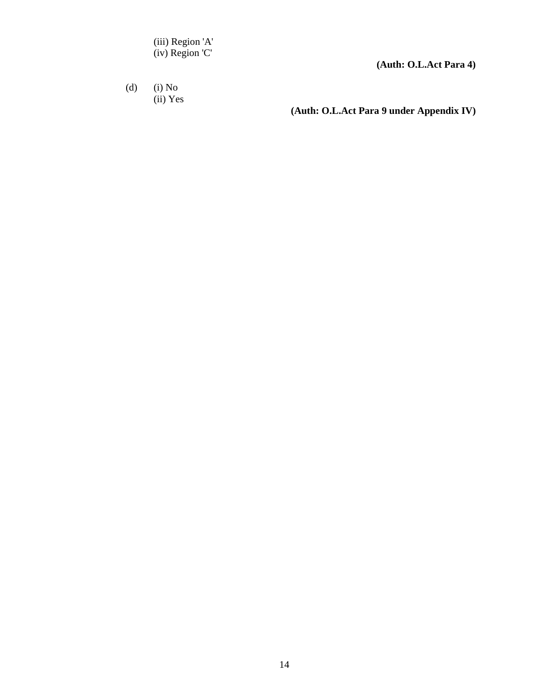(iii) Region 'A' (iv) Region 'C'

 **(Auth: O.L.Act Para 4)**

 (d) (i) No (ii) Yes

**(Auth: O.L.Act Para 9 under Appendix IV)**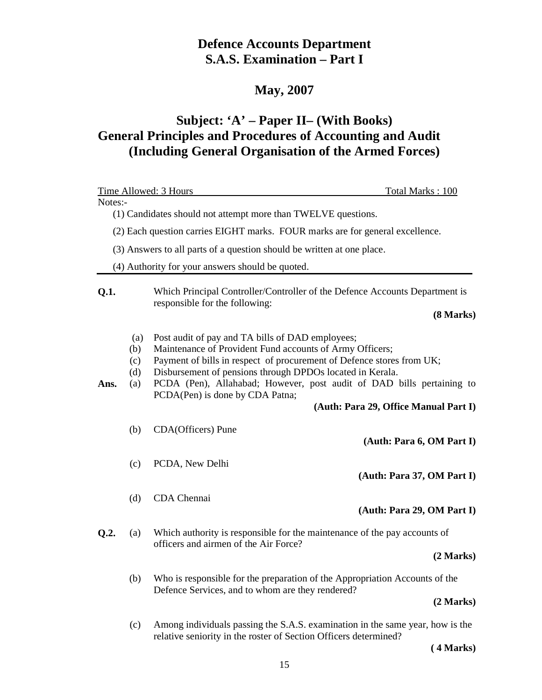# **Defence Accounts Department S.A.S. Examination – Part I**

# **May, 2007**

# **Subject: 'A' – Paper II– (With Books) General Principles and Procedures of Accounting and Audit (Including General Organisation of the Armed Forces)**

| Time Allowed: 3 Hours |                                 |                                                                                                                                                                                                                                                                                                                                                                | Total Marks: 100                      |
|-----------------------|---------------------------------|----------------------------------------------------------------------------------------------------------------------------------------------------------------------------------------------------------------------------------------------------------------------------------------------------------------------------------------------------------------|---------------------------------------|
| Notes:-               |                                 |                                                                                                                                                                                                                                                                                                                                                                |                                       |
|                       |                                 | (1) Candidates should not attempt more than TWELVE questions.                                                                                                                                                                                                                                                                                                  |                                       |
|                       |                                 | (2) Each question carries EIGHT marks. FOUR marks are for general excellence.                                                                                                                                                                                                                                                                                  |                                       |
|                       |                                 | (3) Answers to all parts of a question should be written at one place.                                                                                                                                                                                                                                                                                         |                                       |
|                       |                                 | (4) Authority for your answers should be quoted.                                                                                                                                                                                                                                                                                                               |                                       |
| Q.1.                  |                                 | Which Principal Controller/Controller of the Defence Accounts Department is<br>responsible for the following:                                                                                                                                                                                                                                                  | (8 Marks)                             |
| Ans.                  | (a)<br>(b)<br>(c)<br>(d)<br>(a) | Post audit of pay and TA bills of DAD employees;<br>Maintenance of Provident Fund accounts of Army Officers;<br>Payment of bills in respect of procurement of Defence stores from UK;<br>Disbursement of pensions through DPDOs located in Kerala.<br>PCDA (Pen), Allahabad; However, post audit of DAD bills pertaining to<br>PCDA(Pen) is done by CDA Patna; | (Auth: Para 29, Office Manual Part I) |
|                       | (b)                             | CDA(Officers) Pune                                                                                                                                                                                                                                                                                                                                             | (Auth: Para 6, OM Part I)             |
|                       | (c)                             | PCDA, New Delhi                                                                                                                                                                                                                                                                                                                                                | (Auth: Para 37, OM Part I)            |
|                       | (d)                             | CDA Chennai                                                                                                                                                                                                                                                                                                                                                    | (Auth: Para 29, OM Part I)            |
| Q.2.                  | (a)                             | Which authority is responsible for the maintenance of the pay accounts of<br>officers and airmen of the Air Force?                                                                                                                                                                                                                                             | (2 Marks)                             |
|                       | (b)                             | Who is responsible for the preparation of the Appropriation Accounts of the<br>Defence Services, and to whom are they rendered?                                                                                                                                                                                                                                | (2 Marks)                             |
|                       | (c)                             | Among individuals passing the S.A.S. examination in the same year, how is the<br>relative seniority in the roster of Section Officers determined?                                                                                                                                                                                                              |                                       |

**( 4 Marks)**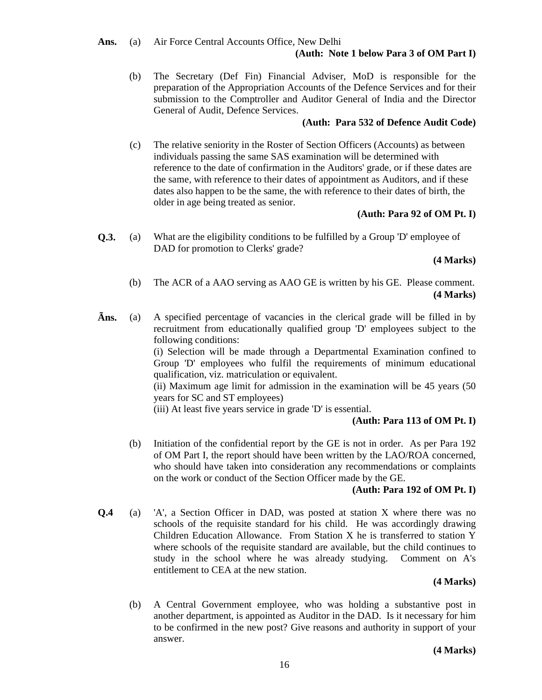**Ans.** (a) Air Force Central Accounts Office, New Delhi

# **(Auth: Note 1 below Para 3 of OM Part I)**

 (b) The Secretary (Def Fin) Financial Adviser, MoD is responsible for the preparation of the Appropriation Accounts of the Defence Services and for their submission to the Comptroller and Auditor General of India and the Director General of Audit, Defence Services.

# **(Auth: Para 532 of Defence Audit Code)**

 (c) The relative seniority in the Roster of Section Officers (Accounts) as between individuals passing the same SAS examination will be determined with reference to the date of confirmation in the Auditors' grade, or if these dates are the same, with reference to their dates of appointment as Auditors, and if these dates also happen to be the same, the with reference to their dates of birth, the older in age being treated as senior.

# **(Auth: Para 92 of OM Pt. I)**

**Q.3.** (a) What are the eligibility conditions to be fulfilled by a Group 'D' employee of DAD for promotion to Clerks' grade?

# **(4 Marks)**

- (b) The ACR of a AAO serving as AAO GE is written by his GE. Please comment.  **(4 Marks)**
- **Ãns.** (a) A specified percentage of vacancies in the clerical grade will be filled in by recruitment from educationally qualified group 'D' employees subject to the following conditions:

 (i) Selection will be made through a Departmental Examination confined to Group 'D' employees who fulfil the requirements of minimum educational qualification, viz. matriculation or equivalent.

 (ii) Maximum age limit for admission in the examination will be 45 years (50 years for SC and ST employees)

(iii) At least five years service in grade 'D' is essential.

# **(Auth: Para 113 of OM Pt. I)**

 (b) Initiation of the confidential report by the GE is not in order. As per Para 192 of OM Part I, the report should have been written by the LAO/ROA concerned, who should have taken into consideration any recommendations or complaints on the work or conduct of the Section Officer made by the GE.

# **(Auth: Para 192 of OM Pt. I)**

**Q.4** (a) 'A', a Section Officer in DAD, was posted at station X where there was no schools of the requisite standard for his child. He was accordingly drawing Children Education Allowance. From Station X he is transferred to station Y where schools of the requisite standard are available, but the child continues to study in the school where he was already studying. Comment on A's entitlement to CEA at the new station.

# **(4 Marks)**

 (b) A Central Government employee, who was holding a substantive post in another department, is appointed as Auditor in the DAD. Is it necessary for him to be confirmed in the new post? Give reasons and authority in support of your answer.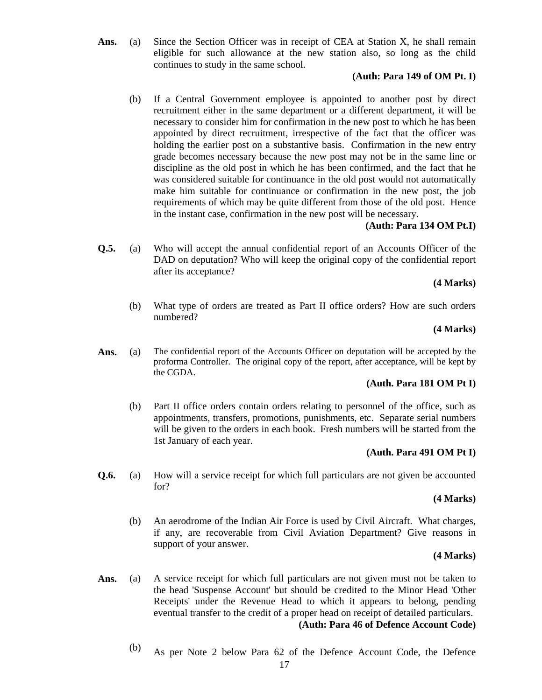Ans. (a) Since the Section Officer was in receipt of CEA at Station X, he shall remain eligible for such allowance at the new station also, so long as the child continues to study in the same school.

# **(Auth: Para 149 of OM Pt. I)**

 (b) If a Central Government employee is appointed to another post by direct recruitment either in the same department or a different department, it will be necessary to consider him for confirmation in the new post to which he has been appointed by direct recruitment, irrespective of the fact that the officer was holding the earlier post on a substantive basis. Confirmation in the new entry grade becomes necessary because the new post may not be in the same line or discipline as the old post in which he has been confirmed, and the fact that he was considered suitable for continuance in the old post would not automatically make him suitable for continuance or confirmation in the new post, the job requirements of which may be quite different from those of the old post. Hence in the instant case, confirmation in the new post will be necessary.

# **(Auth: Para 134 OM Pt.I)**

**Q.5.** (a) Who will accept the annual confidential report of an Accounts Officer of the DAD on deputation? Who will keep the original copy of the confidential report after its acceptance?

# **(4 Marks)**

 (b) What type of orders are treated as Part II office orders? How are such orders numbered?

# **(4 Marks)**

**Ans.** (a) The confidential report of the Accounts Officer on deputation will be accepted by the proforma Controller. The original copy of the report, after acceptance, will be kept by the CGDA.

# **(Auth. Para 181 OM Pt I)**

 (b) Part II office orders contain orders relating to personnel of the office, such as appointments, transfers, promotions, punishments, etc. Separate serial numbers will be given to the orders in each book. Fresh numbers will be started from the 1st January of each year.

# **(Auth. Para 491 OM Pt I)**

**Q.6.** (a) How will a service receipt for which full particulars are not given be accounted for?

# **(4 Marks)**

 (b) An aerodrome of the Indian Air Force is used by Civil Aircraft. What charges, if any, are recoverable from Civil Aviation Department? Give reasons in support of your answer.

# **(4 Marks)**

- Ans. (a) A service receipt for which full particulars are not given must not be taken to the head 'Suspense Account' but should be credited to the Minor Head 'Other Receipts' under the Revenue Head to which it appears to belong, pending eventual transfer to the credit of a proper head on receipt of detailed particulars. **(Auth: Para 46 of Defence Account Code)**
	- (b) As per Note 2 below Para 62 of the Defence Account Code, the Defence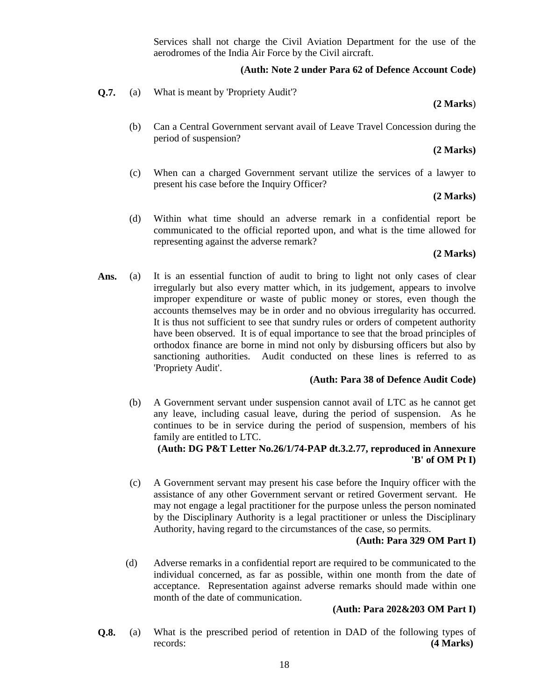Services shall not charge the Civil Aviation Department for the use of the aerodromes of the India Air Force by the Civil aircraft.

#### **(Auth: Note 2 under Para 62 of Defence Account Code)**

**Q.7.** (a) What is meant by 'Propriety Audit'?

#### **(2 Marks**)

 (b) Can a Central Government servant avail of Leave Travel Concession during the period of suspension?

#### **(2 Marks)**

 (c) When can a charged Government servant utilize the services of a lawyer to present his case before the Inquiry Officer?

# **(2 Marks)**

(d) Within what time should an adverse remark in a confidential report be communicated to the official reported upon, and what is the time allowed for representing against the adverse remark?

# **(2 Marks)**

Ans. (a) It is an essential function of audit to bring to light not only cases of clear irregularly but also every matter which, in its judgement, appears to involve improper expenditure or waste of public money or stores, even though the accounts themselves may be in order and no obvious irregularity has occurred. It is thus not sufficient to see that sundry rules or orders of competent authority have been observed. It is of equal importance to see that the broad principles of orthodox finance are borne in mind not only by disbursing officers but also by sanctioning authorities. Audit conducted on these lines is referred to as 'Propriety Audit'.

#### **(Auth: Para 38 of Defence Audit Code)**

 (b) A Government servant under suspension cannot avail of LTC as he cannot get any leave, including casual leave, during the period of suspension. As he continues to be in service during the period of suspension, members of his family are entitled to LTC.

# **(Auth: DG P&T Letter No.26/1/74-PAP dt.3.2.77, reproduced in Annexure 'B' of OM Pt I)**

 (c) A Government servant may present his case before the Inquiry officer with the assistance of any other Government servant or retired Goverment servant. He may not engage a legal practitioner for the purpose unless the person nominated by the Disciplinary Authority is a legal practitioner or unless the Disciplinary Authority, having regard to the circumstances of the case, so permits.

# **(Auth: Para 329 OM Part I)**

 (d) Adverse remarks in a confidential report are required to be communicated to the individual concerned, as far as possible, within one month from the date of acceptance. Representation against adverse remarks should made within one month of the date of communication.

# **(Auth: Para 202&203 OM Part I)**

**Q.8.** (a) What is the prescribed period of retention in DAD of the following types of records: **(4 Marks)**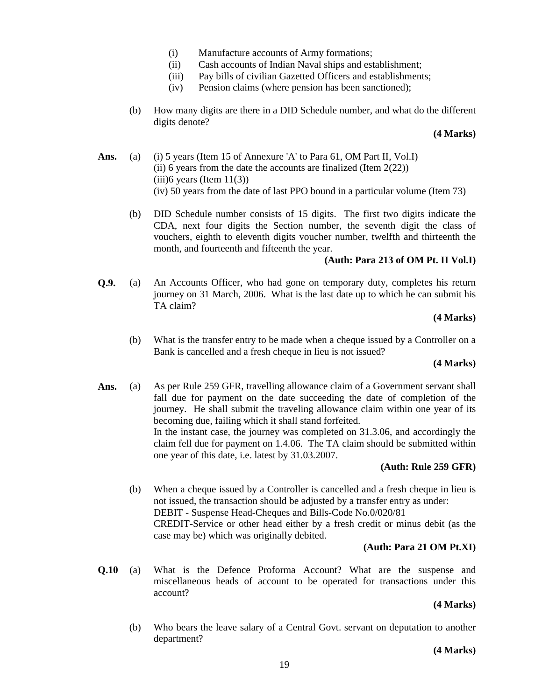- (i) Manufacture accounts of Army formations;
- (ii) Cash accounts of Indian Naval ships and establishment;
- (iii) Pay bills of civilian Gazetted Officers and establishments;
- (iv) Pension claims (where pension has been sanctioned);
- (b) How many digits are there in a DID Schedule number, and what do the different digits denote?

#### **(4 Marks)**

- Ans. (a) (i) 5 years (Item 15 of Annexure 'A' to Para 61, OM Part II, Vol.I) (ii) 6 years from the date the accounts are finalized (Item  $2(22)$ )  $(iii)$ 6 years (Item 11(3)) (iv) 50 years from the date of last PPO bound in a particular volume (Item 73)
	- (b) DID Schedule number consists of 15 digits. The first two digits indicate the CDA, next four digits the Section number, the seventh digit the class of vouchers, eighth to eleventh digits voucher number, twelfth and thirteenth the month, and fourteenth and fifteenth the year.

# **(Auth: Para 213 of OM Pt. II Vol.I)**

**Q.9.** (a) An Accounts Officer, who had gone on temporary duty, completes his return journey on 31 March, 2006. What is the last date up to which he can submit his TA claim?

### **(4 Marks)**

 (b) What is the transfer entry to be made when a cheque issued by a Controller on a Bank is cancelled and a fresh cheque in lieu is not issued?

#### **(4 Marks)**

Ans. (a) As per Rule 259 GFR, travelling allowance claim of a Government servant shall fall due for payment on the date succeeding the date of completion of the journey. He shall submit the traveling allowance claim within one year of its becoming due, failing which it shall stand forfeited. In the instant case, the journey was completed on 31.3.06, and accordingly the claim fell due for payment on 1.4.06. The TA claim should be submitted within one year of this date, i.e. latest by 31.03.2007.

# **(Auth: Rule 259 GFR)**

 (b) When a cheque issued by a Controller is cancelled and a fresh cheque in lieu is not issued, the transaction should be adjusted by a transfer entry as under: DEBIT - Suspense Head-Cheques and Bills-Code No.0/020/81 CREDIT-Service or other head either by a fresh credit or minus debit (as the case may be) which was originally debited.

# **(Auth: Para 21 OM Pt.XI)**

**Q.10** (a) What is the Defence Proforma Account? What are the suspense and miscellaneous heads of account to be operated for transactions under this account?

# **(4 Marks)**

 (b) Who bears the leave salary of a Central Govt. servant on deputation to another department?

**(4 Marks)**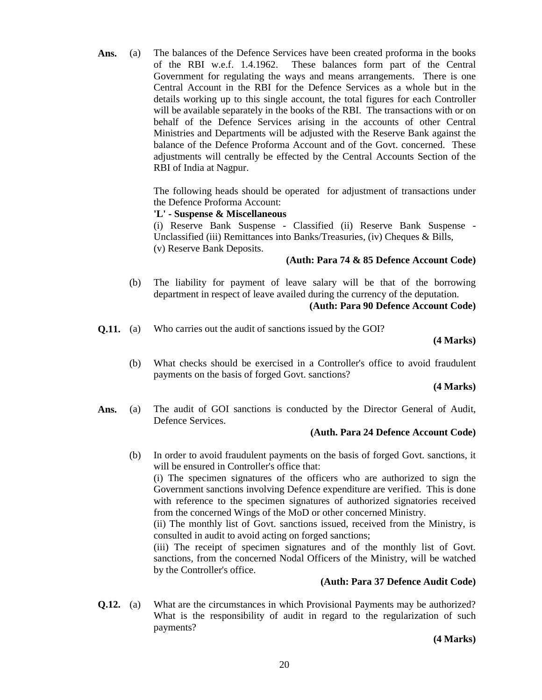Ans. (a) The balances of the Defence Services have been created proforma in the books of the RBI w.e.f. 1.4.1962. These balances form part of the Central Government for regulating the ways and means arrangements. There is one Central Account in the RBI for the Defence Services as a whole but in the details working up to this single account, the total figures for each Controller will be available separately in the books of the RBI. The transactions with or on behalf of the Defence Services arising in the accounts of other Central Ministries and Departments will be adjusted with the Reserve Bank against the balance of the Defence Proforma Account and of the Govt. concerned. These adjustments will centrally be effected by the Central Accounts Section of the RBI of India at Nagpur.

> The following heads should be operated for adjustment of transactions under the Defence Proforma Account:

### **'L' - Suspense & Miscellaneous**

(i) Reserve Bank Suspense - Classified (ii) Reserve Bank Suspense - Unclassified (iii) Remittances into Banks/Treasuries, (iv) Cheques & Bills, (v) Reserve Bank Deposits.

## **(Auth: Para 74 & 85 Defence Account Code)**

 (b) The liability for payment of leave salary will be that of the borrowing department in respect of leave availed during the currency of the deputation.

# **(Auth: Para 90 Defence Account Code)**

**Q.11.** (a) Who carries out the audit of sanctions issued by the GOI?

### **(4 Marks)**

 (b) What checks should be exercised in a Controller's office to avoid fraudulent payments on the basis of forged Govt. sanctions?

#### **(4 Marks)**

**Ans.** (a) The audit of GOI sanctions is conducted by the Director General of Audit, Defence Services.

# **(Auth. Para 24 Defence Account Code)**

 (b) In order to avoid fraudulent payments on the basis of forged Govt. sanctions, it will be ensured in Controller's office that:

(i) The specimen signatures of the officers who are authorized to sign the Government sanctions involving Defence expenditure are verified. This is done with reference to the specimen signatures of authorized signatories received from the concerned Wings of the MoD or other concerned Ministry.

(ii) The monthly list of Govt. sanctions issued, received from the Ministry, is consulted in audit to avoid acting on forged sanctions;

(iii) The receipt of specimen signatures and of the monthly list of Govt. sanctions, from the concerned Nodal Officers of the Ministry, will be watched by the Controller's office.

# **(Auth: Para 37 Defence Audit Code)**

**Q.12.** (a) What are the circumstances in which Provisional Payments may be authorized? What is the responsibility of audit in regard to the regularization of such payments?

**(4 Marks)**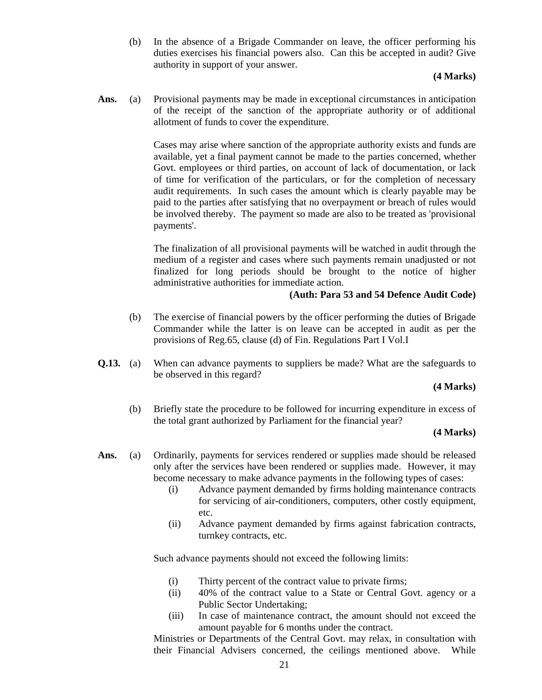(b) In the absence of a Brigade Commander on leave, the officer performing his duties exercises his financial powers also. Can this be accepted in audit? Give authority in support of your answer.

### **(4 Marks)**

**Ans.** (a) Provisional payments may be made in exceptional circumstances in anticipation of the receipt of the sanction of the appropriate authority or of additional allotment of funds to cover the expenditure.

> Cases may arise where sanction of the appropriate authority exists and funds are available, yet a final payment cannot be made to the parties concerned, whether Govt. employees or third parties, on account of lack of documentation, or lack of time for verification of the particulars, or for the completion of necessary audit requirements. In such cases the amount which is clearly payable may be paid to the parties after satisfying that no overpayment or breach of rules would be involved thereby. The payment so made are also to be treated as 'provisional payments'.

> The finalization of all provisional payments will be watched in audit through the medium of a register and cases where such payments remain unadjusted or not finalized for long periods should be brought to the notice of higher administrative authorities for immediate action.

### **(Auth: Para 53 and 54 Defence Audit Code)**

- (b) The exercise of financial powers by the officer performing the duties of Brigade Commander while the latter is on leave can be accepted in audit as per the provisions of Reg.65, clause (d) of Fin. Regulations Part I Vol.I
- **Q.13.** (a) When can advance payments to suppliers be made? What are the safeguards to be observed in this regard?

#### **(4 Marks)**

 (b) Briefly state the procedure to be followed for incurring expenditure in excess of the total grant authorized by Parliament for the financial year?

#### **(4 Marks)**

- Ans. (a) Ordinarily, payments for services rendered or supplies made should be released only after the services have been rendered or supplies made. However, it may become necessary to make advance payments in the following types of cases:
	- (i) Advance payment demanded by firms holding maintenance contracts for servicing of air-conditioners, computers, other costly equipment, etc.
	- (ii) Advance payment demanded by firms against fabrication contracts, turnkey contracts, etc.

Such advance payments should not exceed the following limits:

- (i) Thirty percent of the contract value to private firms;
- (ii) 40% of the contract value to a State or Central Govt. agency or a Public Sector Undertaking;
- (iii) In case of maintenance contract, the amount should not exceed the amount payable for 6 months under the contract.

Ministries or Departments of the Central Govt. may relax, in consultation with their Financial Advisers concerned, the ceilings mentioned above. While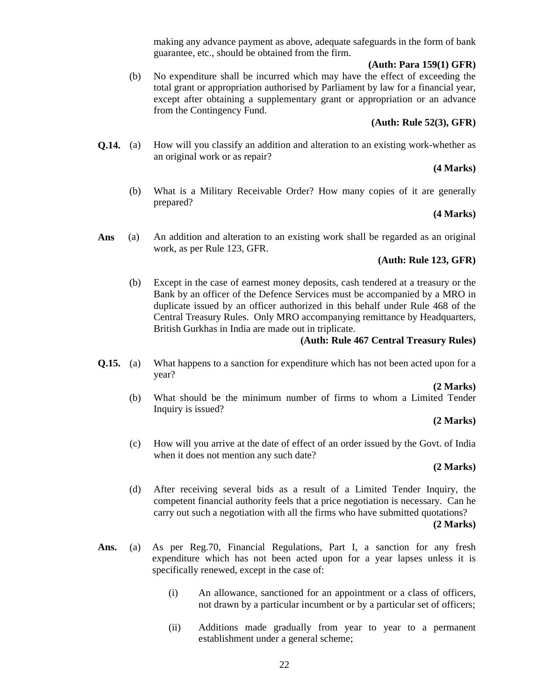making any advance payment as above, adequate safeguards in the form of bank guarantee, etc., should be obtained from the firm.

#### **(Auth: Para 159(1) GFR)**

 (b) No expenditure shall be incurred which may have the effect of exceeding the total grant or appropriation authorised by Parliament by law for a financial year, except after obtaining a supplementary grant or appropriation or an advance from the Contingency Fund.

# **(Auth: Rule 52(3), GFR)**

**Q.14.** (a) How will you classify an addition and alteration to an existing work-whether as an original work or as repair?

## **(4 Marks)**

 (b) What is a Military Receivable Order? How many copies of it are generally prepared?

# **(4 Marks)**

**Ans** (a) An addition and alteration to an existing work shall be regarded as an original work, as per Rule 123, GFR.

# **(Auth: Rule 123, GFR)**

 (b) Except in the case of earnest money deposits, cash tendered at a treasury or the Bank by an officer of the Defence Services must be accompanied by a MRO in duplicate issued by an officer authorized in this behalf under Rule 468 of the Central Treasury Rules. Only MRO accompanying remittance by Headquarters, British Gurkhas in India are made out in triplicate.

### **(Auth: Rule 467 Central Treasury Rules)**

**Q.15.** (a) What happens to a sanction for expenditure which has not been acted upon for a year?

**(2 Marks)**

 (b) What should be the minimum number of firms to whom a Limited Tender Inquiry is issued?

**(2 Marks)**

(c) How will you arrive at the date of effect of an order issued by the Govt. of India when it does not mention any such date?

#### **(2 Marks)**

- (d) After receiving several bids as a result of a Limited Tender Inquiry, the competent financial authority feels that a price negotiation is necessary. Can he carry out such a negotiation with all the firms who have submitted quotations? **(2 Marks)**
- **Ans.** (a) As per Reg.70, Financial Regulations, Part I, a sanction for any fresh expenditure which has not been acted upon for a year lapses unless it is specifically renewed, except in the case of:
	- (i) An allowance, sanctioned for an appointment or a class of officers, not drawn by a particular incumbent or by a particular set of officers;
	- (ii) Additions made gradually from year to year to a permanent establishment under a general scheme;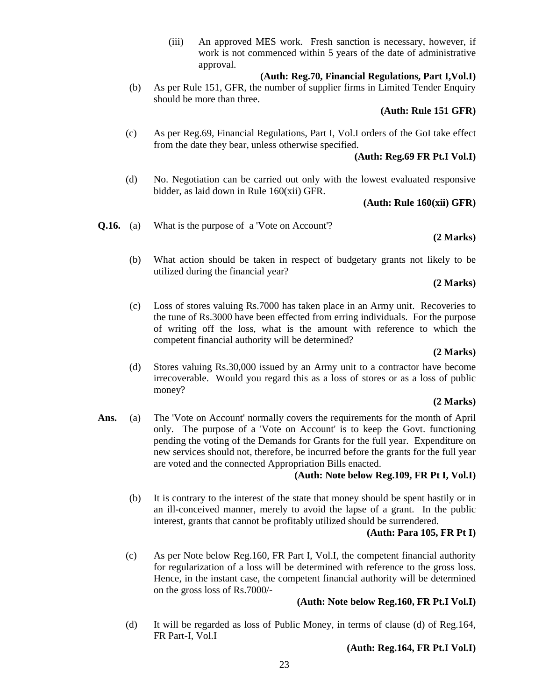(iii) An approved MES work. Fresh sanction is necessary, however, if work is not commenced within 5 years of the date of administrative approval.

# **(Auth: Reg.70, Financial Regulations, Part I,Vol.I)**

 (b) As per Rule 151, GFR, the number of supplier firms in Limited Tender Enquiry should be more than three.

# **(Auth: Rule 151 GFR)**

 (c) As per Reg.69, Financial Regulations, Part I, Vol.I orders of the GoI take effect from the date they bear, unless otherwise specified.

# **(Auth: Reg.69 FR Pt.I Vol.I)**

 (d) No. Negotiation can be carried out only with the lowest evaluated responsive bidder, as laid down in Rule 160(xii) GFR.

# **(Auth: Rule 160(xii) GFR)**

**Q.16.** (a) What is the purpose of a 'Vote on Account'?

# **(2 Marks)**

 (b) What action should be taken in respect of budgetary grants not likely to be utilized during the financial year?

# **(2 Marks)**

(c) Loss of stores valuing Rs.7000 has taken place in an Army unit. Recoveries to the tune of Rs.3000 have been effected from erring individuals. For the purpose of writing off the loss, what is the amount with reference to which the competent financial authority will be determined?

#### **(2 Marks)**

(d) Stores valuing Rs.30,000 issued by an Army unit to a contractor have become irrecoverable. Would you regard this as a loss of stores or as a loss of public money?

# **(2 Marks)**

**Ans.** (a) The 'Vote on Account' normally covers the requirements for the month of April only. The purpose of a 'Vote on Account' is to keep the Govt. functioning pending the voting of the Demands for Grants for the full year. Expenditure on new services should not, therefore, be incurred before the grants for the full year are voted and the connected Appropriation Bills enacted.

# **(Auth: Note below Reg.109, FR Pt I, Vol.I)**

 (b) It is contrary to the interest of the state that money should be spent hastily or in an ill-conceived manner, merely to avoid the lapse of a grant. In the public interest, grants that cannot be profitably utilized should be surrendered.

# **(Auth: Para 105, FR Pt I)**

 (c) As per Note below Reg.160, FR Part I, Vol.I, the competent financial authority for regularization of a loss will be determined with reference to the gross loss. Hence, in the instant case, the competent financial authority will be determined on the gross loss of Rs.7000/-

# **(Auth: Note below Reg.160, FR Pt.I Vol.I)**

 (d) It will be regarded as loss of Public Money, in terms of clause (d) of Reg.164, FR Part-I, Vol.I

# **(Auth: Reg.164, FR Pt.I Vol.I)**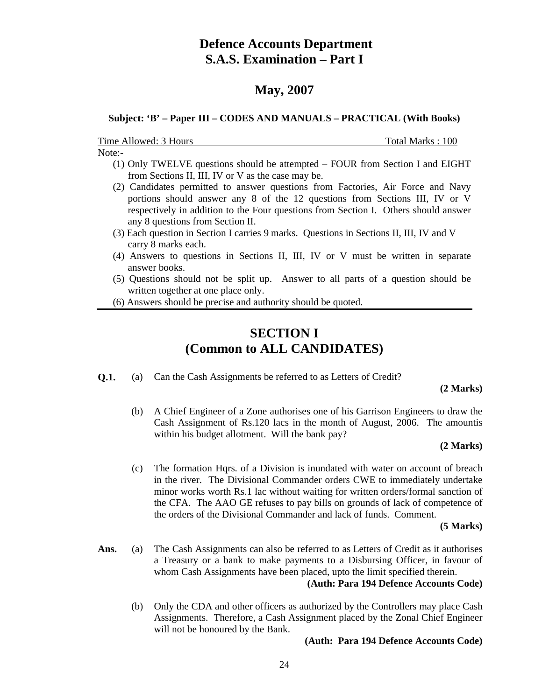# **Defence Accounts Department S.A.S. Examination – Part I**

# **May, 2007**

### **Subject: 'B' – Paper III – CODES AND MANUALS – PRACTICAL (With Books)**

Time Allowed: 3 Hours Total Marks : 100

Note:-

- (1) Only TWELVE questions should be attempted FOUR from Section I and EIGHT from Sections II, III, IV or V as the case may be.
- (2) Candidates permitted to answer questions from Factories, Air Force and Navy portions should answer any 8 of the 12 questions from Sections III, IV or V respectively in addition to the Four questions from Section I. Others should answer any 8 questions from Section II.
- (3) Each question in Section I carries 9 marks. Questions in Sections II, III, IV and V carry 8 marks each.
- (4) Answers to questions in Sections II, III, IV or V must be written in separate answer books.
- (5) Questions should not be split up. Answer to all parts of a question should be written together at one place only.
- (6) Answers should be precise and authority should be quoted.

# **SECTION I (Common to ALL CANDIDATES)**

**Q.1.** (a) Can the Cash Assignments be referred to as Letters of Credit?

#### **(2 Marks)**

 (b) A Chief Engineer of a Zone authorises one of his Garrison Engineers to draw the Cash Assignment of Rs.120 lacs in the month of August, 2006. The amountis within his budget allotment. Will the bank pay?

#### **(2 Marks)**

 (c) The formation Hqrs. of a Division is inundated with water on account of breach in the river. The Divisional Commander orders CWE to immediately undertake minor works worth Rs.1 lac without waiting for written orders/formal sanction of the CFA. The AAO GE refuses to pay bills on grounds of lack of competence of the orders of the Divisional Commander and lack of funds. Comment.

**(5 Marks)**

- Ans. (a) The Cash Assignments can also be referred to as Letters of Credit as it authorises a Treasury or a bank to make payments to a Disbursing Officer, in favour of whom Cash Assignments have been placed, upto the limit specified therein.  **(Auth: Para 194 Defence Accounts Code)**
	- (b) Only the CDA and other officers as authorized by the Controllers may place Cash Assignments. Therefore, a Cash Assignment placed by the Zonal Chief Engineer will not be honoured by the Bank.

#### **(Auth: Para 194 Defence Accounts Code)**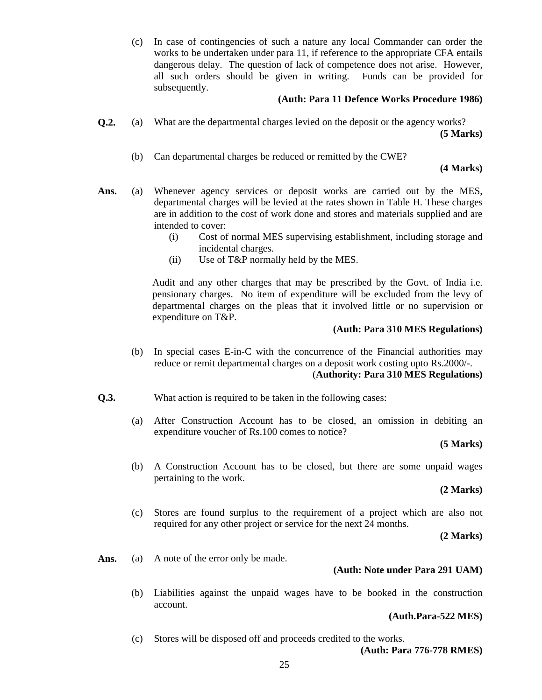(c) In case of contingencies of such a nature any local Commander can order the works to be undertaken under para 11, if reference to the appropriate CFA entails dangerous delay. The question of lack of competence does not arise. However, all such orders should be given in writing. Funds can be provided for subsequently.

# **(Auth: Para 11 Defence Works Procedure 1986)**

- **Q.2.** (a) What are the departmental charges levied on the deposit or the agency works? **(5 Marks)**
	- (b) Can departmental charges be reduced or remitted by the CWE?

# **(4 Marks)**

- **Ans.** (a) Whenever agency services or deposit works are carried out by the MES, departmental charges will be levied at the rates shown in Table H. These charges are in addition to the cost of work done and stores and materials supplied and are intended to cover:
	- (i) Cost of normal MES supervising establishment, including storage and incidental charges.
	- (ii) Use of T&P normally held by the MES.

Audit and any other charges that may be prescribed by the Govt. of India i.e. pensionary charges. No item of expenditure will be excluded from the levy of departmental charges on the pleas that it involved little or no supervision or expenditure on T&P.

# **(Auth: Para 310 MES Regulations)**

- (b) In special cases E-in-C with the concurrence of the Financial authorities may reduce or remit departmental charges on a deposit work costing upto Rs.2000/-. (**Authority: Para 310 MES Regulations)**
- **Q.3.** What action is required to be taken in the following cases:
	- (a) After Construction Account has to be closed, an omission in debiting an expenditure voucher of Rs.100 comes to notice?

# **(5 Marks)**

 (b) A Construction Account has to be closed, but there are some unpaid wages pertaining to the work.

# **(2 Marks)**

 (c) Stores are found surplus to the requirement of a project which are also not required for any other project or service for the next 24 months.

**(2 Marks)**

Ans. (a) A note of the error only be made.

# **(Auth: Note under Para 291 UAM)**

 (b) Liabilities against the unpaid wages have to be booked in the construction account.

#### **(Auth.Para-522 MES)**

(c) Stores will be disposed off and proceeds credited to the works.

**(Auth: Para 776-778 RMES)**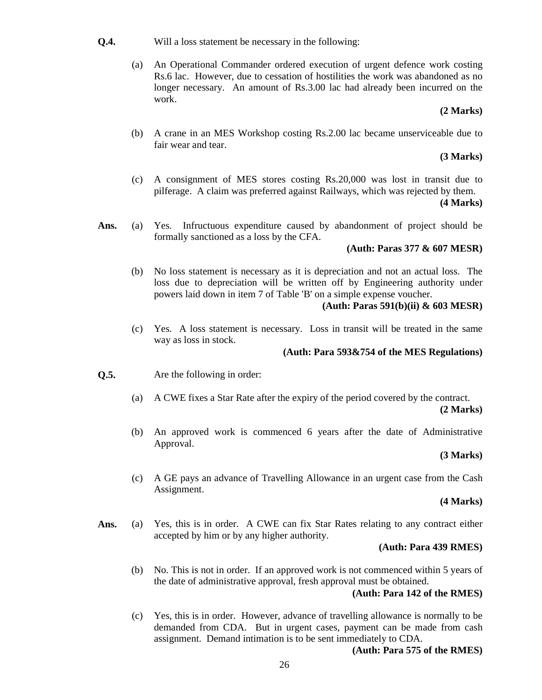- **Q.4.** Will a loss statement be necessary in the following:
	- (a) An Operational Commander ordered execution of urgent defence work costing Rs.6 lac. However, due to cessation of hostilities the work was abandoned as no longer necessary. An amount of Rs.3.00 lac had already been incurred on the work.

### **(2 Marks)**

 (b) A crane in an MES Workshop costing Rs.2.00 lac became unserviceable due to fair wear and tear.

### **(3 Marks)**

 (c) A consignment of MES stores costing Rs.20,000 was lost in transit due to pilferage. A claim was preferred against Railways, which was rejected by them.

#### **(4 Marks)**

**Ans.** (a) Yes. Infructuous expenditure caused by abandonment of project should be formally sanctioned as a loss by the CFA.

### **(Auth: Paras 377 & 607 MESR)**

 (b) No loss statement is necessary as it is depreciation and not an actual loss. The loss due to depreciation will be written off by Engineering authority under powers laid down in item 7 of Table 'B' on a simple expense voucher.

### **(Auth: Paras 591(b)(ii) & 603 MESR)**

 (c) Yes. A loss statement is necessary. Loss in transit will be treated in the same way as loss in stock.

## **(Auth: Para 593&754 of the MES Regulations)**

- **Q.5.** Are the following in order:
	- (a) A CWE fixes a Star Rate after the expiry of the period covered by the contract. **(2 Marks)**
	- (b) An approved work is commenced 6 years after the date of Administrative Approval.

#### **(3 Marks)**

 (c) A GE pays an advance of Travelling Allowance in an urgent case from the Cash Assignment.

## **(4 Marks)**

**Ans.** (a) Yes, this is in order. A CWE can fix Star Rates relating to any contract either accepted by him or by any higher authority.

#### **(Auth: Para 439 RMES)**

 (b) No. This is not in order. If an approved work is not commenced within 5 years of the date of administrative approval, fresh approval must be obtained.

# **(Auth: Para 142 of the RMES)**

 (c) Yes, this is in order. However, advance of travelling allowance is normally to be demanded from CDA. But in urgent cases, payment can be made from cash assignment. Demand intimation is to be sent immediately to CDA.

# **(Auth: Para 575 of the RMES)**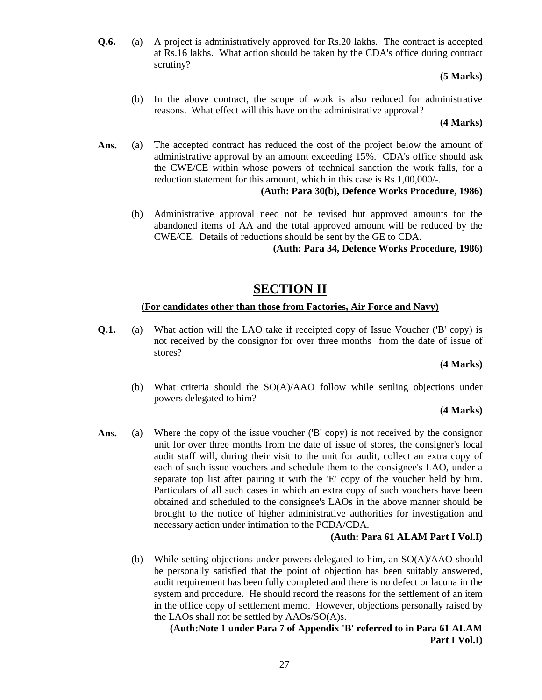**Q.6.** (a) A project is administratively approved for Rs.20 lakhs. The contract is accepted at Rs.16 lakhs. What action should be taken by the CDA's office during contract scrutiny?

## **(5 Marks)**

 (b) In the above contract, the scope of work is also reduced for administrative reasons. What effect will this have on the administrative approval?

**(4 Marks)**

Ans. (a) The accepted contract has reduced the cost of the project below the amount of administrative approval by an amount exceeding 15%. CDA's office should ask the CWE/CE within whose powers of technical sanction the work falls, for a reduction statement for this amount, which in this case is Rs.1,00,000/-.

# **(Auth: Para 30(b), Defence Works Procedure, 1986)**

 (b) Administrative approval need not be revised but approved amounts for the abandoned items of AA and the total approved amount will be reduced by the CWE/CE. Details of reductions should be sent by the GE to CDA.

**(Auth: Para 34, Defence Works Procedure, 1986)**

# **SECTION II**

# **(For candidates other than those from Factories, Air Force and Navy)**

**Q.1.** (a) What action will the LAO take if receipted copy of Issue Voucher ('B' copy) is not received by the consignor for over three months from the date of issue of stores?

# **(4 Marks)**

 (b) What criteria should the SO(A)/AAO follow while settling objections under powers delegated to him?

# **(4 Marks)**

Ans. (a) Where the copy of the issue voucher ('B' copy) is not received by the consignor unit for over three months from the date of issue of stores, the consigner's local audit staff will, during their visit to the unit for audit, collect an extra copy of each of such issue vouchers and schedule them to the consignee's LAO, under a separate top list after pairing it with the 'E' copy of the voucher held by him. Particulars of all such cases in which an extra copy of such vouchers have been obtained and scheduled to the consignee's LAOs in the above manner should be brought to the notice of higher administrative authorities for investigation and necessary action under intimation to the PCDA/CDA.

# **(Auth: Para 61 ALAM Part I Vol.I)**

 (b) While setting objections under powers delegated to him, an SO(A)/AAO should be personally satisfied that the point of objection has been suitably answered, audit requirement has been fully completed and there is no defect or lacuna in the system and procedure. He should record the reasons for the settlement of an item in the office copy of settlement memo. However, objections personally raised by the LAOs shall not be settled by AAOs/SO(A)s.

# **(Auth:Note 1 under Para 7 of Appendix 'B' referred to in Para 61 ALAM Part I Vol.I)**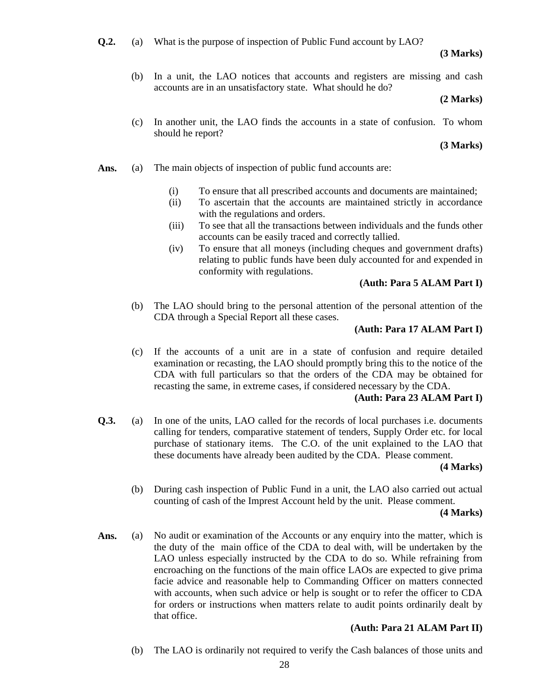**Q.2.** (a) What is the purpose of inspection of Public Fund account by LAO?

## **(3 Marks)**

 (b) In a unit, the LAO notices that accounts and registers are missing and cash accounts are in an unsatisfactory state. What should he do?

### **(2 Marks)**

 (c) In another unit, the LAO finds the accounts in a state of confusion. To whom should he report?

### **(3 Marks)**

- Ans. (a) The main objects of inspection of public fund accounts are:
	- (i) To ensure that all prescribed accounts and documents are maintained;
	- (ii) To ascertain that the accounts are maintained strictly in accordance with the regulations and orders.
	- (iii) To see that all the transactions between individuals and the funds other accounts can be easily traced and correctly tallied.
	- (iv) To ensure that all moneys (including cheques and government drafts) relating to public funds have been duly accounted for and expended in conformity with regulations.

### **(Auth: Para 5 ALAM Part I)**

 (b) The LAO should bring to the personal attention of the personal attention of the CDA through a Special Report all these cases.

# **(Auth: Para 17 ALAM Part I)**

 (c) If the accounts of a unit are in a state of confusion and require detailed examination or recasting, the LAO should promptly bring this to the notice of the CDA with full particulars so that the orders of the CDA may be obtained for recasting the same, in extreme cases, if considered necessary by the CDA.

# **(Auth: Para 23 ALAM Part I)**

**Q.3.** (a) In one of the units, LAO called for the records of local purchases i.e. documents calling for tenders, comparative statement of tenders, Supply Order etc. for local purchase of stationary items. The C.O. of the unit explained to the LAO that these documents have already been audited by the CDA. Please comment.

#### **(4 Marks)**

 (b) During cash inspection of Public Fund in a unit, the LAO also carried out actual counting of cash of the Imprest Account held by the unit. Please comment.

#### **(4 Marks)**

**Ans.** (a) No audit or examination of the Accounts or any enquiry into the matter, which is the duty of the main office of the CDA to deal with, will be undertaken by the LAO unless especially instructed by the CDA to do so. While refraining from encroaching on the functions of the main office LAOs are expected to give prima facie advice and reasonable help to Commanding Officer on matters connected with accounts, when such advice or help is sought or to refer the officer to CDA for orders or instructions when matters relate to audit points ordinarily dealt by that office.

# **(Auth: Para 21 ALAM Part II)**

(b) The LAO is ordinarily not required to verify the Cash balances of those units and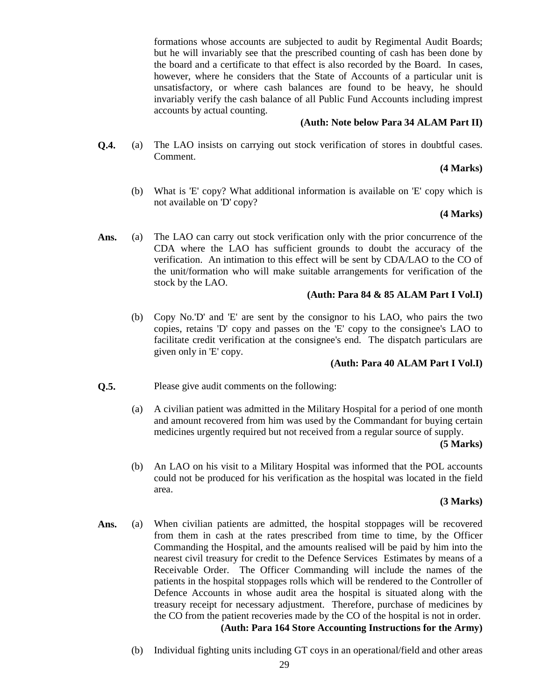formations whose accounts are subjected to audit by Regimental Audit Boards; but he will invariably see that the prescribed counting of cash has been done by the board and a certificate to that effect is also recorded by the Board. In cases, however, where he considers that the State of Accounts of a particular unit is unsatisfactory, or where cash balances are found to be heavy, he should invariably verify the cash balance of all Public Fund Accounts including imprest accounts by actual counting.

# **(Auth: Note below Para 34 ALAM Part II)**

**Q.4.** (a) The LAO insists on carrying out stock verification of stores in doubtful cases. Comment.

# **(4 Marks)**

 (b) What is 'E' copy? What additional information is available on 'E' copy which is not available on 'D' copy?

# **(4 Marks)**

**Ans.** (a) The LAO can carry out stock verification only with the prior concurrence of the CDA where the LAO has sufficient grounds to doubt the accuracy of the verification. An intimation to this effect will be sent by CDA/LAO to the CO of the unit/formation who will make suitable arrangements for verification of the stock by the LAO.

# **(Auth: Para 84 & 85 ALAM Part I Vol.I)**

 (b) Copy No.'D' and 'E' are sent by the consignor to his LAO, who pairs the two copies, retains 'D' copy and passes on the 'E' copy to the consignee's LAO to facilitate credit verification at the consignee's end. The dispatch particulars are given only in 'E' copy.

# **(Auth: Para 40 ALAM Part I Vol.I)**

- **Q.5.** Please give audit comments on the following:
	- (a) A civilian patient was admitted in the Military Hospital for a period of one month and amount recovered from him was used by the Commandant for buying certain medicines urgently required but not received from a regular source of supply.

# **(5 Marks)**

 (b) An LAO on his visit to a Military Hospital was informed that the POL accounts could not be produced for his verification as the hospital was located in the field area.

# **(3 Marks)**

- Ans. (a) When civilian patients are admitted, the hospital stoppages will be recovered from them in cash at the rates prescribed from time to time, by the Officer Commanding the Hospital, and the amounts realised will be paid by him into the nearest civil treasury for credit to the Defence Services Estimates by means of a Receivable Order. The Officer Commanding will include the names of the patients in the hospital stoppages rolls which will be rendered to the Controller of Defence Accounts in whose audit area the hospital is situated along with the treasury receipt for necessary adjustment. Therefore, purchase of medicines by the CO from the patient recoveries made by the CO of the hospital is not in order. **(Auth: Para 164 Store Accounting Instructions for the Army)**
	- (b) Individual fighting units including GT coys in an operational/field and other areas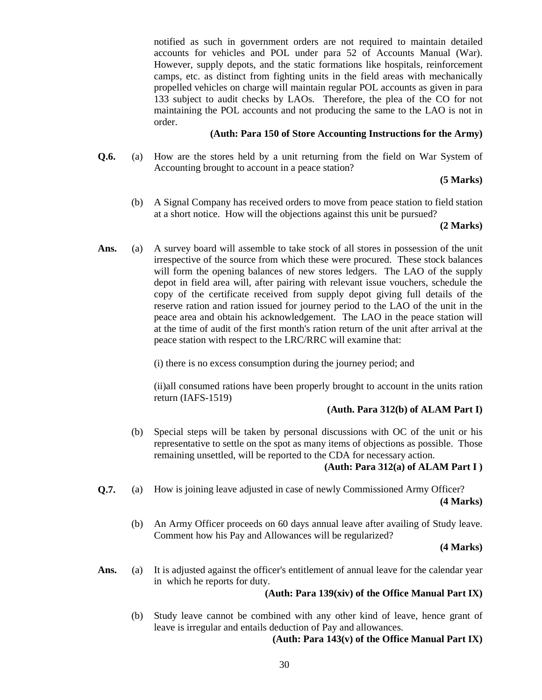notified as such in government orders are not required to maintain detailed accounts for vehicles and POL under para 52 of Accounts Manual (War). However, supply depots, and the static formations like hospitals, reinforcement camps, etc. as distinct from fighting units in the field areas with mechanically propelled vehicles on charge will maintain regular POL accounts as given in para 133 subject to audit checks by LAOs. Therefore, the plea of the CO for not maintaining the POL accounts and not producing the same to the LAO is not in order.

## **(Auth: Para 150 of Store Accounting Instructions for the Army)**

**Q.6.** (a) How are the stores held by a unit returning from the field on War System of Accounting brought to account in a peace station?

## **(5 Marks)**

 (b) A Signal Company has received orders to move from peace station to field station at a short notice. How will the objections against this unit be pursued?

### **(2 Marks)**

**Ans.** (a) A survey board will assemble to take stock of all stores in possession of the unit irrespective of the source from which these were procured. These stock balances will form the opening balances of new stores ledgers. The LAO of the supply depot in field area will, after pairing with relevant issue vouchers, schedule the copy of the certificate received from supply depot giving full details of the reserve ration and ration issued for journey period to the LAO of the unit in the peace area and obtain his acknowledgement. The LAO in the peace station will at the time of audit of the first month's ration return of the unit after arrival at the peace station with respect to the LRC/RRC will examine that:

(i) there is no excess consumption during the journey period; and

(ii)all consumed rations have been properly brought to account in the units ration return (IAFS-1519)

#### **(Auth. Para 312(b) of ALAM Part I)**

 (b) Special steps will be taken by personal discussions with OC of the unit or his representative to settle on the spot as many items of objections as possible. Those remaining unsettled, will be reported to the CDA for necessary action.

# **(Auth: Para 312(a) of ALAM Part I )**

- **Q.7.** (a) How is joining leave adjusted in case of newly Commissioned Army Officer? **(4 Marks)**
	- (b) An Army Officer proceeds on 60 days annual leave after availing of Study leave. Comment how his Pay and Allowances will be regularized?

#### **(4 Marks)**

Ans. (a) It is adjusted against the officer's entitlement of annual leave for the calendar year in which he reports for duty.

# **(Auth: Para 139(xiv) of the Office Manual Part IX)**

 (b) Study leave cannot be combined with any other kind of leave, hence grant of leave is irregular and entails deduction of Pay and allowances.

**(Auth: Para 143(v) of the Office Manual Part IX)**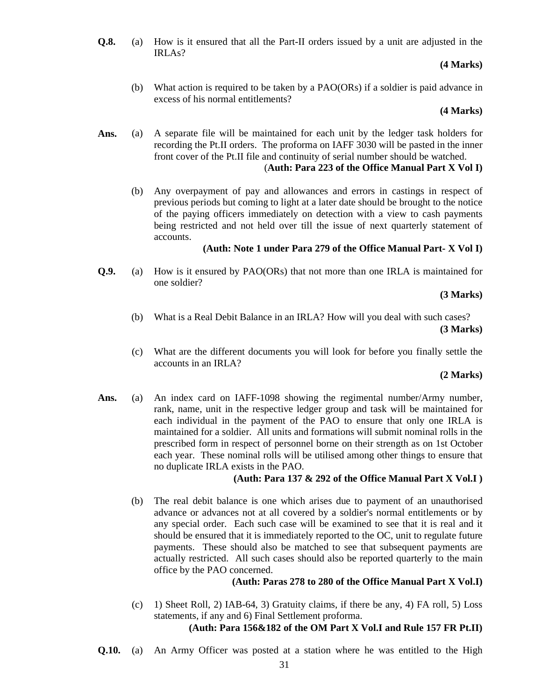**Q.8.** (a) How is it ensured that all the Part-II orders issued by a unit are adjusted in the IRLAs?

# **(4 Marks)**

 (b) What action is required to be taken by a PAO(ORs) if a soldier is paid advance in excess of his normal entitlements?

## **(4 Marks)**

- **Ans.** (a) A separate file will be maintained for each unit by the ledger task holders for recording the Pt.II orders. The proforma on IAFF 3030 will be pasted in the inner front cover of the Pt.II file and continuity of serial number should be watched. (**Auth: Para 223 of the Office Manual Part X Vol I)**
	- (b) Any overpayment of pay and allowances and errors in castings in respect of previous periods but coming to light at a later date should be brought to the notice of the paying officers immediately on detection with a view to cash payments being restricted and not held over till the issue of next quarterly statement of accounts.

# **(Auth: Note 1 under Para 279 of the Office Manual Part- X Vol I)**

**Q.9.** (a) How is it ensured by PAO(ORs) that not more than one IRLA is maintained for one soldier?

# **(3 Marks)**

- (b) What is a Real Debit Balance in an IRLA? How will you deal with such cases? **(3 Marks)**
- (c) What are the different documents you will look for before you finally settle the accounts in an IRLA?

# **(2 Marks)**

Ans. (a) An index card on IAFF-1098 showing the regimental number/Army number, rank, name, unit in the respective ledger group and task will be maintained for each individual in the payment of the PAO to ensure that only one IRLA is maintained for a soldier. All units and formations will submit nominal rolls in the prescribed form in respect of personnel borne on their strength as on 1st October each year. These nominal rolls will be utilised among other things to ensure that no duplicate IRLA exists in the PAO.

# **(Auth: Para 137 & 292 of the Office Manual Part X Vol.I )**

 (b) The real debit balance is one which arises due to payment of an unauthorised advance or advances not at all covered by a soldier's normal entitlements or by any special order. Each such case will be examined to see that it is real and it should be ensured that it is immediately reported to the OC, unit to regulate future payments. These should also be matched to see that subsequent payments are actually restricted. All such cases should also be reported quarterly to the main office by the PAO concerned.

# **(Auth: Paras 278 to 280 of the Office Manual Part X Vol.I)**

- (c) 1) Sheet Roll, 2) IAB-64, 3) Gratuity claims, if there be any, 4) FA roll, 5) Loss statements, if any and 6) Final Settlement proforma. **(Auth: Para 156&182 of the OM Part X Vol.I and Rule 157 FR Pt.II)**
- **Q.10.** (a) An Army Officer was posted at a station where he was entitled to the High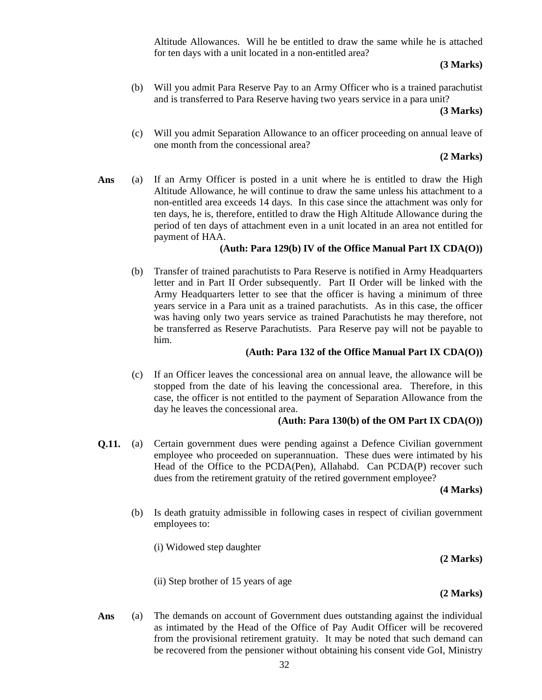Altitude Allowances. Will he be entitled to draw the same while he is attached for ten days with a unit located in a non-entitled area?

## **(3 Marks)**

 (b) Will you admit Para Reserve Pay to an Army Officer who is a trained parachutist and is transferred to Para Reserve having two years service in a para unit?

#### **(3 Marks)**

 (c) Will you admit Separation Allowance to an officer proceeding on annual leave of one month from the concessional area?

# **(2 Marks)**

**Ans** (a) If an Army Officer is posted in a unit where he is entitled to draw the High Altitude Allowance, he will continue to draw the same unless his attachment to a non-entitled area exceeds 14 days. In this case since the attachment was only for ten days, he is, therefore, entitled to draw the High Altitude Allowance during the period of ten days of attachment even in a unit located in an area not entitled for payment of HAA.

# **(Auth: Para 129(b) IV of the Office Manual Part IX CDA(O))**

(b) Transfer of trained parachutists to Para Reserve is notified in Army Headquarters letter and in Part II Order subsequently. Part II Order will be linked with the Army Headquarters letter to see that the officer is having a minimum of three years service in a Para unit as a trained parachutists. As in this case, the officer was having only two years service as trained Parachutists he may therefore, not be transferred as Reserve Parachutists. Para Reserve pay will not be payable to him.

# **(Auth: Para 132 of the Office Manual Part IX CDA(O))**

(c) If an Officer leaves the concessional area on annual leave, the allowance will be stopped from the date of his leaving the concessional area. Therefore, in this case, the officer is not entitled to the payment of Separation Allowance from the day he leaves the concessional area.

# **(Auth: Para 130(b) of the OM Part IX CDA(O))**

**Q.11.** (a) Certain government dues were pending against a Defence Civilian government employee who proceeded on superannuation. These dues were intimated by his Head of the Office to the PCDA(Pen), Allahabd. Can PCDA(P) recover such dues from the retirement gratuity of the retired government employee?

**(4 Marks)**

 (b) Is death gratuity admissible in following cases in respect of civilian government employees to:

(i) Widowed step daughter

**(2 Marks)**

(ii) Step brother of 15 years of age

**(2 Marks)**

**Ans** (a) The demands on account of Government dues outstanding against the individual as intimated by the Head of the Office of Pay Audit Officer will be recovered from the provisional retirement gratuity. It may be noted that such demand can be recovered from the pensioner without obtaining his consent vide GoI, Ministry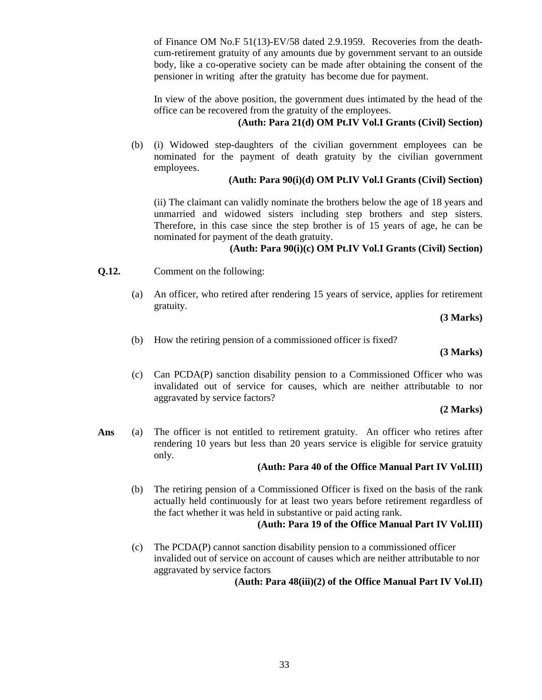of Finance OM No.F 51(13)-EV/58 dated 2.9.1959. Recoveries from the deathcum-retirement gratuity of any amounts due by government servant to an outside body, like a co-operative society can be made after obtaining the consent of the pensioner in writing after the gratuity has become due for payment.

In view of the above position, the government dues intimated by the head of the office can be recovered from the gratuity of the employees.

# **(Auth: Para 21(d) OM Pt.IV Vol.I Grants (Civil) Section)**

(b) (i) Widowed step-daughters of the civilian government employees can be nominated for the payment of death gratuity by the civilian government employees.

# **(Auth: Para 90(i)(d) OM Pt.IV Vol.I Grants (Civil) Section)**

 (ii) The claimant can validly nominate the brothers below the age of 18 years and unmarried and widowed sisters including step brothers and step sisters. Therefore, in this case since the step brother is of 15 years of age, he can be nominated for payment of the death gratuity.

# **(Auth: Para 90(i)(c) OM Pt.IV Vol.I Grants (Civil) Section)**

- **Q.12.** Comment on the following:
	- (a) An officer, who retired after rendering 15 years of service, applies for retirement gratuity.

**(3 Marks)**

(b) How the retiring pension of a commissioned officer is fixed?

**(3 Marks)**

 (c) Can PCDA(P) sanction disability pension to a Commissioned Officer who was invalidated out of service for causes, which are neither attributable to nor aggravated by service factors?

**(2 Marks)**

**Ans** (a) The officer is not entitled to retirement gratuity. An officer who retires after rendering 10 years but less than 20 years service is eligible for service gratuity only.

# **(Auth: Para 40 of the Office Manual Part IV Vol.III)**

(b) The retiring pension of a Commissioned Officer is fixed on the basis of the rank actually held continuously for at least two years before retirement regardless of the fact whether it was held in substantive or paid acting rank.

# **(Auth: Para 19 of the Office Manual Part IV Vol.III)**

(c) The PCDA(P) cannot sanction disability pension to a commissioned officer invalided out of service on account of causes which are neither attributable to nor aggravated by service factors

**(Auth: Para 48(iii)(2) of the Office Manual Part IV Vol.II)**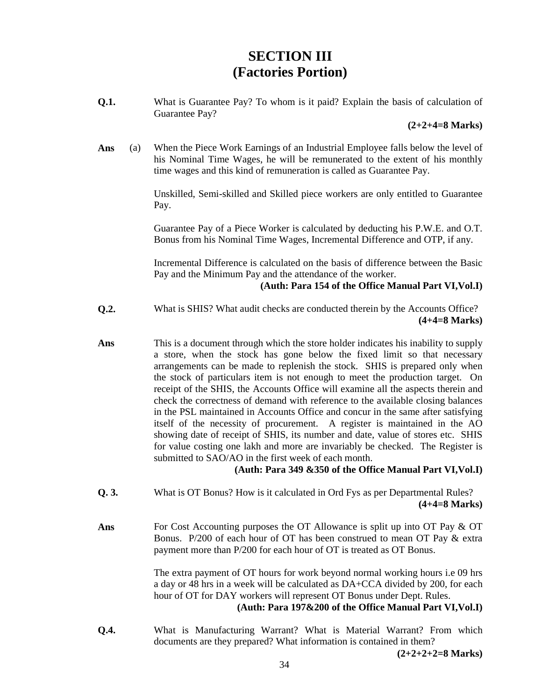# **SECTION III (Factories Portion)**

**Q.1.** What is Guarantee Pay? To whom is it paid? Explain the basis of calculation of Guarantee Pay?

#### **(2+2+4=8 Marks)**

**Ans** (a) When the Piece Work Earnings of an Industrial Employee falls below the level of his Nominal Time Wages, he will be remunerated to the extent of his monthly time wages and this kind of remuneration is called as Guarantee Pay.

> Unskilled, Semi-skilled and Skilled piece workers are only entitled to Guarantee Pay.

> Guarantee Pay of a Piece Worker is calculated by deducting his P.W.E. and O.T. Bonus from his Nominal Time Wages, Incremental Difference and OTP, if any.

> Incremental Difference is calculated on the basis of difference between the Basic Pay and the Minimum Pay and the attendance of the worker.

#### **(Auth: Para 154 of the Office Manual Part VI,Vol.I)**

- **Q.2.** What is SHIS? What audit checks are conducted therein by the Accounts Office? **(4+4=8 Marks)**
- **Ans** This is a document through which the store holder indicates his inability to supply a store, when the stock has gone below the fixed limit so that necessary arrangements can be made to replenish the stock. SHIS is prepared only when the stock of particulars item is not enough to meet the production target. On receipt of the SHIS, the Accounts Office will examine all the aspects therein and check the correctness of demand with reference to the available closing balances in the PSL maintained in Accounts Office and concur in the same after satisfying itself of the necessity of procurement. A register is maintained in the AO showing date of receipt of SHIS, its number and date, value of stores etc. SHIS for value costing one lakh and more are invariably be checked. The Register is submitted to SAO/AO in the first week of each month.

# **(Auth: Para 349 &350 of the Office Manual Part VI,Vol.I)**

- **Q. 3.** What is OT Bonus? How is it calculated in Ord Fys as per Departmental Rules? **(4+4=8 Marks)**
- Ans **For Cost Accounting purposes the OT Allowance is split up into OT Pay & OT** Bonus. P/200 of each hour of OT has been construed to mean OT Pay & extra payment more than P/200 for each hour of OT is treated as OT Bonus.

The extra payment of OT hours for work beyond normal working hours i.e 09 hrs a day or 48 hrs in a week will be calculated as DA+CCA divided by 200, for each hour of OT for DAY workers will represent OT Bonus under Dept. Rules.

**(Auth: Para 197&200 of the Office Manual Part VI,Vol.I)**

**Q.4.** What is Manufacturing Warrant? What is Material Warrant? From which documents are they prepared? What information is contained in them?

**(2+2+2+2=8 Marks)**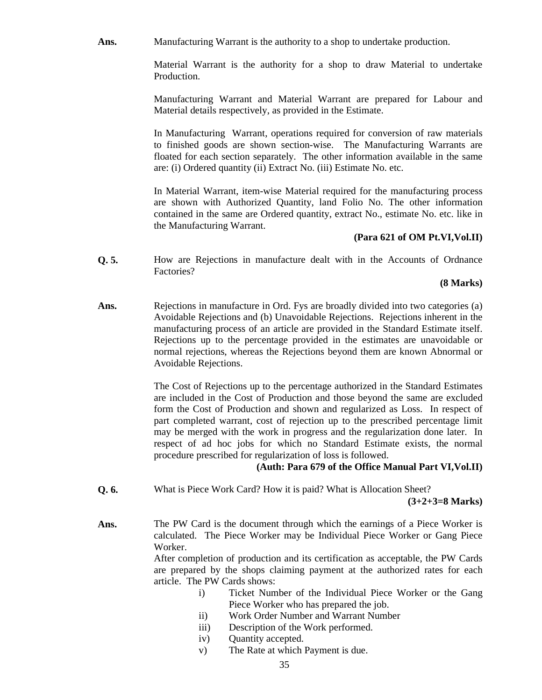Ans. **Manufacturing Warrant is the authority to a shop to undertake production.** 

Material Warrant is the authority for a shop to draw Material to undertake Production.

Manufacturing Warrant and Material Warrant are prepared for Labour and Material details respectively, as provided in the Estimate.

In Manufacturing Warrant, operations required for conversion of raw materials to finished goods are shown section-wise. The Manufacturing Warrants are floated for each section separately. The other information available in the same are: (i) Ordered quantity (ii) Extract No. (iii) Estimate No. etc.

In Material Warrant, item-wise Material required for the manufacturing process are shown with Authorized Quantity, land Folio No. The other information contained in the same are Ordered quantity, extract No., estimate No. etc. like in the Manufacturing Warrant.

# **(Para 621 of OM Pt.VI,Vol.II)**

**Q. 5.** How are Rejections in manufacture dealt with in the Accounts of Ordnance Factories?

### **(8 Marks)**

Ans. **Rejections in manufacture in Ord. Fys are broadly divided into two categories (a)** Avoidable Rejections and (b) Unavoidable Rejections. Rejections inherent in the manufacturing process of an article are provided in the Standard Estimate itself. Rejections up to the percentage provided in the estimates are unavoidable or normal rejections, whereas the Rejections beyond them are known Abnormal or Avoidable Rejections.

> The Cost of Rejections up to the percentage authorized in the Standard Estimates are included in the Cost of Production and those beyond the same are excluded form the Cost of Production and shown and regularized as Loss. In respect of part completed warrant, cost of rejection up to the prescribed percentage limit may be merged with the work in progress and the regularization done later. In respect of ad hoc jobs for which no Standard Estimate exists, the normal procedure prescribed for regularization of loss is followed.

# **(Auth: Para 679 of the Office Manual Part VI,Vol.II)**

**Q. 6.** What is Piece Work Card? How it is paid? What is Allocation Sheet?

**(3+2+3=8 Marks)**

**Ans.** The PW Card is the document through which the earnings of a Piece Worker is calculated. The Piece Worker may be Individual Piece Worker or Gang Piece Worker.

> After completion of production and its certification as acceptable, the PW Cards are prepared by the shops claiming payment at the authorized rates for each article. The PW Cards shows:

- i) Ticket Number of the Individual Piece Worker or the Gang Piece Worker who has prepared the job.
- ii) Work Order Number and Warrant Number
- iii) Description of the Work performed.
- iv) Quantity accepted.
- v) The Rate at which Payment is due.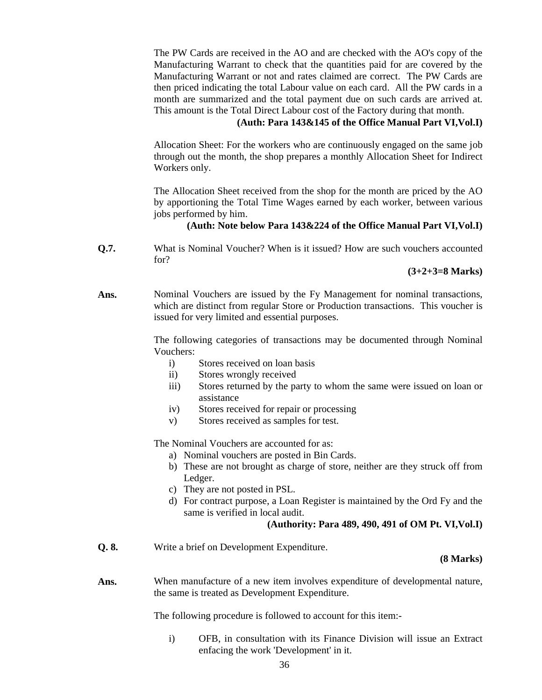The PW Cards are received in the AO and are checked with the AO's copy of the Manufacturing Warrant to check that the quantities paid for are covered by the Manufacturing Warrant or not and rates claimed are correct. The PW Cards are then priced indicating the total Labour value on each card. All the PW cards in a month are summarized and the total payment due on such cards are arrived at. This amount is the Total Direct Labour cost of the Factory during that month.

# **(Auth: Para 143&145 of the Office Manual Part VI,Vol.I)**

 Allocation Sheet: For the workers who are continuously engaged on the same job through out the month, the shop prepares a monthly Allocation Sheet for Indirect Workers only.

The Allocation Sheet received from the shop for the month are priced by the AO by apportioning the Total Time Wages earned by each worker, between various jobs performed by him.

# **(Auth: Note below Para 143&224 of the Office Manual Part VI,Vol.I)**

**Q.7.** What is Nominal Voucher? When is it issued? How are such vouchers accounted for?

**(3+2+3=8 Marks)**

**Ans.** Nominal Vouchers are issued by the Fy Management for nominal transactions, which are distinct from regular Store or Production transactions. This voucher is issued for very limited and essential purposes.

> The following categories of transactions may be documented through Nominal Vouchers:

- i) Stores received on loan basis
- ii) Stores wrongly received
- iii) Stores returned by the party to whom the same were issued on loan or assistance
- iv) Stores received for repair or processing
- v) Stores received as samples for test.

The Nominal Vouchers are accounted for as:

- a) Nominal vouchers are posted in Bin Cards.
- b) These are not brought as charge of store, neither are they struck off from Ledger.
- c) They are not posted in PSL.
- d) For contract purpose, a Loan Register is maintained by the Ord Fy and the same is verified in local audit.

## **(Authority: Para 489, 490, 491 of OM Pt. VI,Vol.I)**

**Q. 8.** Write a brief on Development Expenditure.

## **(8 Marks)**

Ans. When manufacture of a new item involves expenditure of developmental nature, the same is treated as Development Expenditure.

The following procedure is followed to account for this item:-

i) OFB, in consultation with its Finance Division will issue an Extract enfacing the work 'Development' in it.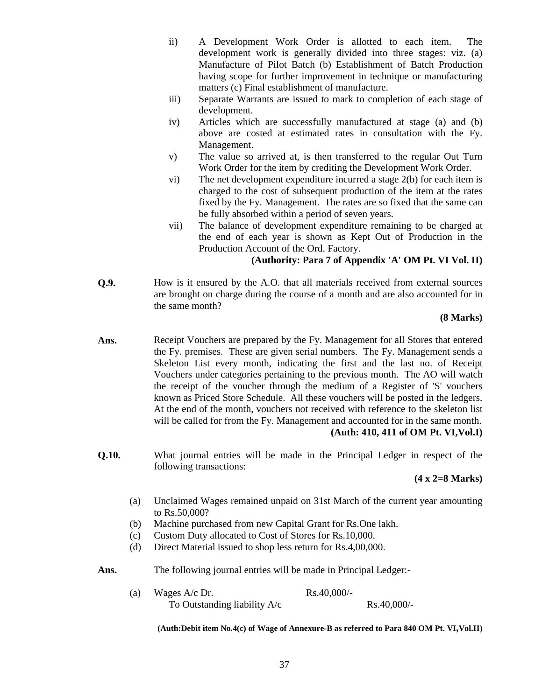- ii) A Development Work Order is allotted to each item. The development work is generally divided into three stages: viz. (a) Manufacture of Pilot Batch (b) Establishment of Batch Production having scope for further improvement in technique or manufacturing matters (c) Final establishment of manufacture.
- iii) Separate Warrants are issued to mark to completion of each stage of development.
- iv) Articles which are successfully manufactured at stage (a) and (b) above are costed at estimated rates in consultation with the Fy. Management.
- v) The value so arrived at, is then transferred to the regular Out Turn Work Order for the item by crediting the Development Work Order.
- vi) The net development expenditure incurred a stage 2(b) for each item is charged to the cost of subsequent production of the item at the rates fixed by the Fy. Management. The rates are so fixed that the same can be fully absorbed within a period of seven years.
- vii) The balance of development expenditure remaining to be charged at the end of each year is shown as Kept Out of Production in the Production Account of the Ord. Factory.

# **(Authority: Para 7 of Appendix 'A' OM Pt. VI Vol. II)**

**Q.9.** How is it ensured by the A.O. that all materials received from external sources are brought on charge during the course of a month and are also accounted for in the same month?

### **(8 Marks)**

- **Ans.** Receipt Vouchers are prepared by the Fy. Management for all Stores that entered the Fy. premises. These are given serial numbers. The Fy. Management sends a Skeleton List every month, indicating the first and the last no. of Receipt Vouchers under categories pertaining to the previous month. The AO will watch the receipt of the voucher through the medium of a Register of 'S' vouchers known as Priced Store Schedule. All these vouchers will be posted in the ledgers. At the end of the month, vouchers not received with reference to the skeleton list will be called for from the Fy. Management and accounted for in the same month. **(Auth: 410, 411 of OM Pt. VI,Vol.I)**
- **Q.10.** What journal entries will be made in the Principal Ledger in respect of the following transactions:

# **(4 x 2=8 Marks)**

- (a) Unclaimed Wages remained unpaid on 31st March of the current year amounting to Rs.50,000?
- (b) Machine purchased from new Capital Grant for Rs.One lakh.
- (c) Custom Duty allocated to Cost of Stores for Rs.10,000.
- (d) Direct Material issued to shop less return for Rs.4,00,000.
- **Ans.** The following journal entries will be made in Principal Ledger:-
	- (a) Wages  $A/c$  Dr. Rs.40,000/-To Outstanding liability  $A/c$  Rs.40,000/-

**(Auth:Debit item No.4(c) of Wage of Annexure-B as referred to Para 840 OM Pt. VI,Vol.II)**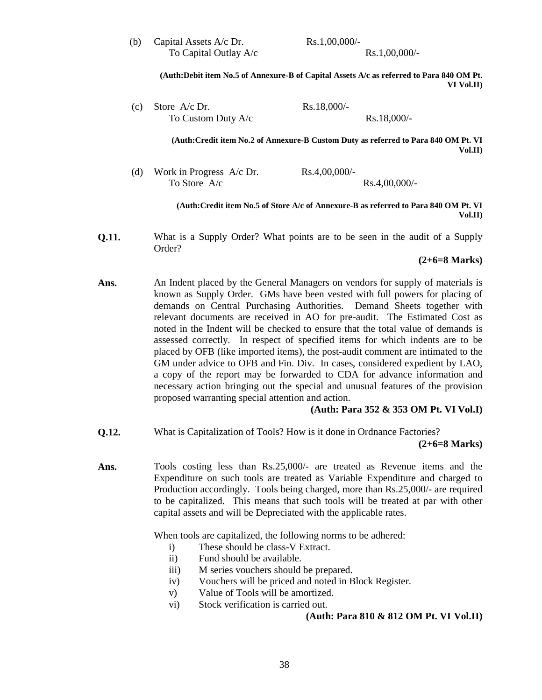(b) Capital Assets A/c Dr.  $Rs.1,00,000/-$ To Capital Outlay  $A/c$  Rs.1,00,000/-

**(Auth:Debit item No.5 of Annexure-B of Capital Assets A/c as referred to Para 840 OM Pt. VI Vol.II)**

(c) Store  $A/c$  Dr. Rs.18,000/-To Custom Duty  $A/c$  Rs.18,000/-

> **(Auth:Credit item No.2 of Annexure-B Custom Duty as referred to Para 840 OM Pt. VI Vol.II)**

(d) Work in Progress  $A/c$  Dr. Rs.4,00,000/-To Store  $A/c$  Rs.4,00,000/-

> **(Auth:Credit item No.5 of Store A/c of Annexure-B as referred to Para 840 OM Pt. VI Vol.II)**

**Q.11.** What is a Supply Order? What points are to be seen in the audit of a Supply Order?

# **(2+6=8 Marks)**

Ans. **An Indent placed by the General Managers on vendors for supply of materials is** known as Supply Order. GMs have been vested with full powers for placing of demands on Central Purchasing Authorities. Demand Sheets together with relevant documents are received in AO for pre-audit. The Estimated Cost as noted in the Indent will be checked to ensure that the total value of demands is assessed correctly. In respect of specified items for which indents are to be placed by OFB (like imported items), the post-audit comment are intimated to the GM under advice to OFB and Fin. Div. In cases, considered expedient by LAO, a copy of the report may be forwarded to CDA for advance information and necessary action bringing out the special and unusual features of the provision proposed warranting special attention and action.

# **(Auth: Para 352 & 353 OM Pt. VI Vol.I)**

**Q.12.** What is Capitalization of Tools? How is it done in Ordnance Factories?

#### **(2+6=8 Marks)**

**Ans.** Tools costing less than Rs.25,000/- are treated as Revenue items and the Expenditure on such tools are treated as Variable Expenditure and charged to Production accordingly. Tools being charged, more than Rs.25,000/- are required to be capitalized. This means that such tools will be treated at par with other capital assets and will be Depreciated with the applicable rates.

When tools are capitalized, the following norms to be adhered:

- i) These should be class-V Extract.
- ii) Fund should be available.
- iii) M series vouchers should be prepared.
- iv) Vouchers will be priced and noted in Block Register.
- v) Value of Tools will be amortized.
- vi) Stock verification is carried out.

#### **(Auth: Para 810 & 812 OM Pt. VI Vol.II)**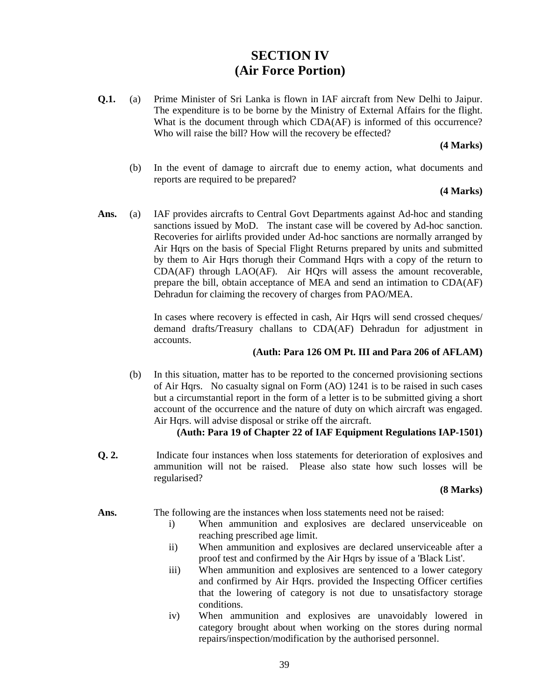# **SECTION IV (Air Force Portion)**

**Q.1.** (a) Prime Minister of Sri Lanka is flown in IAF aircraft from New Delhi to Jaipur. The expenditure is to be borne by the Ministry of External Affairs for the flight. What is the document through which CDA(AF) is informed of this occurrence? Who will raise the bill? How will the recovery be effected?

### **(4 Marks)**

(b) In the event of damage to aircraft due to enemy action, what documents and reports are required to be prepared?

# **(4 Marks)**

**Ans.** (a) IAF provides aircrafts to Central Govt Departments against Ad-hoc and standing sanctions issued by MoD. The instant case will be covered by Ad-hoc sanction. Recoveries for airlifts provided under Ad-hoc sanctions are normally arranged by Air Hqrs on the basis of Special Flight Returns prepared by units and submitted by them to Air Hqrs thorugh their Command Hqrs with a copy of the return to CDA(AF) through LAO(AF). Air HQrs will assess the amount recoverable, prepare the bill, obtain acceptance of MEA and send an intimation to CDA(AF) Dehradun for claiming the recovery of charges from PAO/MEA.

> In cases where recovery is effected in cash, Air Hqrs will send crossed cheques/ demand drafts/Treasury challans to CDA(AF) Dehradun for adjustment in accounts.

# **(Auth: Para 126 OM Pt. III and Para 206 of AFLAM)**

(b) In this situation, matter has to be reported to the concerned provisioning sections of Air Hqrs. No casualty signal on Form (AO) 1241 is to be raised in such cases but a circumstantial report in the form of a letter is to be submitted giving a short account of the occurrence and the nature of duty on which aircraft was engaged. Air Hqrs. will advise disposal or strike off the aircraft.

# **(Auth: Para 19 of Chapter 22 of IAF Equipment Regulations IAP-1501)**

**Q. 2.** Indicate four instances when loss statements for deterioration of explosives and ammunition will not be raised. Please also state how such losses will be regularised?

# **(8 Marks)**

Ans. The following are the instances when loss statements need not be raised:

- i) When ammunition and explosives are declared unserviceable on reaching prescribed age limit.
- ii) When ammunition and explosives are declared unserviceable after a proof test and confirmed by the Air Hqrs by issue of a 'Black List'.
- iii) When ammunition and explosives are sentenced to a lower category and confirmed by Air Hqrs. provided the Inspecting Officer certifies that the lowering of category is not due to unsatisfactory storage conditions.
- iv) When ammunition and explosives are unavoidably lowered in category brought about when working on the stores during normal repairs/inspection/modification by the authorised personnel.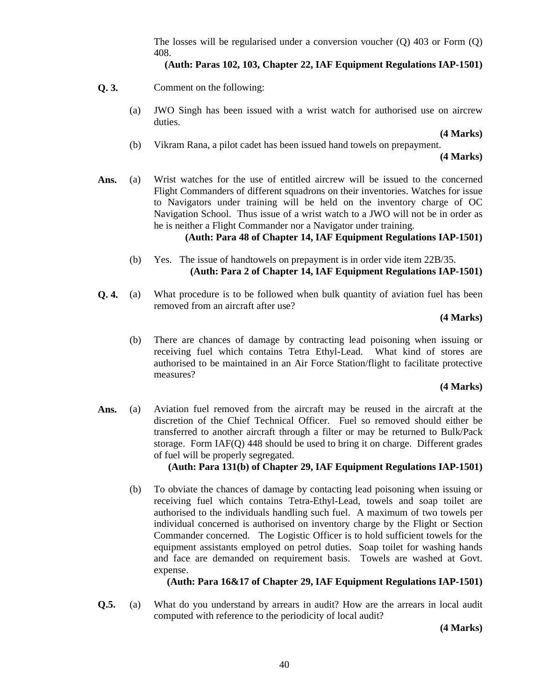The losses will be regularised under a conversion voucher (Q) 403 or Form (Q) 408.

# **(Auth: Paras 102, 103, Chapter 22, IAF Equipment Regulations IAP-1501)**

- **Q. 3.** Comment on the following:
	- (a) JWO Singh has been issued with a wrist watch for authorised use on aircrew duties.

**(4 Marks)**

(b) Vikram Rana, a pilot cadet has been issued hand towels on prepayment.

 **(4 Marks)**

**Ans.** (a) Wrist watches for the use of entitled aircrew will be issued to the concerned Flight Commanders of different squadrons on their inventories. Watches for issue to Navigators under training will be held on the inventory charge of OC Navigation School. Thus issue of a wrist watch to a JWO will not be in order as he is neither a Flight Commander nor a Navigator under training.

# **(Auth: Para 48 of Chapter 14, IAF Equipment Regulations IAP-1501)**

- (b) Yes. The issue of handtowels on prepayment is in order vide item 22B/35. **(Auth: Para 2 of Chapter 14, IAF Equipment Regulations IAP-1501)**
- **Q. 4.** (a) What procedure is to be followed when bulk quantity of aviation fuel has been removed from an aircraft after use?

### **(4 Marks)**

(b) There are chances of damage by contracting lead poisoning when issuing or receiving fuel which contains Tetra Ethyl-Lead. What kind of stores are authorised to be maintained in an Air Force Station/flight to facilitate protective measures?

#### **(4 Marks)**

**Ans.** (a) Aviation fuel removed from the aircraft may be reused in the aircraft at the discretion of the Chief Technical Officer. Fuel so removed should either be transferred to another aircraft through a filter or may be returned to Bulk/Pack storage. Form IAF(Q) 448 should be used to bring it on charge. Different grades of fuel will be properly segregated.

# **(Auth: Para 131(b) of Chapter 29, IAF Equipment Regulations IAP-1501)**

(b) To obviate the chances of damage by contacting lead poisoning when issuing or receiving fuel which contains Tetra-Ethyl-Lead, towels and soap toilet are authorised to the individuals handling such fuel. A maximum of two towels per individual concerned is authorised on inventory charge by the Flight or Section Commander concerned. The Logistic Officer is to hold sufficient towels for the equipment assistants employed on petrol duties. Soap toilet for washing hands and face are demanded on requirement basis. Towels are washed at Govt. expense.

**(Auth: Para 16&17 of Chapter 29, IAF Equipment Regulations IAP-1501)**

**Q.5.** (a) What do you understand by arrears in audit? How are the arrears in local audit computed with reference to the periodicity of local audit?

**(4 Marks)**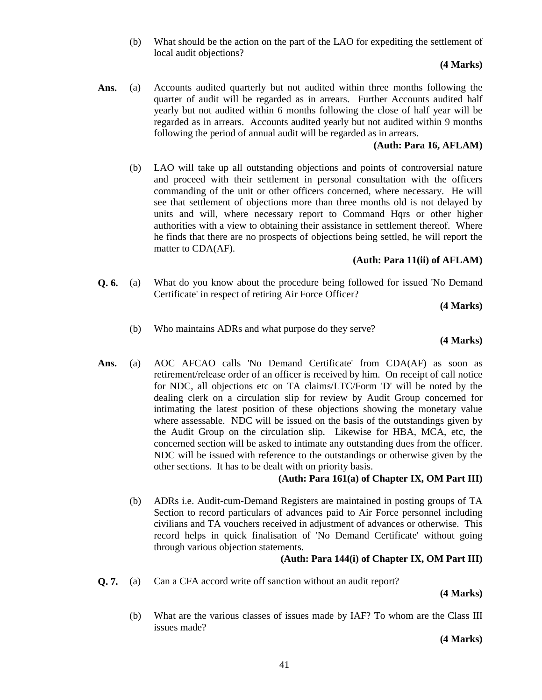(b) What should be the action on the part of the LAO for expediting the settlement of local audit objections?

# **(4 Marks)**

**Ans.** (a) Accounts audited quarterly but not audited within three months following the quarter of audit will be regarded as in arrears. Further Accounts audited half yearly but not audited within 6 months following the close of half year will be regarded as in arrears. Accounts audited yearly but not audited within 9 months following the period of annual audit will be regarded as in arrears.

# **(Auth: Para 16, AFLAM)**

(b) LAO will take up all outstanding objections and points of controversial nature and proceed with their settlement in personal consultation with the officers commanding of the unit or other officers concerned, where necessary. He will see that settlement of objections more than three months old is not delayed by units and will, where necessary report to Command Hqrs or other higher authorities with a view to obtaining their assistance in settlement thereof. Where he finds that there are no prospects of objections being settled, he will report the matter to CDA(AF).

# **(Auth: Para 11(ii) of AFLAM)**

**Q. 6.** (a) What do you know about the procedure being followed for issued 'No Demand Certificate' in respect of retiring Air Force Officer?

**(4 Marks)**

(b) Who maintains ADRs and what purpose do they serve?

# **(4 Marks)**

**Ans.** (a) AOC AFCAO calls 'No Demand Certificate' from CDA(AF) as soon as retirement/release order of an officer is received by him. On receipt of call notice for NDC, all objections etc on TA claims/LTC/Form 'D' will be noted by the dealing clerk on a circulation slip for review by Audit Group concerned for intimating the latest position of these objections showing the monetary value where assessable. NDC will be issued on the basis of the outstandings given by the Audit Group on the circulation slip. Likewise for HBA, MCA, etc, the concerned section will be asked to intimate any outstanding dues from the officer. NDC will be issued with reference to the outstandings or otherwise given by the other sections. It has to be dealt with on priority basis.

# **(Auth: Para 161(a) of Chapter IX, OM Part III)**

(b) ADRs i.e. Audit-cum-Demand Registers are maintained in posting groups of TA Section to record particulars of advances paid to Air Force personnel including civilians and TA vouchers received in adjustment of advances or otherwise. This record helps in quick finalisation of 'No Demand Certificate' without going through various objection statements.

# **(Auth: Para 144(i) of Chapter IX, OM Part III)**

**Q. 7.** (a) Can a CFA accord write off sanction without an audit report?

 **(4 Marks)**

(b) What are the various classes of issues made by IAF? To whom are the Class III issues made?

**(4 Marks)**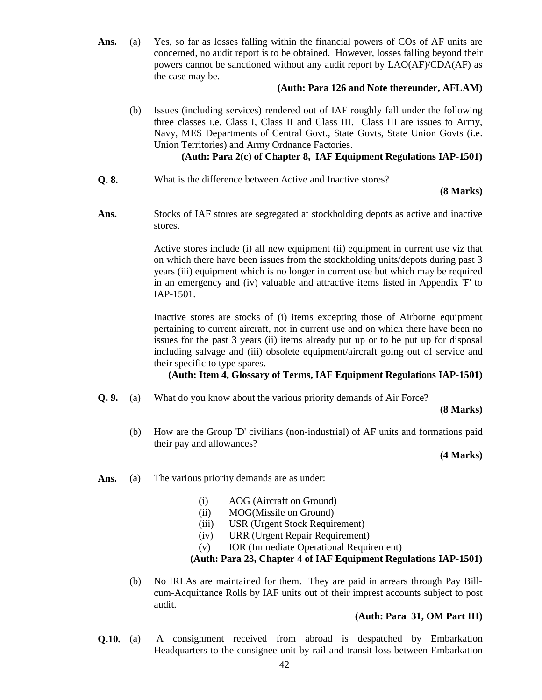**Ans.** (a) Yes, so far as losses falling within the financial powers of COs of AF units are concerned, no audit report is to be obtained. However, losses falling beyond their powers cannot be sanctioned without any audit report by LAO(AF)/CDA(AF) as the case may be.

# **(Auth: Para 126 and Note thereunder, AFLAM)**

(b) Issues (including services) rendered out of IAF roughly fall under the following three classes i.e. Class I, Class II and Class III. Class III are issues to Army, Navy, MES Departments of Central Govt., State Govts, State Union Govts (i.e. Union Territories) and Army Ordnance Factories.

# **(Auth: Para 2(c) of Chapter 8, IAF Equipment Regulations IAP-1501)**

**Q. 8.** What is the difference between Active and Inactive stores?

### **(8 Marks)**

**Ans.** Stocks of IAF stores are segregated at stockholding depots as active and inactive stores.

> Active stores include (i) all new equipment (ii) equipment in current use viz that on which there have been issues from the stockholding units/depots during past 3 years (iii) equipment which is no longer in current use but which may be required in an emergency and (iv) valuable and attractive items listed in Appendix 'F' to IAP-1501.

> Inactive stores are stocks of (i) items excepting those of Airborne equipment pertaining to current aircraft, not in current use and on which there have been no issues for the past 3 years (ii) items already put up or to be put up for disposal including salvage and (iii) obsolete equipment/aircraft going out of service and their specific to type spares.

# **(Auth: Item 4, Glossary of Terms, IAF Equipment Regulations IAP-1501)**

**Q. 9.** (a) What do you know about the various priority demands of Air Force?

**(8 Marks)**

(b) How are the Group 'D' civilians (non-industrial) of AF units and formations paid their pay and allowances?

 **(4 Marks)**

- Ans. (a) The various priority demands are as under:
	- (i) AOG (Aircraft on Ground)
	- (ii) MOG(Missile on Ground)
	- (iii) USR (Urgent Stock Requirement)
	- (iv) URR (Urgent Repair Requirement)
	- (v) IOR (Immediate Operational Requirement)

# **(Auth: Para 23, Chapter 4 of IAF Equipment Regulations IAP-1501)**

(b) No IRLAs are maintained for them. They are paid in arrears through Pay Billcum-Acquittance Rolls by IAF units out of their imprest accounts subject to post audit.

# **(Auth: Para 31, OM Part III)**

**Q.10.** (a) A consignment received from abroad is despatched by Embarkation Headquarters to the consignee unit by rail and transit loss between Embarkation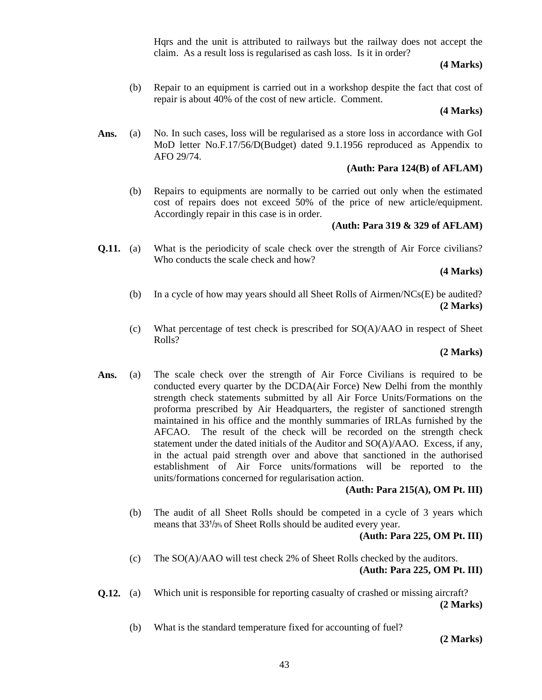Hqrs and the unit is attributed to railways but the railway does not accept the claim. As a result loss is regularised as cash loss. Is it in order?

### **(4 Marks)**

(b) Repair to an equipment is carried out in a workshop despite the fact that cost of repair is about 40% of the cost of new article. Comment.

### **(4 Marks)**

Ans. (a) No. In such cases, loss will be regularised as a store loss in accordance with GoI MoD letter No.F.17/56/D(Budget) dated 9.1.1956 reproduced as Appendix to AFO 29/74.

# **(Auth: Para 124(B) of AFLAM)**

(b) Repairs to equipments are normally to be carried out only when the estimated cost of repairs does not exceed 50% of the price of new article/equipment. Accordingly repair in this case is in order.

# **(Auth: Para 319 & 329 of AFLAM)**

**Q.11.** (a) What is the periodicity of scale check over the strength of Air Force civilians? Who conducts the scale check and how?

# **(4 Marks)**

- (b) In a cycle of how may years should all Sheet Rolls of Airmen/NCs(E) be audited? **(2 Marks)**
- (c) What percentage of test check is prescribed for  $SO(A)/AAO$  in respect of Sheet Rolls?

# **(2 Marks)**

**Ans.** (a) The scale check over the strength of Air Force Civilians is required to be conducted every quarter by the DCDA(Air Force) New Delhi from the monthly strength check statements submitted by all Air Force Units/Formations on the proforma prescribed by Air Headquarters, the register of sanctioned strength maintained in his office and the monthly summaries of IRLAs furnished by the AFCAO. The result of the check will be recorded on the strength check statement under the dated initials of the Auditor and  $SO(A)/AAO$ . Excess, if any, in the actual paid strength over and above that sanctioned in the authorised establishment of Air Force units/formations will be reported to the units/formations concerned for regularisation action.

# **(Auth: Para 215(A), OM Pt. III)**

(b) The audit of all Sheet Rolls should be competed in a cycle of 3 years which means that 331/3% of Sheet Rolls should be audited every year.

# **(Auth: Para 225, OM Pt. III)**

- (c) The SO(A)/AAO will test check 2% of Sheet Rolls checked by the auditors. **(Auth: Para 225, OM Pt. III)**
- **Q.12.** (a) Which unit is responsible for reporting casualty of crashed or missing aircraft? **(2 Marks)**
	- (b) What is the standard temperature fixed for accounting of fuel?

 **(2 Marks)**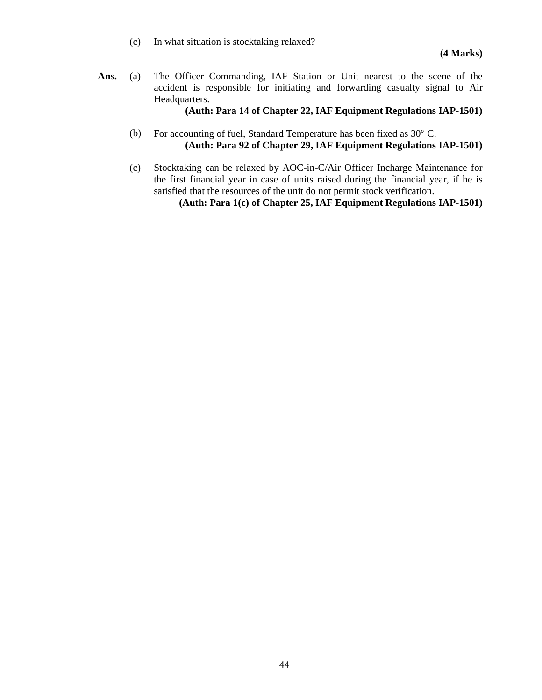(c) In what situation is stocktaking relaxed?

**Ans.** (a) The Officer Commanding, IAF Station or Unit nearest to the scene of the accident is responsible for initiating and forwarding casualty signal to Air Headquarters.

**(Auth: Para 14 of Chapter 22, IAF Equipment Regulations IAP-1501)**

- (b) For accounting of fuel, Standard Temperature has been fixed as 30° C. **(Auth: Para 92 of Chapter 29, IAF Equipment Regulations IAP-1501)**
- (c) Stocktaking can be relaxed by AOC-in-C/Air Officer Incharge Maintenance for the first financial year in case of units raised during the financial year, if he is satisfied that the resources of the unit do not permit stock verification.

**(Auth: Para 1(c) of Chapter 25, IAF Equipment Regulations IAP-1501)**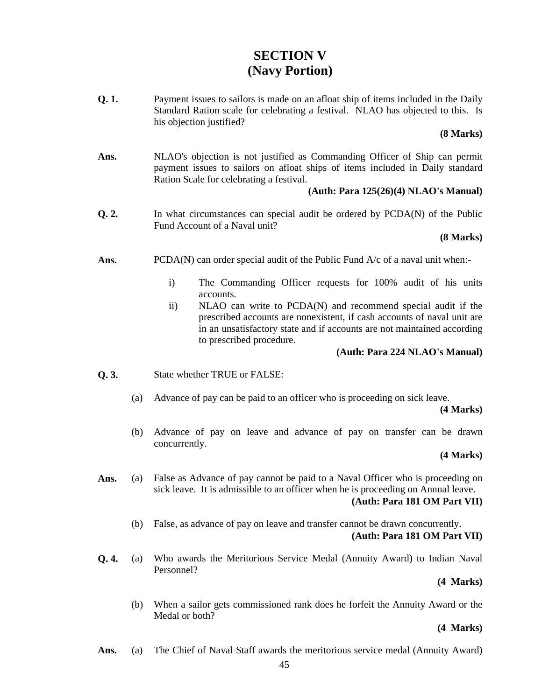# **SECTION V (Navy Portion)**

**Q. 1.** Payment issues to sailors is made on an afloat ship of items included in the Daily Standard Ration scale for celebrating a festival. NLAO has objected to this. Is his objection justified?

#### **(8 Marks)**

**Ans.** NLAO's objection is not justified as Commanding Officer of Ship can permit payment issues to sailors on afloat ships of items included in Daily standard Ration Scale for celebrating a festival.

# **(Auth: Para 125(26)(4) NLAO's Manual)**

**Q. 2.** In what circumstances can special audit be ordered by PCDA(N) of the Public Fund Account of a Naval unit?

### **(8 Marks)**

- Ans. PCDA(N) can order special audit of the Public Fund A/c of a naval unit when:
	- i) The Commanding Officer requests for 100% audit of his units accounts.
	- ii) NLAO can write to PCDA(N) and recommend special audit if the prescribed accounts are nonexistent, if cash accounts of naval unit are in an unsatisfactory state and if accounts are not maintained according to prescribed procedure.

# **(Auth: Para 224 NLAO's Manual)**

- **Q. 3.** State whether TRUE or FALSE:
	- (a) Advance of pay can be paid to an officer who is proceeding on sick leave.

#### **(4 Marks)**

(b) Advance of pay on leave and advance of pay on transfer can be drawn concurrently.

### **(4 Marks)**

- Ans. (a) False as Advance of pay cannot be paid to a Naval Officer who is proceeding on sick leave. It is admissible to an officer when he is proceeding on Annual leave. **(Auth: Para 181 OM Part VII)**
	- (b) False, as advance of pay on leave and transfer cannot be drawn concurrently. **(Auth: Para 181 OM Part VII)**
- **Q. 4.** (a) Who awards the Meritorious Service Medal (Annuity Award) to Indian Naval Personnel?

#### **(4 Marks)**

(b) When a sailor gets commissioned rank does he forfeit the Annuity Award or the Medal or both?

#### **(4 Marks)**

**Ans.** (a) The Chief of Naval Staff awards the meritorious service medal (Annuity Award)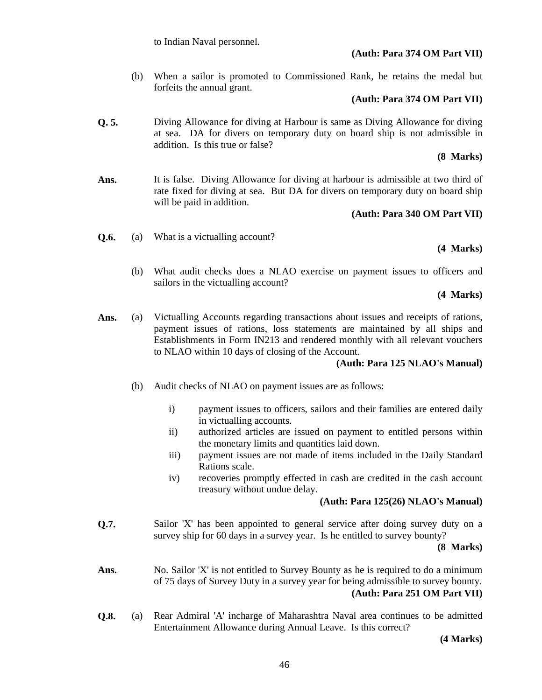# **(Auth: Para 374 OM Part VII)**

(b) When a sailor is promoted to Commissioned Rank, he retains the medal but forfeits the annual grant.

# **(Auth: Para 374 OM Part VII)**

**Q. 5.** Diving Allowance for diving at Harbour is same as Diving Allowance for diving at sea. DA for divers on temporary duty on board ship is not admissible in addition. Is this true or false?

# **(8 Marks)**

**Ans.** It is false. Diving Allowance for diving at harbour is admissible at two third of rate fixed for diving at sea. But DA for divers on temporary duty on board ship will be paid in addition.

# **(Auth: Para 340 OM Part VII)**

**Q.6.** (a) What is a victualling account?

**(4 Marks)**

(b) What audit checks does a NLAO exercise on payment issues to officers and sailors in the victualling account?

**(4 Marks)**

Ans. (a) Victualling Accounts regarding transactions about issues and receipts of rations, payment issues of rations, loss statements are maintained by all ships and Establishments in Form IN213 and rendered monthly with all relevant vouchers to NLAO within 10 days of closing of the Account.

# **(Auth: Para 125 NLAO's Manual)**

- (b) Audit checks of NLAO on payment issues are as follows:
	- i) payment issues to officers, sailors and their families are entered daily in victualling accounts.
	- ii) authorized articles are issued on payment to entitled persons within the monetary limits and quantities laid down.
	- iii) payment issues are not made of items included in the Daily Standard Rations scale.
	- iv) recoveries promptly effected in cash are credited in the cash account treasury without undue delay.

# **(Auth: Para 125(26) NLAO's Manual)**

**Q.7.** Sailor 'X' has been appointed to general service after doing survey duty on a survey ship for 60 days in a survey year. Is he entitled to survey bounty?

**(8 Marks)**

- Ans. No. Sailor 'X' is not entitled to Survey Bounty as he is required to do a minimum of 75 days of Survey Duty in a survey year for being admissible to survey bounty. **(Auth: Para 251 OM Part VII)**
- **Q.8.** (a) Rear Admiral 'A' incharge of Maharashtra Naval area continues to be admitted Entertainment Allowance during Annual Leave. Is this correct?

**(4 Marks)**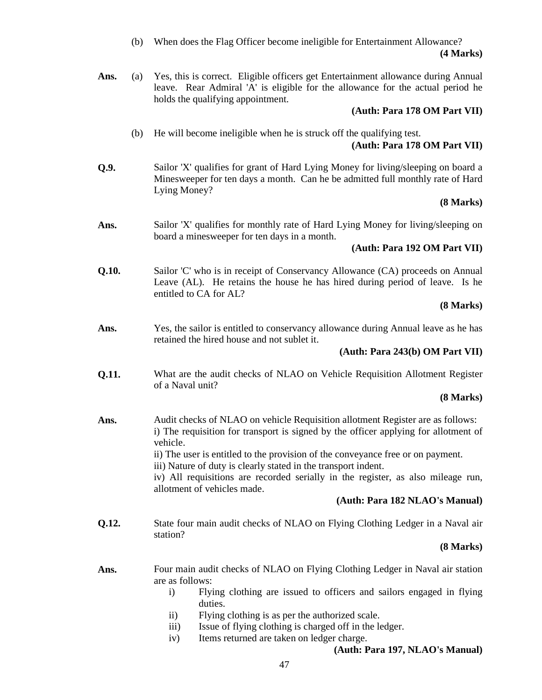(b) When does the Flag Officer become ineligible for Entertainment Allowance? **(4 Marks)**

Ans. (a) Yes, this is correct. Eligible officers get Entertainment allowance during Annual leave. Rear Admiral 'A' is eligible for the allowance for the actual period he holds the qualifying appointment.

# **(Auth: Para 178 OM Part VII)**

(b) He will become ineligible when he is struck off the qualifying test.

# **(Auth: Para 178 OM Part VII)**

**Q.9.** Sailor 'X' qualifies for grant of Hard Lying Money for living/sleeping on board a Minesweeper for ten days a month. Can he be admitted full monthly rate of Hard Lying Money?

# **(8 Marks)**

Ans. Sailor 'X' qualifies for monthly rate of Hard Lying Money for living/sleeping on board a minesweeper for ten days in a month.

# **(Auth: Para 192 OM Part VII)**

**Q.10.** Sailor 'C' who is in receipt of Conservancy Allowance (CA) proceeds on Annual Leave (AL). He retains the house he has hired during period of leave. Is he entitled to CA for AL?

# **(8 Marks)**

Ans. *Yes, the sailor is entitled to conservancy allowance during Annual leave as he has* retained the hired house and not sublet it.

# **(Auth: Para 243(b) OM Part VII)**

**Q.11.** What are the audit checks of NLAO on Vehicle Requisition Allotment Register of a Naval unit?

# **(8 Marks)**

Ans. **Audit checks of NLAO on vehicle Requisition allotment Register are as follows:** i) The requisition for transport is signed by the officer applying for allotment of vehicle. ii) The user is entitled to the provision of the conveyance free or on payment. iii) Nature of duty is clearly stated in the transport indent.

> iv) All requisitions are recorded serially in the register, as also mileage run, allotment of vehicles made.

# **(Auth: Para 182 NLAO's Manual)**

**Q.12.** State four main audit checks of NLAO on Flying Clothing Ledger in a Naval air station?

# **(8 Marks)**

- **Ans.** Four main audit checks of NLAO on Flying Clothing Ledger in Naval air station are as follows:
	- i) Flying clothing are issued to officers and sailors engaged in flying duties.
	- ii) Flying clothing is as per the authorized scale.
	- iii) Issue of flying clothing is charged off in the ledger.
	- iv) Items returned are taken on ledger charge.

# **(Auth: Para 197, NLAO's Manual)**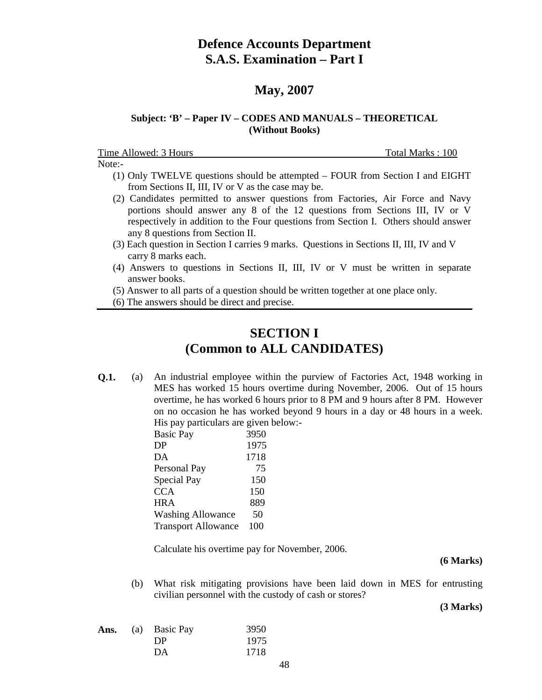# **Defence Accounts Department S.A.S. Examination – Part I**

# **May, 2007**

# **Subject: 'B' – Paper IV – CODES AND MANUALS – THEORETICAL (Without Books)**

Time Allowed: 3 Hours Total Marks : 100 Note:-

- (1) Only TWELVE questions should be attempted FOUR from Section I and EIGHT from Sections II, III, IV or V as the case may be.
- (2) Candidates permitted to answer questions from Factories, Air Force and Navy portions should answer any 8 of the 12 questions from Sections III, IV or V respectively in addition to the Four questions from Section I. Others should answer any 8 questions from Section II.
- (3) Each question in Section I carries 9 marks. Questions in Sections II, III, IV and V carry 8 marks each.
- (4) Answers to questions in Sections II, III, IV or V must be written in separate answer books.
- (5) Answer to all parts of a question should be written together at one place only.
- (6) The answers should be direct and precise.

# **SECTION I (Common to ALL CANDIDATES)**

**Q.1.** (a) An industrial employee within the purview of Factories Act, 1948 working in MES has worked 15 hours overtime during November, 2006. Out of 15 hours overtime, he has worked 6 hours prior to 8 PM and 9 hours after 8 PM. However on no occasion he has worked beyond 9 hours in a day or 48 hours in a week. His pay particulars are given below:-

| <b>Basic Pay</b>           | 3950 |
|----------------------------|------|
| DP                         | 1975 |
| DA                         | 1718 |
| Personal Pay               | 75   |
| Special Pay                | 150  |
| <b>CCA</b>                 | 150  |
| <b>HRA</b>                 | 889  |
| <b>Washing Allowance</b>   | 50   |
| <b>Transport Allowance</b> | 100  |

Calculate his overtime pay for November, 2006.

 **(6 Marks)**

 (b) What risk mitigating provisions have been laid down in MES for entrusting civilian personnel with the custody of cash or stores?

| Ans. | (a) Basic Pay | 3950 |
|------|---------------|------|
|      | DP            | 1975 |
|      | DA            | 1718 |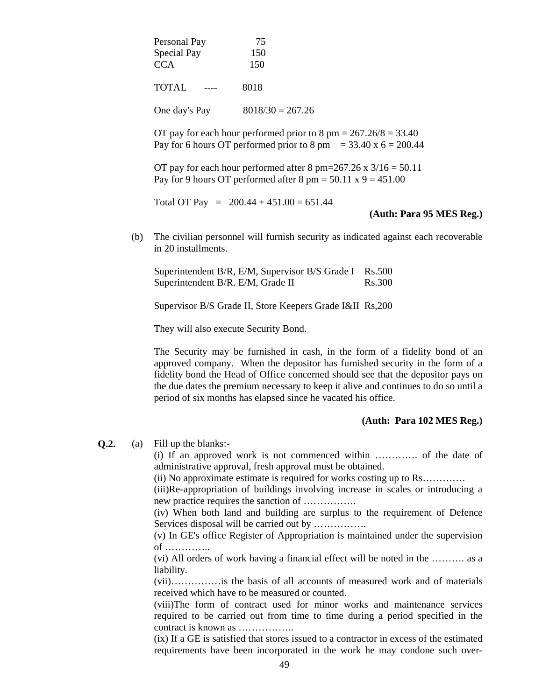| Personal Pay  | 75                 |
|---------------|--------------------|
| Special Pay   | 150                |
| <b>CCA</b>    | 150                |
| <b>TOTAL</b>  | 8018               |
| One day's Pay | $8018/30 = 267.26$ |

OT pay for each hour performed prior to  $8 \text{ pm} = 267.26/8 = 33.40$ Pay for 6 hours OT performed prior to 8 pm =  $33.40 \times 6 = 200.44$ 

OT pay for each hour performed after 8 pm=267.26 x  $3/16 = 50.11$ Pay for 9 hours OT performed after 8 pm =  $50.11 \times 9 = 451.00$ 

Total OT Pay =  $200.44 + 451.00 = 651.44$ 

**(Auth: Para 95 MES Reg.)**

 (b) The civilian personnel will furnish security as indicated against each recoverable in 20 installments.

Superintendent B/R, E/M, Supervisor B/S Grade I Rs.500 Superintendent B/R. E/M, Grade II Rs.300

Supervisor B/S Grade II, Store Keepers Grade I&II Rs,200

They will also execute Security Bond.

The Security may be furnished in cash, in the form of a fidelity bond of an approved company. When the depositor has furnished security in the form of a fidelity bond the Head of Office concerned should see that the depositor pays on the due dates the premium necessary to keep it alive and continues to do so until a period of six months has elapsed since he vacated his office.

#### **(Auth: Para 102 MES Reg.)**

#### **Q.2.** (a) Fill up the blanks:-

(i) If an approved work is not commenced within …………. of the date of administrative approval, fresh approval must be obtained.

(ii) No approximate estimate is required for works costing up to Rs………….

(iii)Re-appropriation of buildings involving increase in scales or introducing a new practice requires the sanction of …………….

(iv) When both land and building are surplus to the requirement of Defence Services disposal will be carried out by …………….

(v) In GE's office Register of Appropriation is maintained under the supervision of …………..

(vi) All orders of work having a financial effect will be noted in the ………. as a liability.

(vii)……………is the basis of all accounts of measured work and of materials received which have to be measured or counted.

(viii)The form of contract used for minor works and maintenance services required to be carried out from time to time during a period specified in the contract is known as ……………..

(ix) If a GE is satisfied that stores issued to a contractor in excess of the estimated requirements have been incorporated in the work he may condone such over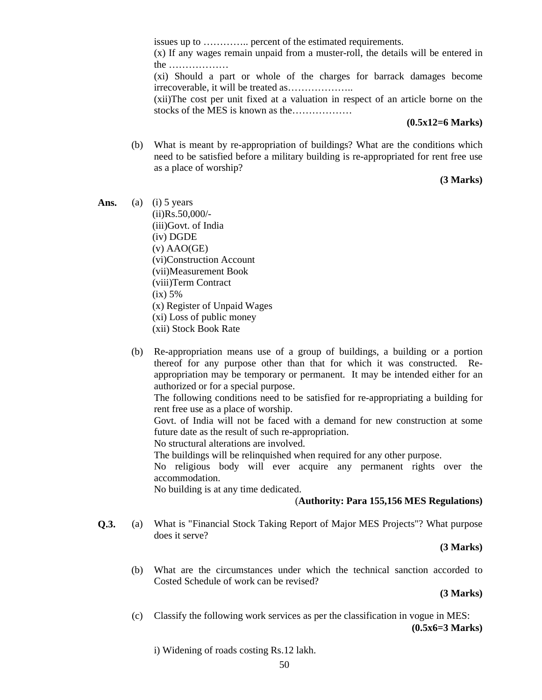issues up to ………….. percent of the estimated requirements. (x) If any wages remain unpaid from a muster-roll, the details will be entered in the ……………… (xi) Should a part or whole of the charges for barrack damages become irrecoverable, it will be treated as……………….. (xii)The cost per unit fixed at a valuation in respect of an article borne on the stocks of the MES is known as the………………

#### **(0.5x12=6 Marks)**

 (b) What is meant by re-appropriation of buildings? What are the conditions which need to be satisfied before a military building is re-appropriated for rent free use as a place of worship?

### **(3 Marks)**

- Ans. (a) (i) 5 years (ii)Rs.50,000/- (iii)Govt. of India (iv) DGDE  $(v)$  AAO(GE) (vi)Construction Account (vii)Measurement Book (viii)Term Contract  $(ix) 5%$ (x) Register of Unpaid Wages (xi) Loss of public money (xii) Stock Book Rate
	- (b) Re-appropriation means use of a group of buildings, a building or a portion thereof for any purpose other than that for which it was constructed. Reappropriation may be temporary or permanent. It may be intended either for an authorized or for a special purpose.

The following conditions need to be satisfied for re-appropriating a building for rent free use as a place of worship.

Govt. of India will not be faced with a demand for new construction at some future date as the result of such re-appropriation.

No structural alterations are involved.

The buildings will be relinquished when required for any other purpose.

No religious body will ever acquire any permanent rights over the accommodation.

No building is at any time dedicated.

# (**Authority: Para 155,156 MES Regulations)**

**Q.3.** (a) What is "Financial Stock Taking Report of Major MES Projects"? What purpose does it serve?

**(3 Marks)**

 (b) What are the circumstances under which the technical sanction accorded to Costed Schedule of work can be revised?

**(3 Marks)**

 (c) Classify the following work services as per the classification in vogue in MES: **(0.5x6=3 Marks)**

i) Widening of roads costing Rs.12 lakh.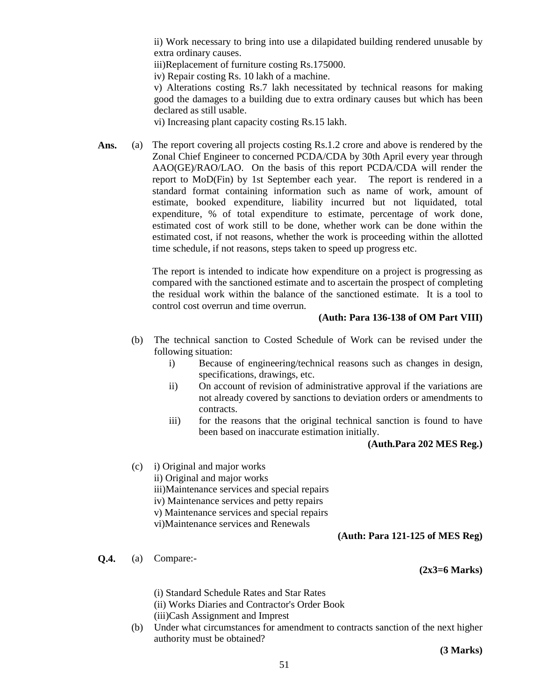ii) Work necessary to bring into use a dilapidated building rendered unusable by extra ordinary causes.

iii)Replacement of furniture costing Rs.175000.

iv) Repair costing Rs. 10 lakh of a machine.

v) Alterations costing Rs.7 lakh necessitated by technical reasons for making good the damages to a building due to extra ordinary causes but which has been declared as still usable.

vi) Increasing plant capacity costing Rs.15 lakh.

Ans. (a) The report covering all projects costing Rs.1.2 crore and above is rendered by the Zonal Chief Engineer to concerned PCDA/CDA by 30th April every year through AAO(GE)/RAO/LAO. On the basis of this report PCDA/CDA will render the report to MoD(Fin) by 1st September each year. The report is rendered in a standard format containing information such as name of work, amount of estimate, booked expenditure, liability incurred but not liquidated, total expenditure, % of total expenditure to estimate, percentage of work done, estimated cost of work still to be done, whether work can be done within the estimated cost, if not reasons, whether the work is proceeding within the allotted time schedule, if not reasons, steps taken to speed up progress etc.

> The report is intended to indicate how expenditure on a project is progressing as compared with the sanctioned estimate and to ascertain the prospect of completing the residual work within the balance of the sanctioned estimate. It is a tool to control cost overrun and time overrun.

### **(Auth: Para 136-138 of OM Part VIII)**

- (b) The technical sanction to Costed Schedule of Work can be revised under the following situation:
	- i) Because of engineering/technical reasons such as changes in design, specifications, drawings, etc.
	- ii) On account of revision of administrative approval if the variations are not already covered by sanctions to deviation orders or amendments to contracts.
	- iii) for the reasons that the original technical sanction is found to have been based on inaccurate estimation initially.

# **(Auth.Para 202 MES Reg.)**

 (c) i) Original and major works ii) Original and major works iii)Maintenance services and special repairs iv) Maintenance services and petty repairs v) Maintenance services and special repairs vi)Maintenance services and Renewals

#### **(Auth: Para 121-125 of MES Reg)**

**Q.4.** (a) Compare:-

#### **(2x3=6 Marks)**

(i) Standard Schedule Rates and Star Rates

- (ii) Works Diaries and Contractor's Order Book
- (iii)Cash Assignment and Imprest
- (b) Under what circumstances for amendment to contracts sanction of the next higher authority must be obtained?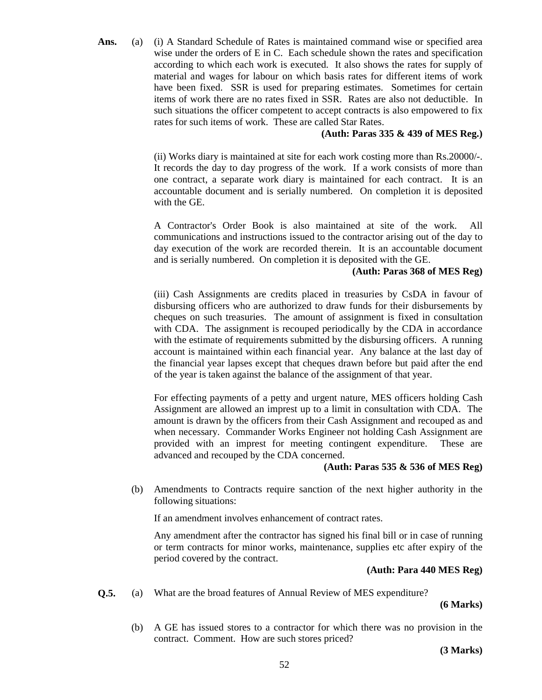Ans. (a) (i) A Standard Schedule of Rates is maintained command wise or specified area wise under the orders of E in C. Each schedule shown the rates and specification according to which each work is executed. It also shows the rates for supply of material and wages for labour on which basis rates for different items of work have been fixed. SSR is used for preparing estimates. Sometimes for certain items of work there are no rates fixed in SSR. Rates are also not deductible. In such situations the officer competent to accept contracts is also empowered to fix rates for such items of work. These are called Star Rates.

# **(Auth: Paras 335 & 439 of MES Reg.)**

 (ii) Works diary is maintained at site for each work costing more than Rs.20000/-. It records the day to day progress of the work. If a work consists of more than one contract, a separate work diary is maintained for each contract. It is an accountable document and is serially numbered. On completion it is deposited with the GE.

A Contractor's Order Book is also maintained at site of the work. All communications and instructions issued to the contractor arising out of the day to day execution of the work are recorded therein. It is an accountable document and is serially numbered. On completion it is deposited with the GE.

# **(Auth: Paras 368 of MES Reg)**

 (iii) Cash Assignments are credits placed in treasuries by CsDA in favour of disbursing officers who are authorized to draw funds for their disbursements by cheques on such treasuries. The amount of assignment is fixed in consultation with CDA. The assignment is recouped periodically by the CDA in accordance with the estimate of requirements submitted by the disbursing officers. A running account is maintained within each financial year. Any balance at the last day of the financial year lapses except that cheques drawn before but paid after the end of the year is taken against the balance of the assignment of that year.

For effecting payments of a petty and urgent nature, MES officers holding Cash Assignment are allowed an imprest up to a limit in consultation with CDA. The amount is drawn by the officers from their Cash Assignment and recouped as and when necessary. Commander Works Engineer not holding Cash Assignment are provided with an imprest for meeting contingent expenditure. These are advanced and recouped by the CDA concerned.

#### **(Auth: Paras 535 & 536 of MES Reg)**

 (b) Amendments to Contracts require sanction of the next higher authority in the following situations:

If an amendment involves enhancement of contract rates.

Any amendment after the contractor has signed his final bill or in case of running or term contracts for minor works, maintenance, supplies etc after expiry of the period covered by the contract.

#### **(Auth: Para 440 MES Reg)**

**Q.5.** (a) What are the broad features of Annual Review of MES expenditure?

**(6 Marks)**

 (b) A GE has issued stores to a contractor for which there was no provision in the contract. Comment. How are such stores priced?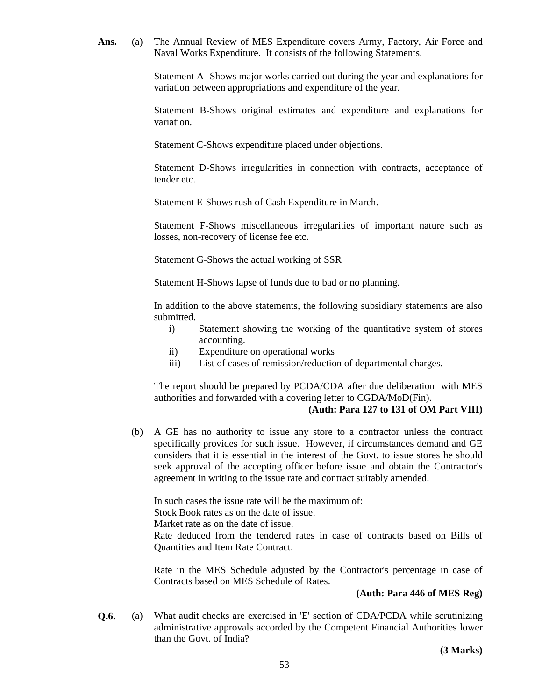**Ans.** (a) The Annual Review of MES Expenditure covers Army, Factory, Air Force and Naval Works Expenditure. It consists of the following Statements.

> Statement A- Shows major works carried out during the year and explanations for variation between appropriations and expenditure of the year.

> Statement B-Shows original estimates and expenditure and explanations for variation.

Statement C-Shows expenditure placed under objections.

Statement D-Shows irregularities in connection with contracts, acceptance of tender etc.

Statement E-Shows rush of Cash Expenditure in March.

Statement F-Shows miscellaneous irregularities of important nature such as losses, non-recovery of license fee etc.

Statement G-Shows the actual working of SSR

Statement H-Shows lapse of funds due to bad or no planning.

In addition to the above statements, the following subsidiary statements are also submitted.

- i) Statement showing the working of the quantitative system of stores accounting.
- ii) Expenditure on operational works
- iii) List of cases of remission/reduction of departmental charges.

The report should be prepared by PCDA/CDA after due deliberation with MES authorities and forwarded with a covering letter to CGDA/MoD(Fin).

#### **(Auth: Para 127 to 131 of OM Part VIII)**

 (b) A GE has no authority to issue any store to a contractor unless the contract specifically provides for such issue. However, if circumstances demand and GE considers that it is essential in the interest of the Govt. to issue stores he should seek approval of the accepting officer before issue and obtain the Contractor's agreement in writing to the issue rate and contract suitably amended.

In such cases the issue rate will be the maximum of: Stock Book rates as on the date of issue. Market rate as on the date of issue.

Rate deduced from the tendered rates in case of contracts based on Bills of Quantities and Item Rate Contract.

Rate in the MES Schedule adjusted by the Contractor's percentage in case of Contracts based on MES Schedule of Rates.

# **(Auth: Para 446 of MES Reg)**

**Q.6.** (a) What audit checks are exercised in 'E' section of CDA/PCDA while scrutinizing administrative approvals accorded by the Competent Financial Authorities lower than the Govt. of India?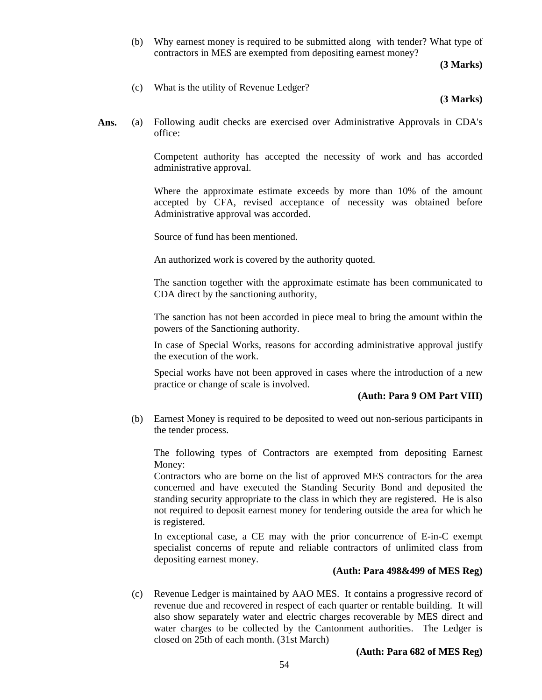(b) Why earnest money is required to be submitted along with tender? What type of contractors in MES are exempted from depositing earnest money?

**(3 Marks)**

(c) What is the utility of Revenue Ledger?

#### **(3 Marks)**

**Ans.** (a) Following audit checks are exercised over Administrative Approvals in CDA's office:

> Competent authority has accepted the necessity of work and has accorded administrative approval.

> Where the approximate estimate exceeds by more than 10% of the amount accepted by CFA, revised acceptance of necessity was obtained before Administrative approval was accorded.

Source of fund has been mentioned.

An authorized work is covered by the authority quoted.

The sanction together with the approximate estimate has been communicated to CDA direct by the sanctioning authority,

The sanction has not been accorded in piece meal to bring the amount within the powers of the Sanctioning authority.

In case of Special Works, reasons for according administrative approval justify the execution of the work.

Special works have not been approved in cases where the introduction of a new practice or change of scale is involved.

#### **(Auth: Para 9 OM Part VIII)**

 (b) Earnest Money is required to be deposited to weed out non-serious participants in the tender process.

The following types of Contractors are exempted from depositing Earnest Money:

Contractors who are borne on the list of approved MES contractors for the area concerned and have executed the Standing Security Bond and deposited the standing security appropriate to the class in which they are registered. He is also not required to deposit earnest money for tendering outside the area for which he is registered.

In exceptional case, a CE may with the prior concurrence of E-in-C exempt specialist concerns of repute and reliable contractors of unlimited class from depositing earnest money.

#### **(Auth: Para 498&499 of MES Reg)**

 (c) Revenue Ledger is maintained by AAO MES. It contains a progressive record of revenue due and recovered in respect of each quarter or rentable building. It will also show separately water and electric charges recoverable by MES direct and water charges to be collected by the Cantonment authorities. The Ledger is closed on 25th of each month. (31st March)

#### **(Auth: Para 682 of MES Reg)**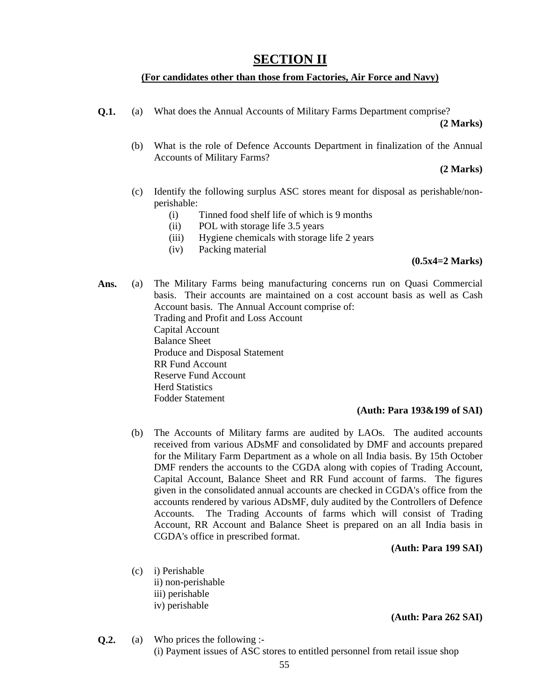# **SECTION II**

# **(For candidates other than those from Factories, Air Force and Navy)**

**Q.1.** (a) What does the Annual Accounts of Military Farms Department comprise?

**(2 Marks)**

 (b) What is the role of Defence Accounts Department in finalization of the Annual Accounts of Military Farms?

**(2 Marks)**

- (c) Identify the following surplus ASC stores meant for disposal as perishable/nonperishable:
	- (i) Tinned food shelf life of which is 9 months
	- (ii) POL with storage life 3.5 years
	- (iii) Hygiene chemicals with storage life 2 years
	- (iv) Packing material

### **(0.5x4=2 Marks)**

**Ans.** (a) The Military Farms being manufacturing concerns run on Quasi Commercial basis. Their accounts are maintained on a cost account basis as well as Cash Account basis. The Annual Account comprise of: Trading and Profit and Loss Account Capital Account Balance Sheet Produce and Disposal Statement RR Fund Account Reserve Fund Account Herd Statistics Fodder Statement

#### **(Auth: Para 193&199 of SAI)**

 (b) The Accounts of Military farms are audited by LAOs. The audited accounts received from various ADsMF and consolidated by DMF and accounts prepared for the Military Farm Department as a whole on all India basis. By 15th October DMF renders the accounts to the CGDA along with copies of Trading Account, Capital Account, Balance Sheet and RR Fund account of farms. The figures given in the consolidated annual accounts are checked in CGDA's office from the accounts rendered by various ADsMF, duly audited by the Controllers of Defence Accounts. The Trading Accounts of farms which will consist of Trading Account, RR Account and Balance Sheet is prepared on an all India basis in CGDA's office in prescribed format.

#### **(Auth: Para 199 SAI)**

- (c) i) Perishable ii) non-perishable
	- iii) perishable
	-
	- iv) perishable

**(Auth: Para 262 SAI)**

**Q.2.** (a) Who prices the following :- (i) Payment issues of ASC stores to entitled personnel from retail issue shop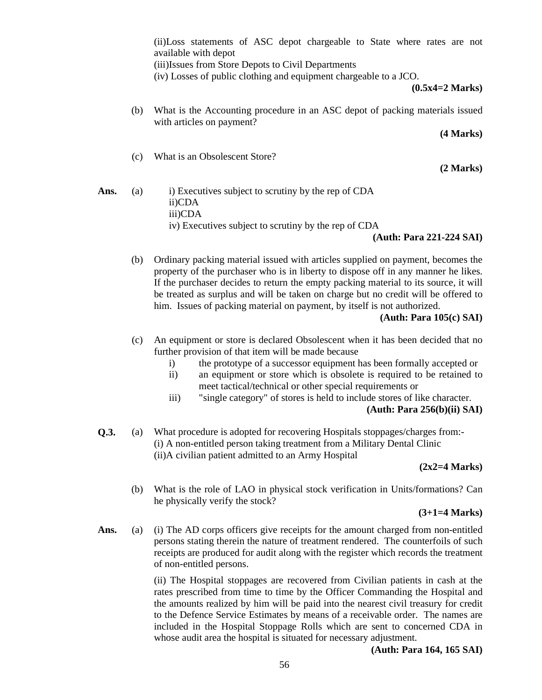(ii)Loss statements of ASC depot chargeable to State where rates are not available with depot

(iii)Issues from Store Depots to Civil Departments

(iv) Losses of public clothing and equipment chargeable to a JCO.

**(0.5x4=2 Marks)**

 (b) What is the Accounting procedure in an ASC depot of packing materials issued with articles on payment?

 **(4 Marks)**

(c) What is an Obsolescent Store?

**(2 Marks)**

Ans. (a) i) Executives subject to scrutiny by the rep of CDA ii)CDA iii)CDA iv) Executives subject to scrutiny by the rep of CDA

**(Auth: Para 221-224 SAI)**

 (b) Ordinary packing material issued with articles supplied on payment, becomes the property of the purchaser who is in liberty to dispose off in any manner he likes. If the purchaser decides to return the empty packing material to its source, it will be treated as surplus and will be taken on charge but no credit will be offered to him. Issues of packing material on payment, by itself is not authorized.

**(Auth: Para 105(c) SAI)**

- (c) An equipment or store is declared Obsolescent when it has been decided that no further provision of that item will be made because
	- i) the prototype of a successor equipment has been formally accepted or
	- ii) an equipment or store which is obsolete is required to be retained to meet tactical/technical or other special requirements or
	- iii) "single category" of stores is held to include stores of like character. **(Auth: Para 256(b)(ii) SAI)**
- **Q.3.** (a) What procedure is adopted for recovering Hospitals stoppages/charges from:- (i) A non-entitled person taking treatment from a Military Dental Clinic (ii)A civilian patient admitted to an Army Hospital

# **(2x2=4 Marks)**

 (b) What is the role of LAO in physical stock verification in Units/formations? Can he physically verify the stock?

**(3+1=4 Marks)**

Ans. (a) (i) The AD corps officers give receipts for the amount charged from non-entitled persons stating therein the nature of treatment rendered. The counterfoils of such receipts are produced for audit along with the register which records the treatment of non-entitled persons.

> (ii) The Hospital stoppages are recovered from Civilian patients in cash at the rates prescribed from time to time by the Officer Commanding the Hospital and the amounts realized by him will be paid into the nearest civil treasury for credit to the Defence Service Estimates by means of a receivable order. The names are included in the Hospital Stoppage Rolls which are sent to concerned CDA in whose audit area the hospital is situated for necessary adjustment.

> > **(Auth: Para 164, 165 SAI)**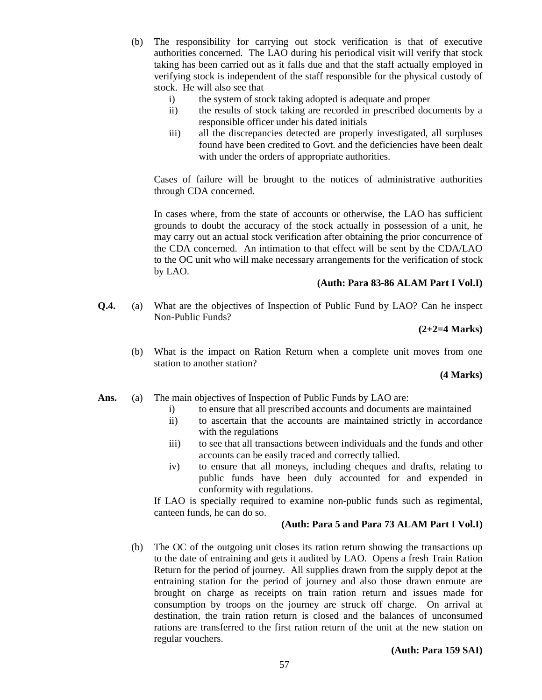- (b) The responsibility for carrying out stock verification is that of executive authorities concerned. The LAO during his periodical visit will verify that stock taking has been carried out as it falls due and that the staff actually employed in verifying stock is independent of the staff responsible for the physical custody of stock. He will also see that
	- i) the system of stock taking adopted is adequate and proper
	- ii) the results of stock taking are recorded in prescribed documents by a responsible officer under his dated initials
	- iii) all the discrepancies detected are properly investigated, all surpluses found have been credited to Govt. and the deficiencies have been dealt with under the orders of appropriate authorities.

Cases of failure will be brought to the notices of administrative authorities through CDA concerned.

In cases where, from the state of accounts or otherwise, the LAO has sufficient grounds to doubt the accuracy of the stock actually in possession of a unit, he may carry out an actual stock verification after obtaining the prior concurrence of the CDA concerned. An intimation to that effect will be sent by the CDA/LAO to the OC unit who will make necessary arrangements for the verification of stock by LAO.

#### **(Auth: Para 83-86 ALAM Part I Vol.I)**

**Q.4.** (a) What are the objectives of Inspection of Public Fund by LAO? Can he inspect Non-Public Funds?

**(2+2=4 Marks)**

 (b) What is the impact on Ration Return when a complete unit moves from one station to another station?

#### **(4 Marks)**

- Ans. (a) The main objectives of Inspection of Public Funds by LAO are:
	- i) to ensure that all prescribed accounts and documents are maintained
	- ii) to ascertain that the accounts are maintained strictly in accordance with the regulations
	- iii) to see that all transactions between individuals and the funds and other accounts can be easily traced and correctly tallied.
	- iv) to ensure that all moneys, including cheques and drafts, relating to public funds have been duly accounted for and expended in conformity with regulations.

If LAO is specially required to examine non-public funds such as regimental, canteen funds, he can do so.

# **(Auth: Para 5 and Para 73 ALAM Part I Vol.I)**

 (b) The OC of the outgoing unit closes its ration return showing the transactions up to the date of entraining and gets it audited by LAO. Opens a fresh Train Ration Return for the period of journey. All supplies drawn from the supply depot at the entraining station for the period of journey and also those drawn enroute are brought on charge as receipts on train ration return and issues made for consumption by troops on the journey are struck off charge. On arrival at destination, the train ration return is closed and the balances of unconsumed rations are transferred to the first ration return of the unit at the new station on regular vouchers.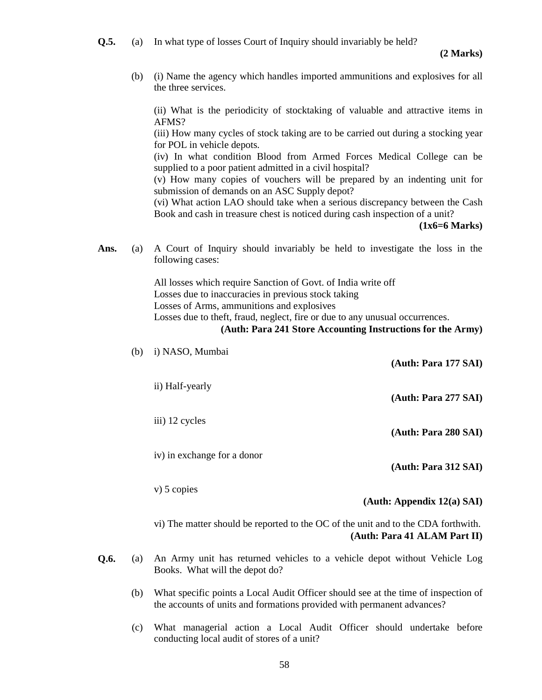**Q.5.** (a) In what type of losses Court of Inquiry should invariably be held?

 (b) (i) Name the agency which handles imported ammunitions and explosives for all the three services.

 (ii) What is the periodicity of stocktaking of valuable and attractive items in AFMS?

 (iii) How many cycles of stock taking are to be carried out during a stocking year for POL in vehicle depots.

 (iv) In what condition Blood from Armed Forces Medical College can be supplied to a poor patient admitted in a civil hospital?

 (v) How many copies of vouchers will be prepared by an indenting unit for submission of demands on an ASC Supply depot?

 (vi) What action LAO should take when a serious discrepancy between the Cash Book and cash in treasure chest is noticed during cash inspection of a unit?

**(1x6=6 Marks)**

**Ans.** (a) A Court of Inquiry should invariably be held to investigate the loss in the following cases:

> All losses which require Sanction of Govt. of India write off Losses due to inaccuracies in previous stock taking Losses of Arms, ammunitions and explosives Losses due to theft, fraud, neglect, fire or due to any unusual occurrences.

**(Auth: Para 241 Store Accounting Instructions for the Army)**

| (b) | i) NASO, Mumbai                                                                             | (Auth: Para 177 SAI)       |
|-----|---------------------------------------------------------------------------------------------|----------------------------|
|     | ii) Half-yearly                                                                             | (Auth: Para 277 SAI)       |
|     | iii) 12 cycles                                                                              | (Auth: Para 280 SAI)       |
|     | iv) in exchange for a donor                                                                 | (Auth: Para 312 SAI)       |
|     | $v)$ 5 copies                                                                               | (Auth: Appendix 12(a) SAI) |
|     | $\overline{v}$ The matter should be reported to the OC of the unit and to the CDA forthwith |                            |

vi) The matter should be reported to the OC of the unit and to the CDA forthwith. **(Auth: Para 41 ALAM Part II)**

- **Q.6.** (a) An Army unit has returned vehicles to a vehicle depot without Vehicle Log Books. What will the depot do?
	- (b) What specific points a Local Audit Officer should see at the time of inspection of the accounts of units and formations provided with permanent advances?
	- (c) What managerial action a Local Audit Officer should undertake before conducting local audit of stores of a unit?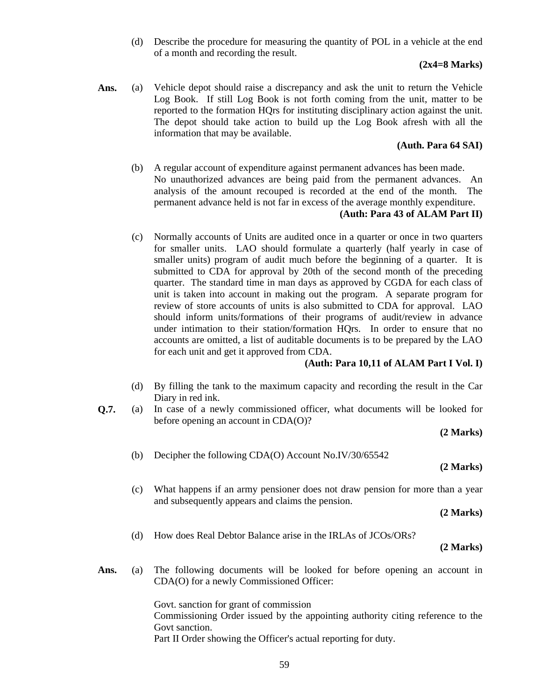(d) Describe the procedure for measuring the quantity of POL in a vehicle at the end of a month and recording the result.

# **(2x4=8 Marks)**

**Ans.** (a) Vehicle depot should raise a discrepancy and ask the unit to return the Vehicle Log Book. If still Log Book is not forth coming from the unit, matter to be reported to the formation HQrs for instituting disciplinary action against the unit. The depot should take action to build up the Log Book afresh with all the information that may be available.

# **(Auth. Para 64 SAI)**

 (b) A regular account of expenditure against permanent advances has been made. No unauthorized advances are being paid from the permanent advances. An analysis of the amount recouped is recorded at the end of the month. The permanent advance held is not far in excess of the average monthly expenditure.

# **(Auth: Para 43 of ALAM Part II)**

(c) Normally accounts of Units are audited once in a quarter or once in two quarters for smaller units. LAO should formulate a quarterly (half yearly in case of smaller units) program of audit much before the beginning of a quarter. It is submitted to CDA for approval by 20th of the second month of the preceding quarter. The standard time in man days as approved by CGDA for each class of unit is taken into account in making out the program. A separate program for review of store accounts of units is also submitted to CDA for approval. LAO should inform units/formations of their programs of audit/review in advance under intimation to their station/formation HQrs. In order to ensure that no accounts are omitted, a list of auditable documents is to be prepared by the LAO for each unit and get it approved from CDA.

# **(Auth: Para 10,11 of ALAM Part I Vol. I)**

- (d) By filling the tank to the maximum capacity and recording the result in the Car Diary in red ink.
- **Q.7.** (a) In case of a newly commissioned officer, what documents will be looked for before opening an account in CDA(O)?

**(2 Marks)**

(b) Decipher the following CDA(O) Account No.IV/30/65542

# **(2 Marks)**

(c) What happens if an army pensioner does not draw pension for more than a year and subsequently appears and claims the pension.

**(2 Marks)**

(d) How does Real Debtor Balance arise in the IRLAs of JCOs/ORs?

**(2 Marks)**

**Ans.** (a) The following documents will be looked for before opening an account in CDA(O) for a newly Commissioned Officer:

> Govt. sanction for grant of commission Commissioning Order issued by the appointing authority citing reference to the Govt sanction. Part II Order showing the Officer's actual reporting for duty.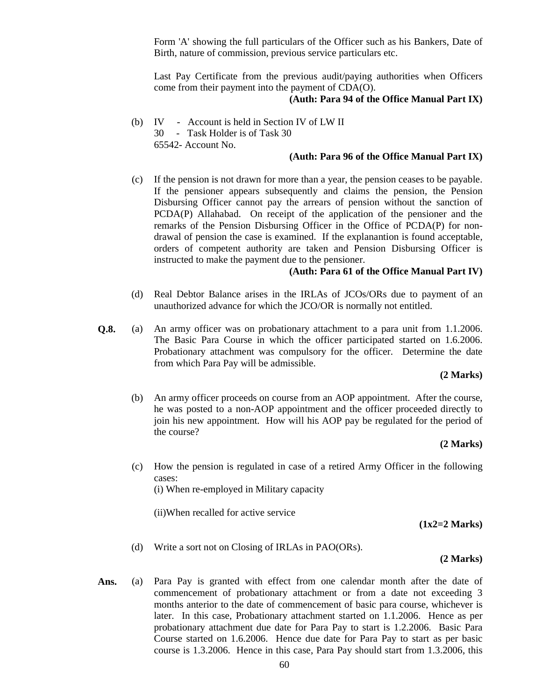Form 'A' showing the full particulars of the Officer such as his Bankers, Date of Birth, nature of commission, previous service particulars etc.

Last Pay Certificate from the previous audit/paying authorities when Officers come from their payment into the payment of CDA(O).

### **(Auth: Para 94 of the Office Manual Part IX)**

 (b) IV - Account is held in Section IV of LW II 30 - Task Holder is of Task 30 65542- Account No.

#### **(Auth: Para 96 of the Office Manual Part IX)**

(c) If the pension is not drawn for more than a year, the pension ceases to be payable. If the pensioner appears subsequently and claims the pension, the Pension Disbursing Officer cannot pay the arrears of pension without the sanction of PCDA(P) Allahabad. On receipt of the application of the pensioner and the remarks of the Pension Disbursing Officer in the Office of PCDA(P) for nondrawal of pension the case is examined. If the explanantion is found acceptable, orders of competent authority are taken and Pension Disbursing Officer is instructed to make the payment due to the pensioner.

# **(Auth: Para 61 of the Office Manual Part IV)**

- (d) Real Debtor Balance arises in the IRLAs of JCOs/ORs due to payment of an unauthorized advance for which the JCO/OR is normally not entitled.
- **Q.8.** (a) An army officer was on probationary attachment to a para unit from 1.1.2006. The Basic Para Course in which the officer participated started on 1.6.2006. Probationary attachment was compulsory for the officer. Determine the date from which Para Pay will be admissible.

#### **(2 Marks)**

 (b) An army officer proceeds on course from an AOP appointment. After the course, he was posted to a non-AOP appointment and the officer proceeded directly to join his new appointment. How will his AOP pay be regulated for the period of the course?

#### **(2 Marks)**

(c) How the pension is regulated in case of a retired Army Officer in the following cases: (i) When re-employed in Military capacity

(ii)When recalled for active service

**(1x2=2 Marks)**

(d) Write a sort not on Closing of IRLAs in PAO(ORs).

#### **(2 Marks)**

**Ans.** (a) Para Pay is granted with effect from one calendar month after the date of commencement of probationary attachment or from a date not exceeding 3 months anterior to the date of commencement of basic para course, whichever is later. In this case, Probationary attachment started on 1.1.2006. Hence as per probationary attachment due date for Para Pay to start is 1.2.2006. Basic Para Course started on 1.6.2006. Hence due date for Para Pay to start as per basic course is 1.3.2006. Hence in this case, Para Pay should start from 1.3.2006, this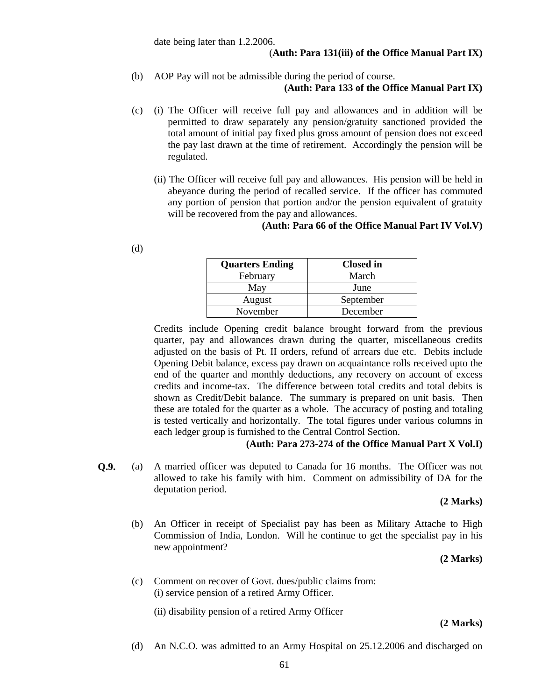### (**Auth: Para 131(iii) of the Office Manual Part IX)**

- (b) AOP Pay will not be admissible during the period of course. **(Auth: Para 133 of the Office Manual Part IX)**
- (c) (i) The Officer will receive full pay and allowances and in addition will be permitted to draw separately any pension/gratuity sanctioned provided the total amount of initial pay fixed plus gross amount of pension does not exceed the pay last drawn at the time of retirement. Accordingly the pension will be regulated.
	- (ii) The Officer will receive full pay and allowances. His pension will be held in abeyance during the period of recalled service. If the officer has commuted any portion of pension that portion and/or the pension equivalent of gratuity will be recovered from the pay and allowances.

## **(Auth: Para 66 of the Office Manual Part IV Vol.V)**

| <b>Closed</b> in |
|------------------|
| March            |
| June             |
| September        |
| December         |
|                  |

Credits include Opening credit balance brought forward from the previous quarter, pay and allowances drawn during the quarter, miscellaneous credits adjusted on the basis of Pt. II orders, refund of arrears due etc. Debits include Opening Debit balance, excess pay drawn on acquaintance rolls received upto the end of the quarter and monthly deductions, any recovery on account of excess credits and income-tax. The difference between total credits and total debits is shown as Credit/Debit balance. The summary is prepared on unit basis. Then these are totaled for the quarter as a whole. The accuracy of posting and totaling is tested vertically and horizontally. The total figures under various columns in each ledger group is furnished to the Central Control Section.

# **(Auth: Para 273-274 of the Office Manual Part X Vol.I)**

**Q.9.** (a) A married officer was deputed to Canada for 16 months. The Officer was not allowed to take his family with him. Comment on admissibility of DA for the deputation period.

**(2 Marks)**

 (b) An Officer in receipt of Specialist pay has been as Military Attache to High Commission of India, London. Will he continue to get the specialist pay in his new appointment?

**(2 Marks)**

 (c) Comment on recover of Govt. dues/public claims from: (i) service pension of a retired Army Officer.

(ii) disability pension of a retired Army Officer

#### **(2 Marks)**

(d) An N.C.O. was admitted to an Army Hospital on 25.12.2006 and discharged on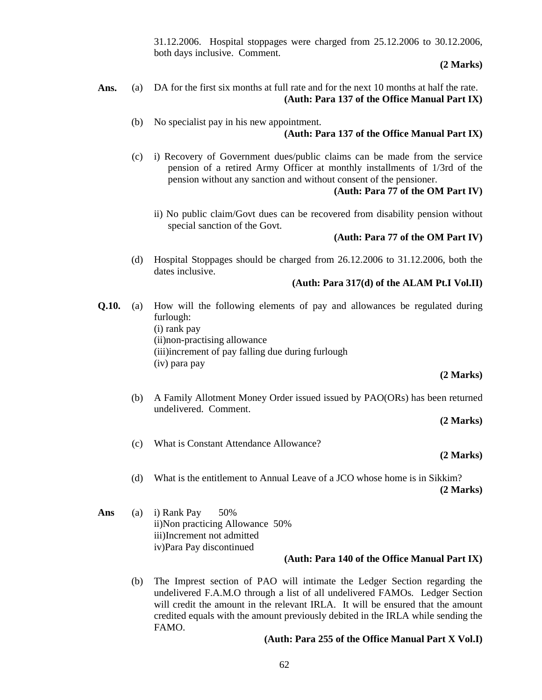31.12.2006. Hospital stoppages were charged from 25.12.2006 to 30.12.2006, both days inclusive. Comment.

**(2 Marks)**

- **Ans.** (a) DA for the first six months at full rate and for the next 10 months at half the rate. **(Auth: Para 137 of the Office Manual Part IX)**
	- (b) No specialist pay in his new appointment. **(Auth: Para 137 of the Office Manual Part IX)**
	- (c) i) Recovery of Government dues/public claims can be made from the service pension of a retired Army Officer at monthly installments of 1/3rd of the pension without any sanction and without consent of the pensioner.

# **(Auth: Para 77 of the OM Part IV)**

 ii) No public claim/Govt dues can be recovered from disability pension without special sanction of the Govt.

# **(Auth: Para 77 of the OM Part IV)**

(d) Hospital Stoppages should be charged from 26.12.2006 to 31.12.2006, both the dates inclusive.

# **(Auth: Para 317(d) of the ALAM Pt.I Vol.II)**

**Q.10.** (a) How will the following elements of pay and allowances be regulated during furlough: (i) rank pay (ii)non-practising allowance (iii)increment of pay falling due during furlough (iv) para pay

**(2 Marks)**

 (b) A Family Allotment Money Order issued issued by PAO(ORs) has been returned undelivered. Comment.

**(2 Marks)**

(c) What is Constant Attendance Allowance?

# **(2 Marks)**

- (d) What is the entitlement to Annual Leave of a JCO whose home is in Sikkim? **(2 Marks)**
- **Ans** (a) i) Rank Pay 50% ii)Non practicing Allowance 50% iii)Increment not admitted iv)Para Pay discontinued

# **(Auth: Para 140 of the Office Manual Part IX)**

(b) The Imprest section of PAO will intimate the Ledger Section regarding the undelivered F.A.M.O through a list of all undelivered FAMOs. Ledger Section will credit the amount in the relevant IRLA. It will be ensured that the amount credited equals with the amount previously debited in the IRLA while sending the FAMO.

# **(Auth: Para 255 of the Office Manual Part X Vol.I)**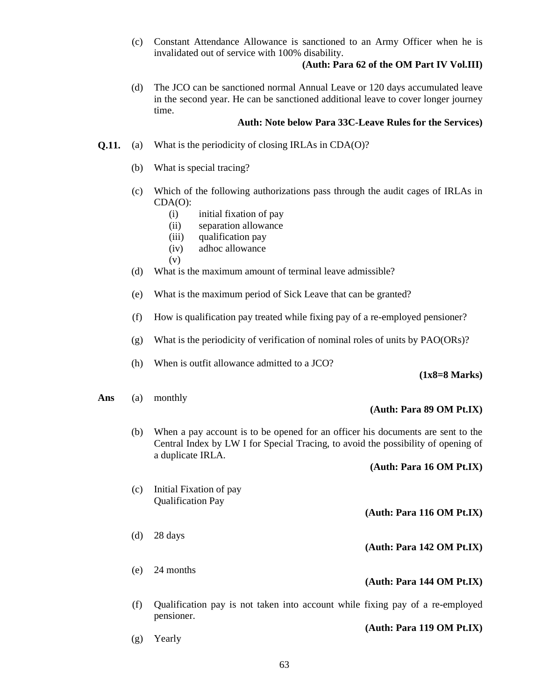(c) Constant Attendance Allowance is sanctioned to an Army Officer when he is invalidated out of service with 100% disability.

# **(Auth: Para 62 of the OM Part IV Vol.III)**

(d) The JCO can be sanctioned normal Annual Leave or 120 days accumulated leave in the second year. He can be sanctioned additional leave to cover longer journey time.

# **Auth: Note below Para 33C-Leave Rules for the Services)**

- **Q.11.** (a) What is the periodicity of closing IRLAs in CDA(O)?
	- (b) What is special tracing?
	- (c) Which of the following authorizations pass through the audit cages of IRLAs in CDA(O):
		- (i) initial fixation of pay
		- (ii) separation allowance
		- (iii) qualification pay
		- (iv) adhoc allowance
		- (v)
	- (d) What is the maximum amount of terminal leave admissible?
	- (e) What is the maximum period of Sick Leave that can be granted?
	- (f) How is qualification pay treated while fixing pay of a re-employed pensioner?
	- (g) What is the periodicity of verification of nominal roles of units by PAO(ORs)?
	- (h) When is outfit allowance admitted to a JCO?

#### **(1x8=8 Marks)**

#### **Ans** (a) monthly

- 
- (b) When a pay account is to be opened for an officer his documents are sent to the Central Index by LW I for Special Tracing, to avoid the possibility of opening of a duplicate IRLA.

#### **(Auth: Para 16 OM Pt.IX)**

**(Auth: Para 89 OM Pt.IX)**

- (c) Initial Fixation of pay Qualification Pay **(Auth: Para 116 OM Pt.IX)**
- (d) 28 days **(Auth: Para 142 OM Pt.IX)**
- (e) 24 months **(Auth: Para 144 OM Pt.IX)**
- (f) Qualification pay is not taken into account while fixing pay of a re-employed pensioner.
- **(Auth: Para 119 OM Pt.IX)** (g) Yearly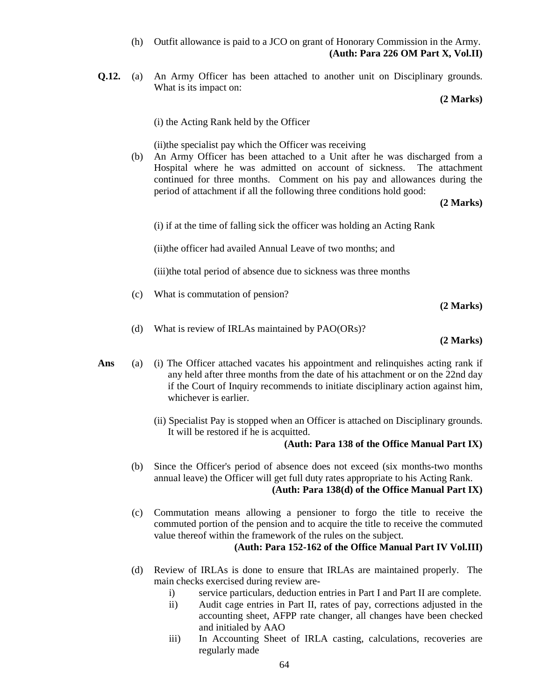(h) Outfit allowance is paid to a JCO on grant of Honorary Commission in the Army. **(Auth: Para 226 OM Part X, Vol.II)**

**Q.12.** (a) An Army Officer has been attached to another unit on Disciplinary grounds. What is its impact on:

**(2 Marks)**

(i) the Acting Rank held by the Officer

(ii)the specialist pay which the Officer was receiving

 (b) An Army Officer has been attached to a Unit after he was discharged from a Hospital where he was admitted on account of sickness. The attachment continued for three months. Comment on his pay and allowances during the period of attachment if all the following three conditions hold good:

**(2 Marks)**

(i) if at the time of falling sick the officer was holding an Acting Rank

(ii)the officer had availed Annual Leave of two months; and

(iii)the total period of absence due to sickness was three months

(c) What is commutation of pension?

**(2 Marks)**

(d) What is review of IRLAs maintained by PAO(ORs)?

**(2 Marks)**

- Ans (a) (i) The Officer attached vacates his appointment and relinquishes acting rank if any held after three months from the date of his attachment or on the 22nd day if the Court of Inquiry recommends to initiate disciplinary action against him, whichever is earlier.
	- (ii) Specialist Pay is stopped when an Officer is attached on Disciplinary grounds. It will be restored if he is acquitted.

# **(Auth: Para 138 of the Office Manual Part IX)**

- (b) Since the Officer's period of absence does not exceed (six months-two months annual leave) the Officer will get full duty rates appropriate to his Acting Rank. **(Auth: Para 138(d) of the Office Manual Part IX)**
- (c) Commutation means allowing a pensioner to forgo the title to receive the commuted portion of the pension and to acquire the title to receive the commuted value thereof within the framework of the rules on the subject.

# **(Auth: Para 152-162 of the Office Manual Part IV Vol.III)**

- (d) Review of IRLAs is done to ensure that IRLAs are maintained properly. The main checks exercised during review are
	- i) service particulars, deduction entries in Part I and Part II are complete.
	- ii) Audit cage entries in Part II, rates of pay, corrections adjusted in the accounting sheet, AFPP rate changer, all changes have been checked and initialed by AAO
	- iii) In Accounting Sheet of IRLA casting, calculations, recoveries are regularly made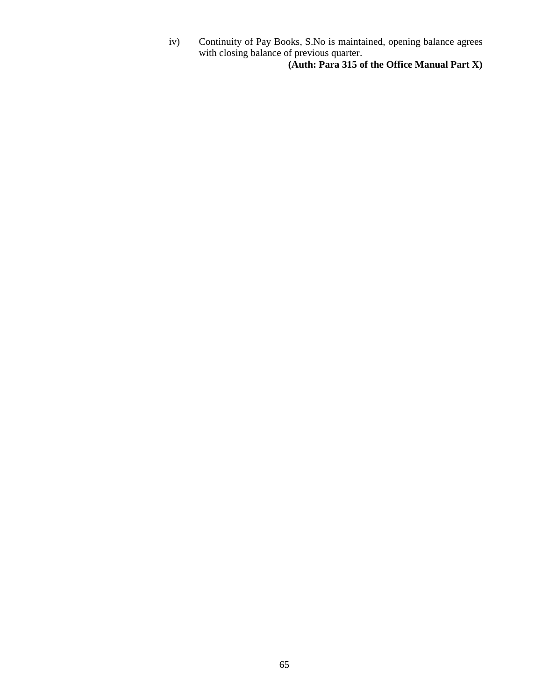iv) Continuity of Pay Books, S.No is maintained, opening balance agrees with closing balance of previous quarter.

**(Auth: Para 315 of the Office Manual Part X)**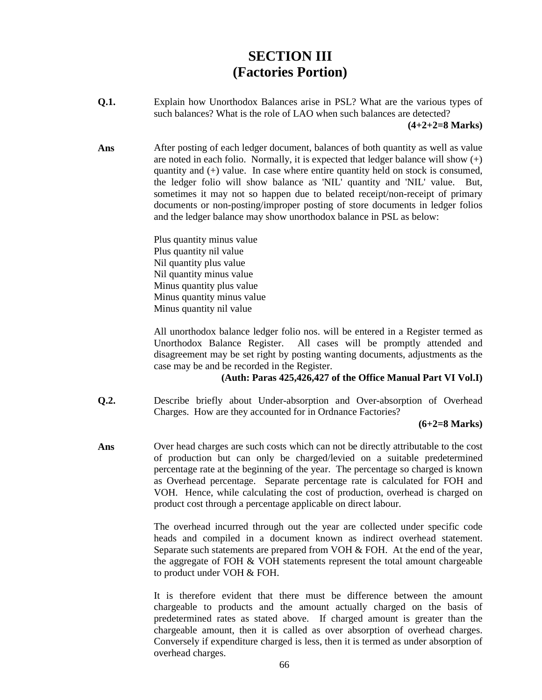# **SECTION III (Factories Portion)**

**Q.1.** Explain how Unorthodox Balances arise in PSL? What are the various types of such balances? What is the role of LAO when such balances are detected?

 **(4+2+2=8 Marks)**

Ans **After posting of each ledger document, balances of both quantity as well as value** are noted in each folio. Normally, it is expected that ledger balance will show  $(+)$ quantity and (+) value. In case where entire quantity held on stock is consumed, the ledger folio will show balance as 'NIL' quantity and 'NIL' value. But, sometimes it may not so happen due to belated receipt/non-receipt of primary documents or non-posting/improper posting of store documents in ledger folios and the ledger balance may show unorthodox balance in PSL as below:

> Plus quantity minus value Plus quantity nil value Nil quantity plus value Nil quantity minus value Minus quantity plus value Minus quantity minus value Minus quantity nil value

All unorthodox balance ledger folio nos. will be entered in a Register termed as Unorthodox Balance Register. All cases will be promptly attended and disagreement may be set right by posting wanting documents, adjustments as the case may be and be recorded in the Register.

### **(Auth: Paras 425,426,427 of the Office Manual Part VI Vol.I)**

**Q.2.** Describe briefly about Under-absorption and Over-absorption of Overhead Charges. How are they accounted for in Ordnance Factories?

#### **(6+2=8 Marks)**

Ans **Over head charges are such costs which can not be directly attributable to the cost** of production but can only be charged/levied on a suitable predetermined percentage rate at the beginning of the year. The percentage so charged is known as Overhead percentage. Separate percentage rate is calculated for FOH and VOH. Hence, while calculating the cost of production, overhead is charged on product cost through a percentage applicable on direct labour.

> The overhead incurred through out the year are collected under specific code heads and compiled in a document known as indirect overhead statement. Separate such statements are prepared from VOH & FOH. At the end of the year, the aggregate of FOH & VOH statements represent the total amount chargeable to product under VOH & FOH.

> It is therefore evident that there must be difference between the amount chargeable to products and the amount actually charged on the basis of predetermined rates as stated above. If charged amount is greater than the chargeable amount, then it is called as over absorption of overhead charges. Conversely if expenditure charged is less, then it is termed as under absorption of overhead charges.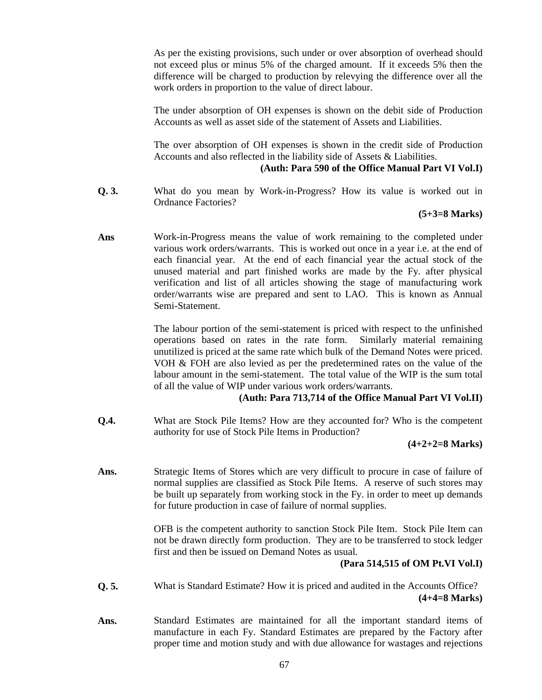As per the existing provisions, such under or over absorption of overhead should not exceed plus or minus 5% of the charged amount. If it exceeds 5% then the difference will be charged to production by relevying the difference over all the work orders in proportion to the value of direct labour.

The under absorption of OH expenses is shown on the debit side of Production Accounts as well as asset side of the statement of Assets and Liabilities.

The over absorption of OH expenses is shown in the credit side of Production Accounts and also reflected in the liability side of Assets & Liabilities.

### **(Auth: Para 590 of the Office Manual Part VI Vol.I)**

**Q. 3.** What do you mean by Work-in-Progress? How its value is worked out in Ordnance Factories?

# **(5+3=8 Marks)**

**Ans** Work-in-Progress means the value of work remaining to the completed under various work orders/warrants. This is worked out once in a year i.e. at the end of each financial year. At the end of each financial year the actual stock of the unused material and part finished works are made by the Fy. after physical verification and list of all articles showing the stage of manufacturing work order/warrants wise are prepared and sent to LAO. This is known as Annual Semi-Statement.

> The labour portion of the semi-statement is priced with respect to the unfinished operations based on rates in the rate form. Similarly material remaining unutilized is priced at the same rate which bulk of the Demand Notes were priced. VOH & FOH are also levied as per the predetermined rates on the value of the labour amount in the semi-statement. The total value of the WIP is the sum total of all the value of WIP under various work orders/warrants.

# **(Auth: Para 713,714 of the Office Manual Part VI Vol.II)**

**Q.4.** What are Stock Pile Items? How are they accounted for? Who is the competent authority for use of Stock Pile Items in Production?

# **(4+2+2=8 Marks)**

**Ans.** Strategic Items of Stores which are very difficult to procure in case of failure of normal supplies are classified as Stock Pile Items. A reserve of such stores may be built up separately from working stock in the Fy. in order to meet up demands for future production in case of failure of normal supplies.

> OFB is the competent authority to sanction Stock Pile Item. Stock Pile Item can not be drawn directly form production. They are to be transferred to stock ledger first and then be issued on Demand Notes as usual.

# **(Para 514,515 of OM Pt.VI Vol.I)**

- **Q. 5.** What is Standard Estimate? How it is priced and audited in the Accounts Office? **(4+4=8 Marks)**
- **Ans.** Standard Estimates are maintained for all the important standard items of manufacture in each Fy. Standard Estimates are prepared by the Factory after proper time and motion study and with due allowance for wastages and rejections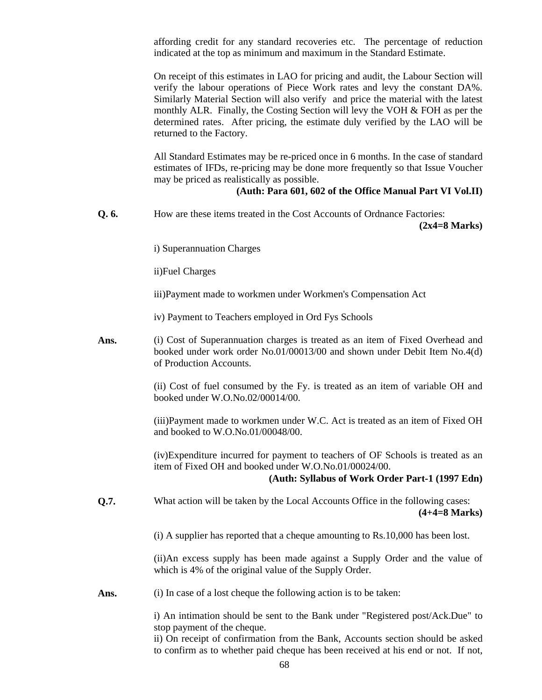affording credit for any standard recoveries etc. The percentage of reduction indicated at the top as minimum and maximum in the Standard Estimate.

On receipt of this estimates in LAO for pricing and audit, the Labour Section will verify the labour operations of Piece Work rates and levy the constant DA%. Similarly Material Section will also verify and price the material with the latest monthly ALR. Finally, the Costing Section will levy the VOH & FOH as per the determined rates. After pricing, the estimate duly verified by the LAO will be returned to the Factory.

All Standard Estimates may be re-priced once in 6 months. In the case of standard estimates of IFDs, re-pricing may be done more frequently so that Issue Voucher may be priced as realistically as possible.

#### **(Auth: Para 601, 602 of the Office Manual Part VI Vol.II)**

**Q. 6.** How are these items treated in the Cost Accounts of Ordnance Factories: **(2x4=8 Marks)**

i) Superannuation Charges

ii)Fuel Charges

iii)Payment made to workmen under Workmen's Compensation Act

iv) Payment to Teachers employed in Ord Fys Schools

Ans. **(i)** Cost of Superannuation charges is treated as an item of Fixed Overhead and booked under work order No.01/00013/00 and shown under Debit Item No.4(d) of Production Accounts.

> (ii) Cost of fuel consumed by the Fy. is treated as an item of variable OH and booked under W.O.No.02/00014/00.

> (iii)Payment made to workmen under W.C. Act is treated as an item of Fixed OH and booked to W.O.No.01/00048/00.

> (iv)Expenditure incurred for payment to teachers of OF Schools is treated as an item of Fixed OH and booked under W.O.No.01/00024/00.

#### **(Auth: Syllabus of Work Order Part-1 (1997 Edn)**

**Q.7.** What action will be taken by the Local Accounts Office in the following cases: **(4+4=8 Marks)**

(i) A supplier has reported that a cheque amounting to Rs.10,000 has been lost.

 (ii)An excess supply has been made against a Supply Order and the value of which is 4% of the original value of the Supply Order.

Ans. **(i)** In case of a lost cheque the following action is to be taken:

i) An intimation should be sent to the Bank under "Registered post/Ack.Due" to stop payment of the cheque.

ii) On receipt of confirmation from the Bank, Accounts section should be asked to confirm as to whether paid cheque has been received at his end or not. If not,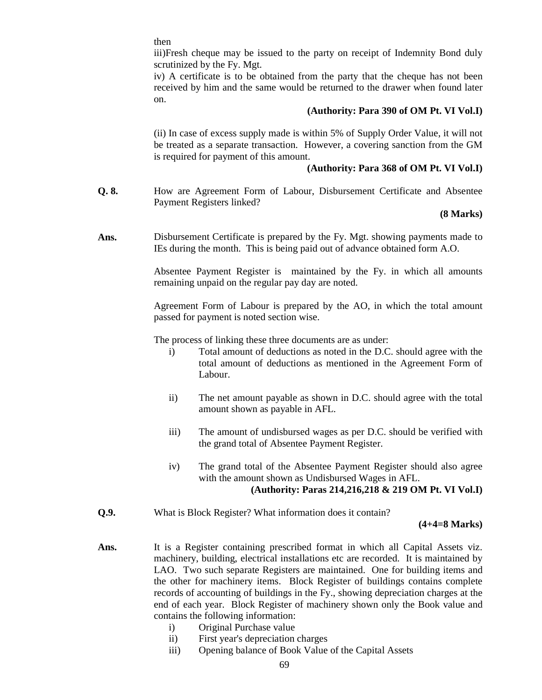then

iii)Fresh cheque may be issued to the party on receipt of Indemnity Bond duly scrutinized by the Fy. Mgt.

iv) A certificate is to be obtained from the party that the cheque has not been received by him and the same would be returned to the drawer when found later on.

#### **(Authority: Para 390 of OM Pt. VI Vol.I)**

 (ii) In case of excess supply made is within 5% of Supply Order Value, it will not be treated as a separate transaction. However, a covering sanction from the GM is required for payment of this amount.

### **(Authority: Para 368 of OM Pt. VI Vol.I)**

**Q. 8.** How are Agreement Form of Labour, Disbursement Certificate and Absentee Payment Registers linked?

### **(8 Marks)**

**Ans.** Disbursement Certificate is prepared by the Fy. Mgt. showing payments made to IEs during the month. This is being paid out of advance obtained form A.O.

> Absentee Payment Register is maintained by the Fy. in which all amounts remaining unpaid on the regular pay day are noted.

> Agreement Form of Labour is prepared by the AO, in which the total amount passed for payment is noted section wise.

The process of linking these three documents are as under:

- i) Total amount of deductions as noted in the D.C. should agree with the total amount of deductions as mentioned in the Agreement Form of Labour.
- ii) The net amount payable as shown in D.C. should agree with the total amount shown as payable in AFL.
- iii) The amount of undisbursed wages as per D.C. should be verified with the grand total of Absentee Payment Register.
- iv) The grand total of the Absentee Payment Register should also agree with the amount shown as Undisbursed Wages in AFL. **(Authority: Paras 214,216,218 & 219 OM Pt. VI Vol.I)**
- **Q.9.** What is Block Register? What information does it contain?

#### **(4+4=8 Marks)**

- Ans. It is a Register containing prescribed format in which all Capital Assets viz. machinery, building, electrical installations etc are recorded. It is maintained by LAO. Two such separate Registers are maintained. One for building items and the other for machinery items. Block Register of buildings contains complete records of accounting of buildings in the Fy., showing depreciation charges at the end of each year. Block Register of machinery shown only the Book value and contains the following information:
	- i) Original Purchase value
	- ii) First year's depreciation charges
	- iii) Opening balance of Book Value of the Capital Assets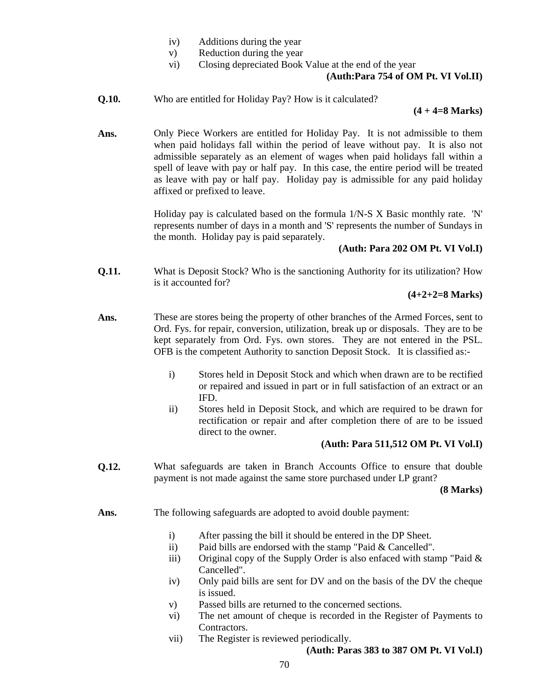- iv) Additions during the year
- v) Reduction during the year
- vi) Closing depreciated Book Value at the end of the year

# **(Auth:Para 754 of OM Pt. VI Vol.II)**

**Q.10.** Who are entitled for Holiday Pay? How is it calculated?

#### **(4 + 4=8 Marks)**

**Ans.** Only Piece Workers are entitled for Holiday Pay. It is not admissible to them when paid holidays fall within the period of leave without pay. It is also not admissible separately as an element of wages when paid holidays fall within a spell of leave with pay or half pay. In this case, the entire period will be treated as leave with pay or half pay. Holiday pay is admissible for any paid holiday affixed or prefixed to leave.

> Holiday pay is calculated based on the formula 1/N-S X Basic monthly rate. 'N' represents number of days in a month and 'S' represents the number of Sundays in the month. Holiday pay is paid separately.

### **(Auth: Para 202 OM Pt. VI Vol.I)**

**Q.11.** What is Deposit Stock? Who is the sanctioning Authority for its utilization? How is it accounted for?

#### **(4+2+2=8 Marks)**

- **Ans.** These are stores being the property of other branches of the Armed Forces, sent to Ord. Fys. for repair, conversion, utilization, break up or disposals. They are to be kept separately from Ord. Fys. own stores. They are not entered in the PSL. OFB is the competent Authority to sanction Deposit Stock. It is classified as:
	- i) Stores held in Deposit Stock and which when drawn are to be rectified or repaired and issued in part or in full satisfaction of an extract or an IFD.
	- ii) Stores held in Deposit Stock, and which are required to be drawn for rectification or repair and after completion there of are to be issued direct to the owner.

#### **(Auth: Para 511,512 OM Pt. VI Vol.I)**

**Q.12.** What safeguards are taken in Branch Accounts Office to ensure that double payment is not made against the same store purchased under LP grant?

**(8 Marks)**

- **Ans.** The following safeguards are adopted to avoid double payment:
	- i) After passing the bill it should be entered in the DP Sheet.
	- ii) Paid bills are endorsed with the stamp "Paid & Cancelled".
	- iii) Original copy of the Supply Order is also enfaced with stamp "Paid  $\&$ Cancelled".
	- iv) Only paid bills are sent for DV and on the basis of the DV the cheque is issued.
	- v) Passed bills are returned to the concerned sections.
	- vi) The net amount of cheque is recorded in the Register of Payments to Contractors.
	- vii) The Register is reviewed periodically.

#### **(Auth: Paras 383 to 387 OM Pt. VI Vol.I)**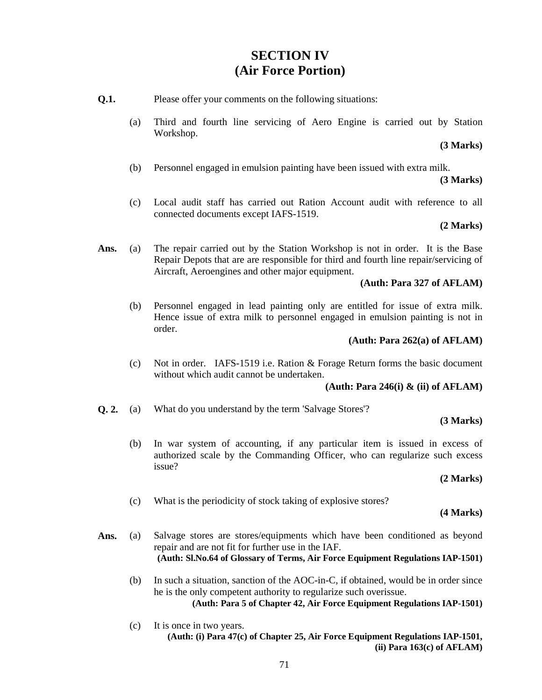# **SECTION IV (Air Force Portion)**

- **Q.1.** Please offer your comments on the following situations:
	- (a) Third and fourth line servicing of Aero Engine is carried out by Station Workshop.

# **(3 Marks)**

(b) Personnel engaged in emulsion painting have been issued with extra milk.

### **(3 Marks)**

(c) Local audit staff has carried out Ration Account audit with reference to all connected documents except IAFS-1519.

### **(2 Marks)**

**Ans.** (a) The repair carried out by the Station Workshop is not in order. It is the Base Repair Depots that are are responsible for third and fourth line repair/servicing of Aircraft, Aeroengines and other major equipment.

# **(Auth: Para 327 of AFLAM)**

(b) Personnel engaged in lead painting only are entitled for issue of extra milk. Hence issue of extra milk to personnel engaged in emulsion painting is not in order.

### **(Auth: Para 262(a) of AFLAM)**

(c) Not in order. IAFS-1519 i.e. Ration & Forage Return forms the basic document without which audit cannot be undertaken.

# **(Auth: Para 246(i) & (ii) of AFLAM)**

**Q. 2.** (a) What do you understand by the term 'Salvage Stores'?

#### **(3 Marks)**

(b) In war system of accounting, if any particular item is issued in excess of authorized scale by the Commanding Officer, who can regularize such excess issue?

#### **(2 Marks)**

(c) What is the periodicity of stock taking of explosive stores?

#### **(4 Marks)**

- Ans. (a) Salvage stores are stores/equipments which have been conditioned as beyond repair and are not fit for further use in the IAF. **(Auth: Sl.No.64 of Glossary of Terms, Air Force Equipment Regulations IAP-1501)**
	- (b) In such a situation, sanction of the AOC-in-C, if obtained, would be in order since he is the only competent authority to regularize such overissue. **(Auth: Para 5 of Chapter 42, Air Force Equipment Regulations IAP-1501)**
	- (c) It is once in two years. **(Auth: (i) Para 47(c) of Chapter 25, Air Force Equipment Regulations IAP-1501, (ii) Para 163(c) of AFLAM)**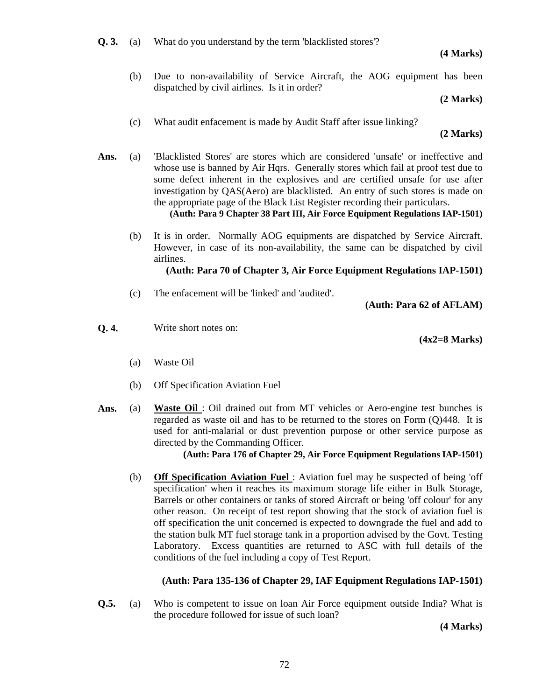**(4 Marks)**

(b) Due to non-availability of Service Aircraft, the AOG equipment has been dispatched by civil airlines. Is it in order?

# **(2 Marks)**

(c) What audit enfacement is made by Audit Staff after issue linking?

 **(2 Marks)**

- **Ans.** (a) 'Blacklisted Stores' are stores which are considered 'unsafe' or ineffective and whose use is banned by Air Hqrs. Generally stores which fail at proof test due to some defect inherent in the explosives and are certified unsafe for use after investigation by QAS(Aero) are blacklisted. An entry of such stores is made on the appropriate page of the Black List Register recording their particulars. **(Auth: Para 9 Chapter 38 Part III, Air Force Equipment Regulations IAP-1501)**
	- (b) It is in order. Normally AOG equipments are dispatched by Service Aircraft. However, in case of its non-availability, the same can be dispatched by civil airlines.

# **(Auth: Para 70 of Chapter 3, Air Force Equipment Regulations IAP-1501)**

(c) The enfacement will be 'linked' and 'audited'.

**(Auth: Para 62 of AFLAM)**

**Q. 4.** Write short notes on:

**(4x2=8 Marks)**

- (a) Waste Oil
- (b) Off Specification Aviation Fuel
- Ans. (a) Waste Oil: Oil drained out from MT vehicles or Aero-engine test bunches is regarded as waste oil and has to be returned to the stores on Form (Q)448. It is used for anti-malarial or dust prevention purpose or other service purpose as directed by the Commanding Officer.

 **(Auth: Para 176 of Chapter 29, Air Force Equipment Regulations IAP-1501)**

(b) **Off Specification Aviation Fuel** : Aviation fuel may be suspected of being 'off specification' when it reaches its maximum storage life either in Bulk Storage, Barrels or other containers or tanks of stored Aircraft or being 'off colour' for any other reason. On receipt of test report showing that the stock of aviation fuel is off specification the unit concerned is expected to downgrade the fuel and add to the station bulk MT fuel storage tank in a proportion advised by the Govt. Testing Laboratory. Excess quantities are returned to ASC with full details of the conditions of the fuel including a copy of Test Report.

# **(Auth: Para 135-136 of Chapter 29, IAF Equipment Regulations IAP-1501)**

**Q.5.** (a) Who is competent to issue on loan Air Force equipment outside India? What is the procedure followed for issue of such loan?

**(4 Marks)**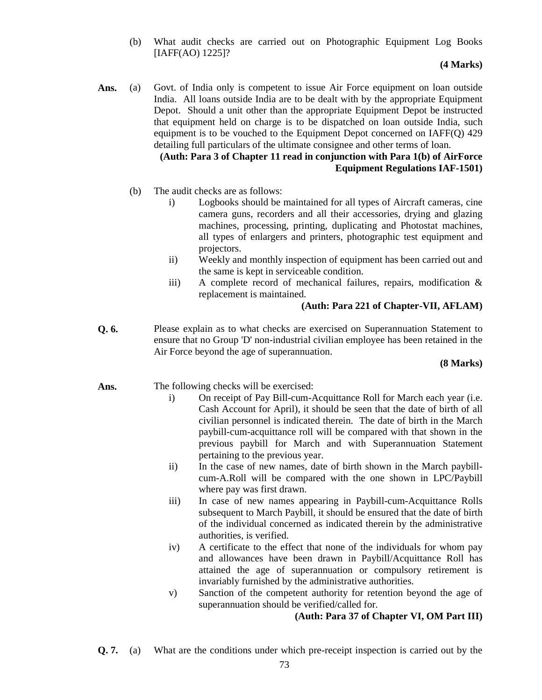(b) What audit checks are carried out on Photographic Equipment Log Books [IAFF(AO) 1225]?

## **(4 Marks)**

Ans. (a) Govt. of India only is competent to issue Air Force equipment on loan outside India. All loans outside India are to be dealt with by the appropriate Equipment Depot. Should a unit other than the appropriate Equipment Depot be instructed that equipment held on charge is to be dispatched on loan outside India, such equipment is to be vouched to the Equipment Depot concerned on IAFF(Q) 429 detailing full particulars of the ultimate consignee and other terms of loan.

## **(Auth: Para 3 of Chapter 11 read in conjunction with Para 1(b) of AirForce Equipment Regulations IAF-1501)**

- (b) The audit checks are as follows:
	- i) Logbooks should be maintained for all types of Aircraft cameras, cine camera guns, recorders and all their accessories, drying and glazing machines, processing, printing, duplicating and Photostat machines, all types of enlargers and printers, photographic test equipment and projectors.
	- ii) Weekly and monthly inspection of equipment has been carried out and the same is kept in serviceable condition.
	- iii) A complete record of mechanical failures, repairs, modification & replacement is maintained.

## **(Auth: Para 221 of Chapter-VII, AFLAM)**

**Q. 6.** Please explain as to what checks are exercised on Superannuation Statement to ensure that no Group 'D' non-industrial civilian employee has been retained in the Air Force beyond the age of superannuation.

## **(8 Marks)**

## Ans. The following checks will be exercised:

- i) On receipt of Pay Bill-cum-Acquittance Roll for March each year (i.e. Cash Account for April), it should be seen that the date of birth of all civilian personnel is indicated therein. The date of birth in the March paybill-cum-acquittance roll will be compared with that shown in the previous paybill for March and with Superannuation Statement pertaining to the previous year.
- ii) In the case of new names, date of birth shown in the March paybillcum-A.Roll will be compared with the one shown in LPC/Paybill where pay was first drawn.
- iii) In case of new names appearing in Paybill-cum-Acquittance Rolls subsequent to March Paybill, it should be ensured that the date of birth of the individual concerned as indicated therein by the administrative authorities, is verified.
- iv) A certificate to the effect that none of the individuals for whom pay and allowances have been drawn in Paybill/Acquittance Roll has attained the age of superannuation or compulsory retirement is invariably furnished by the administrative authorities.
- v) Sanction of the competent authority for retention beyond the age of superannuation should be verified/called for.

## **(Auth: Para 37 of Chapter VI, OM Part III)**

**Q. 7.** (a) What are the conditions under which pre-receipt inspection is carried out by the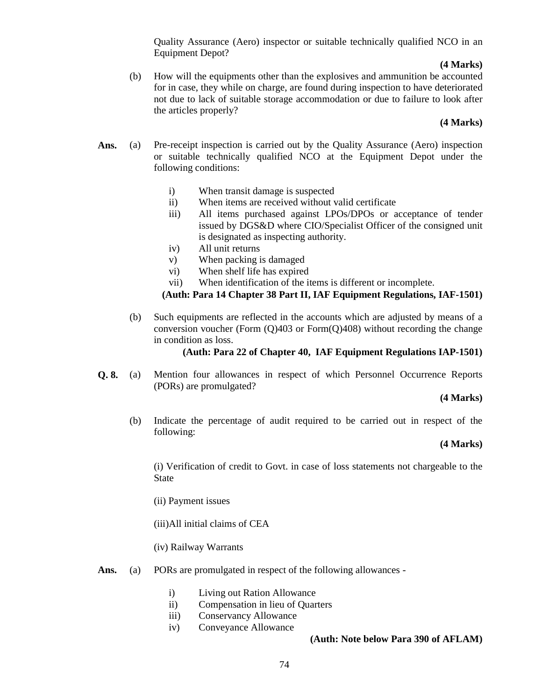Quality Assurance (Aero) inspector or suitable technically qualified NCO in an Equipment Depot?

#### **(4 Marks)**

(b) How will the equipments other than the explosives and ammunition be accounted for in case, they while on charge, are found during inspection to have deteriorated not due to lack of suitable storage accommodation or due to failure to look after the articles properly?

#### **(4 Marks)**

- Ans. (a) Pre-receipt inspection is carried out by the Quality Assurance (Aero) inspection or suitable technically qualified NCO at the Equipment Depot under the following conditions:
	- i) When transit damage is suspected
	- ii) When items are received without valid certificate
	- iii) All items purchased against LPOs/DPOs or acceptance of tender issued by DGS&D where CIO/Specialist Officer of the consigned unit is designated as inspecting authority.
	- iv) All unit returns
	- v) When packing is damaged
	- vi) When shelf life has expired
	- vii) When identification of the items is different or incomplete.

**(Auth: Para 14 Chapter 38 Part II, IAF Equipment Regulations, IAF-1501)**

(b) Such equipments are reflected in the accounts which are adjusted by means of a conversion voucher (Form  $(Q)403$  or Form $(Q)408$ ) without recording the change in condition as loss.

#### **(Auth: Para 22 of Chapter 40, IAF Equipment Regulations IAP-1501)**

**Q. 8.** (a) Mention four allowances in respect of which Personnel Occurrence Reports (PORs) are promulgated?

#### **(4 Marks)**

(b) Indicate the percentage of audit required to be carried out in respect of the following:

#### **(4 Marks)**

 (i) Verification of credit to Govt. in case of loss statements not chargeable to the State

(ii) Payment issues

(iii)All initial claims of CEA

(iv) Railway Warrants

- Ans. (a) PORs are promulgated in respect of the following allowances
	- i) Living out Ration Allowance
	- ii) Compensation in lieu of Quarters
	- iii) Conservancy Allowance
	- iv) Conveyance Allowance

#### **(Auth: Note below Para 390 of AFLAM)**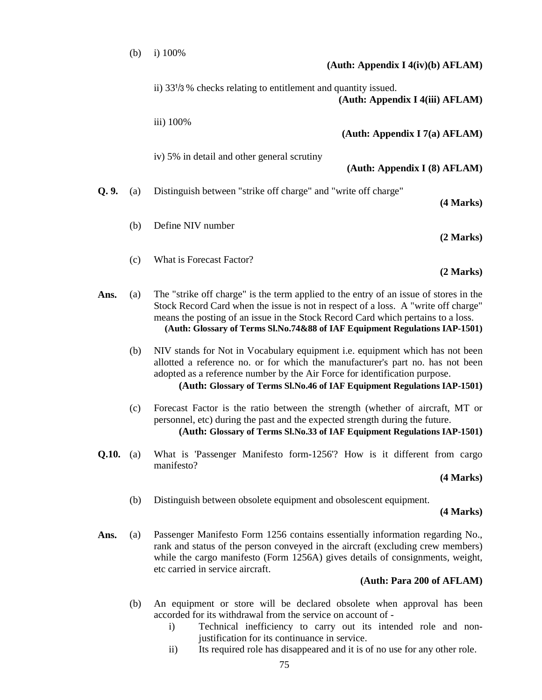|       | (b)                                                                                                                                                                                                                                                                                          | i) 100%<br>(Auth: Appendix I $4(iv)(b)$ AFLAM)                                                                                                                                                                                                                                                                                                 |  |  |
|-------|----------------------------------------------------------------------------------------------------------------------------------------------------------------------------------------------------------------------------------------------------------------------------------------------|------------------------------------------------------------------------------------------------------------------------------------------------------------------------------------------------------------------------------------------------------------------------------------------------------------------------------------------------|--|--|
|       |                                                                                                                                                                                                                                                                                              | ii) 33 <sup>1</sup> /3 % checks relating to entitlement and quantity issued.<br>(Auth: Appendix I 4(iii) AFLAM)                                                                                                                                                                                                                                |  |  |
|       |                                                                                                                                                                                                                                                                                              | iii) 100%<br>(Auth: Appendix I 7(a) AFLAM)                                                                                                                                                                                                                                                                                                     |  |  |
|       |                                                                                                                                                                                                                                                                                              | iv) 5% in detail and other general scrutiny<br>(Auth: Appendix I (8) AFLAM)                                                                                                                                                                                                                                                                    |  |  |
| Q.9.  | (a)                                                                                                                                                                                                                                                                                          | Distinguish between "strike off charge" and "write off charge"<br>(4 Marks)                                                                                                                                                                                                                                                                    |  |  |
|       | (b)                                                                                                                                                                                                                                                                                          | Define NIV number<br>(2 Marks)                                                                                                                                                                                                                                                                                                                 |  |  |
|       | (c)                                                                                                                                                                                                                                                                                          | What is Forecast Factor?<br>(2 Marks)                                                                                                                                                                                                                                                                                                          |  |  |
| Ans.  | (a)                                                                                                                                                                                                                                                                                          | The "strike off charge" is the term applied to the entry of an issue of stores in the<br>Stock Record Card when the issue is not in respect of a loss. A "write off charge"<br>means the posting of an issue in the Stock Record Card which pertains to a loss.<br>(Auth: Glossary of Terms Sl.No.74&88 of IAF Equipment Regulations IAP-1501) |  |  |
|       | (b)                                                                                                                                                                                                                                                                                          | NIV stands for Not in Vocabulary equipment i.e. equipment which has not been<br>allotted a reference no. or for which the manufacturer's part no. has not been<br>adopted as a reference number by the Air Force for identification purpose.<br>(Auth: Glossary of Terms Sl.No.46 of IAF Equipment Regulations IAP-1501)                       |  |  |
|       | (c)                                                                                                                                                                                                                                                                                          | Forecast Factor is the ratio between the strength (whether of aircraft, MT or<br>personnel, etc) during the past and the expected strength during the future.<br>(Auth: Glossary of Terms Sl.No.33 of IAF Equipment Regulations IAP-1501)                                                                                                      |  |  |
| Q.10. | (a)                                                                                                                                                                                                                                                                                          | What is 'Passenger Manifesto form-1256'? How is it different from cargo<br>manifesto?<br>(4 Marks)                                                                                                                                                                                                                                             |  |  |
|       | (b)                                                                                                                                                                                                                                                                                          | Distinguish between obsolete equipment and obsolescent equipment.<br>(4 Marks)                                                                                                                                                                                                                                                                 |  |  |
| Ans.  | Passenger Manifesto Form 1256 contains essentially information regarding No.,<br>(a)<br>rank and status of the person conveyed in the aircraft (excluding crew members)<br>while the cargo manifesto (Form 1256A) gives details of consignments, weight,<br>etc carried in service aircraft. |                                                                                                                                                                                                                                                                                                                                                |  |  |
|       |                                                                                                                                                                                                                                                                                              | (Auth: Para 200 of AFLAM)                                                                                                                                                                                                                                                                                                                      |  |  |
|       | (b)                                                                                                                                                                                                                                                                                          | An equipment or store will be declared obsolete when approval has been<br>accorded for its withdrawal from the service on account of -<br>Technical inefficiency to carry out its intended role and non-<br>$\mathbf{i}$                                                                                                                       |  |  |

- i) Technical inefficiency to carry out its intended role and nonjustification for its continuance in service.
- ii) Its required role has disappeared and it is of no use for any other role.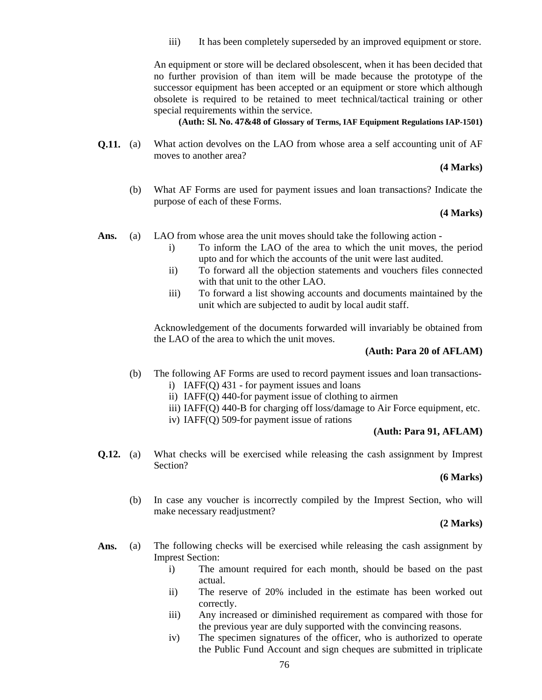iii) It has been completely superseded by an improved equipment or store.

An equipment or store will be declared obsolescent, when it has been decided that no further provision of than item will be made because the prototype of the successor equipment has been accepted or an equipment or store which although obsolete is required to be retained to meet technical/tactical training or other special requirements within the service.

**(Auth: Sl. No. 47&48 of Glossary of Terms, IAF Equipment Regulations IAP-1501)**

**Q.11.** (a) What action devolves on the LAO from whose area a self accounting unit of AF moves to another area?

**(4 Marks)**

(b) What AF Forms are used for payment issues and loan transactions? Indicate the purpose of each of these Forms.

## **(4 Marks)**

- Ans. (a) LAO from whose area the unit moves should take the following action
	- i) To inform the LAO of the area to which the unit moves, the period upto and for which the accounts of the unit were last audited.
	- ii) To forward all the objection statements and vouchers files connected with that unit to the other LAO.
	- iii) To forward a list showing accounts and documents maintained by the unit which are subjected to audit by local audit staff.

Acknowledgement of the documents forwarded will invariably be obtained from the LAO of the area to which the unit moves.

## **(Auth: Para 20 of AFLAM)**

- (b) The following AF Forms are used to record payment issues and loan transactions
	- i) IAFF(Q) 431 for payment issues and loans
	- ii) IAFF(Q) 440-for payment issue of clothing to airmen
	- iii) IAFF(Q) 440-B for charging off loss/damage to Air Force equipment, etc.
	- iv) IAFF(Q) 509-for payment issue of rations

#### **(Auth: Para 91, AFLAM)**

**Q.12.** (a) What checks will be exercised while releasing the cash assignment by Imprest Section?

#### **(6 Marks)**

(b) In case any voucher is incorrectly compiled by the Imprest Section, who will make necessary readjustment?

#### **(2 Marks)**

- Ans. (a) The following checks will be exercised while releasing the cash assignment by Imprest Section:
	- i) The amount required for each month, should be based on the past actual.
	- ii) The reserve of 20% included in the estimate has been worked out correctly.
	- iii) Any increased or diminished requirement as compared with those for the previous year are duly supported with the convincing reasons.
	- iv) The specimen signatures of the officer, who is authorized to operate the Public Fund Account and sign cheques are submitted in triplicate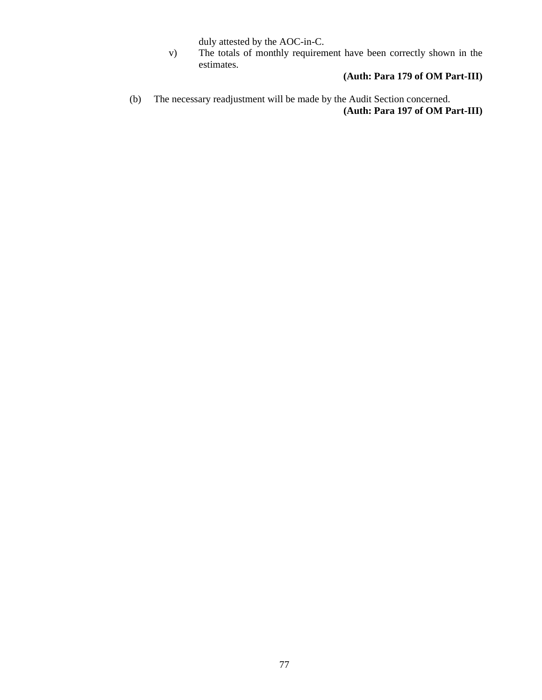duly attested by the AOC-in-C.

v) The totals of monthly requirement have been correctly shown in the estimates.

# **(Auth: Para 179 of OM Part-III)**

(b) The necessary readjustment will be made by the Audit Section concerned. **(Auth: Para 197 of OM Part-III)**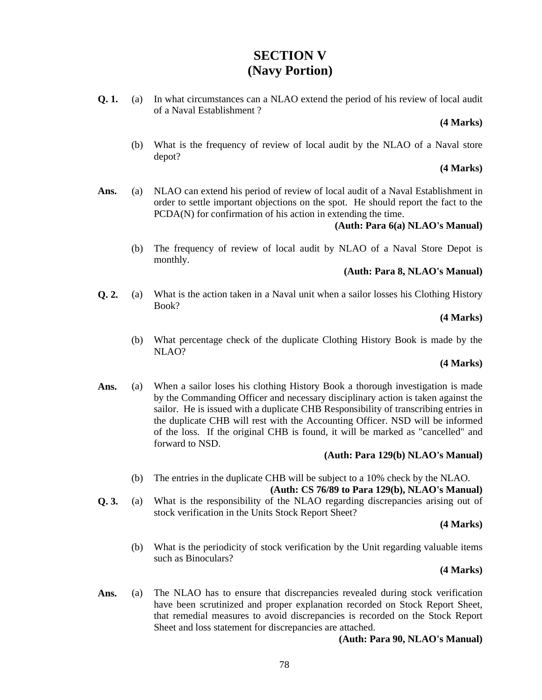# **SECTION V (Navy Portion)**

**Q. 1.** (a) In what circumstances can a NLAO extend the period of his review of local audit of a Naval Establishment ?

#### **(4 Marks)**

(b) What is the frequency of review of local audit by the NLAO of a Naval store depot?

#### **(4 Marks)**

**Ans.** (a) NLAO can extend his period of review of local audit of a Naval Establishment in order to settle important objections on the spot. He should report the fact to the PCDA(N) for confirmation of his action in extending the time.

## **(Auth: Para 6(a) NLAO's Manual)**

(b) The frequency of review of local audit by NLAO of a Naval Store Depot is monthly.

## **(Auth: Para 8, NLAO's Manual)**

**Q. 2.** (a) What is the action taken in a Naval unit when a sailor losses his Clothing History Book?

## **(4 Marks)**

(b) What percentage check of the duplicate Clothing History Book is made by the NLAO?

## **(4 Marks)**

Ans. (a) When a sailor loses his clothing History Book a thorough investigation is made by the Commanding Officer and necessary disciplinary action is taken against the sailor. He is issued with a duplicate CHB Responsibility of transcribing entries in the duplicate CHB will rest with the Accounting Officer. NSD will be informed of the loss. If the original CHB is found, it will be marked as "cancelled" and forward to NSD.

## **(Auth: Para 129(b) NLAO's Manual)**

(b) The entries in the duplicate CHB will be subject to a 10% check by the NLAO.

## **(Auth: CS 76/89 to Para 129(b), NLAO's Manual)**

**Q. 3.** (a) What is the responsibility of the NLAO regarding discrepancies arising out of stock verification in the Units Stock Report Sheet?

## **(4 Marks)**

(b) What is the periodicity of stock verification by the Unit regarding valuable items such as Binoculars?

## **(4 Marks)**

Ans. (a) The NLAO has to ensure that discrepancies revealed during stock verification have been scrutinized and proper explanation recorded on Stock Report Sheet, that remedial measures to avoid discrepancies is recorded on the Stock Report Sheet and loss statement for discrepancies are attached.

**(Auth: Para 90, NLAO's Manual)**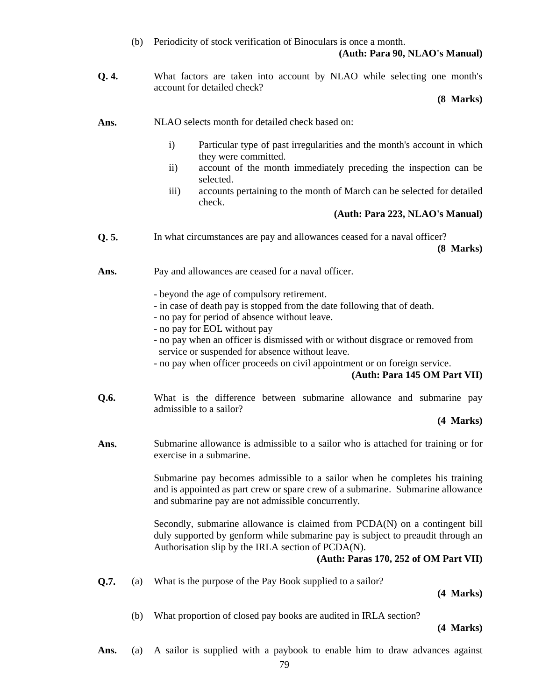- (b) Periodicity of stock verification of Binoculars is once a month. **(Auth: Para 90, NLAO's Manual)**
- **Q. 4.** What factors are taken into account by NLAO while selecting one month's account for detailed check?

#### **(8 Marks)**

**Ans.** NLAO selects month for detailed check based on:

- i) Particular type of past irregularities and the month's account in which they were committed.
- ii) account of the month immediately preceding the inspection can be selected.
- iii) accounts pertaining to the month of March can be selected for detailed check.

## **(Auth: Para 223, NLAO's Manual)**

- **Q. 5.** In what circumstances are pay and allowances ceased for a naval officer? **(8 Marks)**
- Ans. Pay and allowances are ceased for a naval officer.
	- beyond the age of compulsory retirement.
	- in case of death pay is stopped from the date following that of death.
	- no pay for period of absence without leave.
	- no pay for EOL without pay
	- no pay when an officer is dismissed with or without disgrace or removed from service or suspended for absence without leave.
	- no pay when officer proceeds on civil appointment or on foreign service.

## **(Auth: Para 145 OM Part VII)**

**Q.6.** What is the difference between submarine allowance and submarine pay admissible to a sailor?

**(4 Marks)**

**Ans.** Submarine allowance is admissible to a sailor who is attached for training or for exercise in a submarine.

> Submarine pay becomes admissible to a sailor when he completes his training and is appointed as part crew or spare crew of a submarine. Submarine allowance and submarine pay are not admissible concurrently.

> Secondly, submarine allowance is claimed from PCDA(N) on a contingent bill duly supported by genform while submarine pay is subject to preaudit through an Authorisation slip by the IRLA section of PCDA(N).

## **(Auth: Paras 170, 252 of OM Part VII)**

**Q.7.** (a) What is the purpose of the Pay Book supplied to a sailor?

**(4 Marks)**

(b) What proportion of closed pay books are audited in IRLA section?

**(4 Marks)**

Ans. (a) A sailor is supplied with a paybook to enable him to draw advances against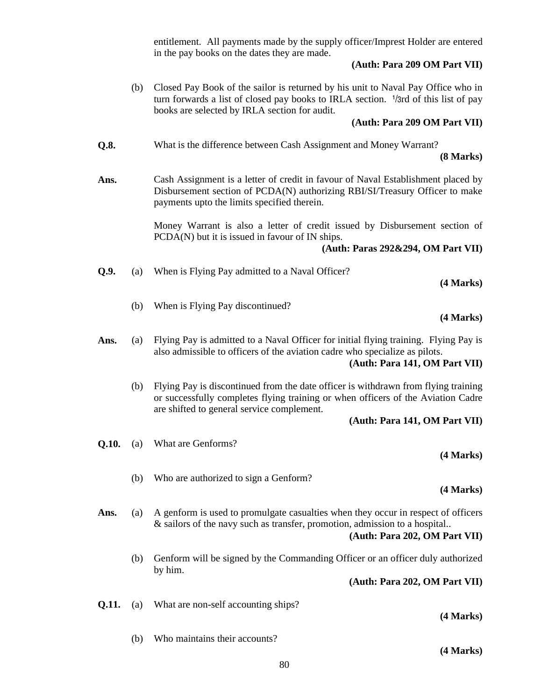entitlement. All payments made by the supply officer/Imprest Holder are entered in the pay books on the dates they are made.

## **(Auth: Para 209 OM Part VII)**

(b) Closed Pay Book of the sailor is returned by his unit to Naval Pay Office who in turn forwards a list of closed pay books to IRLA section. <sup>1</sup>/3rd of this list of pay books are selected by IRLA section for audit.

## **(Auth: Para 209 OM Part VII)**

- **Q.8.** What is the difference between Cash Assignment and Money Warrant? **(8 Marks)**
- **Ans.** Cash Assignment is a letter of credit in favour of Naval Establishment placed by Disbursement section of PCDA(N) authorizing RBI/SI/Treasury Officer to make payments upto the limits specified therein.

Money Warrant is also a letter of credit issued by Disbursement section of PCDA(N) but it is issued in favour of IN ships.

## **(Auth: Paras 292&294, OM Part VII)**

| Q.9. |  | (a) When is Flying Pay admitted to a Naval Officer? |  |
|------|--|-----------------------------------------------------|--|
|------|--|-----------------------------------------------------|--|

(b) When is Flying Pay discontinued?

#### **(4 Marks)**

**(4 Marks)**

Ans. (a) Flying Pay is admitted to a Naval Officer for initial flying training. Flying Pay is also admissible to officers of the aviation cadre who specialize as pilots.

**(Auth: Para 141, OM Part VII)**

(b) Flying Pay is discontinued from the date officer is withdrawn from flying training or successfully completes flying training or when officers of the Aviation Cadre are shifted to general service complement.

## **(Auth: Para 141, OM Part VII)**

- **Q.10.** (a) What are Genforms? **(4 Marks)**
	- (b) Who are authorized to sign a Genform?

## **(4 Marks)**

- Ans. (a) A genform is used to promulgate casualties when they occur in respect of officers & sailors of the navy such as transfer, promotion, admission to a hospital.. **(Auth: Para 202, OM Part VII)**
	- (b) Genform will be signed by the Commanding Officer or an officer duly authorized by him.

**(Auth: Para 202, OM Part VII)**

**Q.11.** (a) What are non-self accounting ships?

## **(4 Marks)**

(b) Who maintains their accounts?

**(4 Marks)**